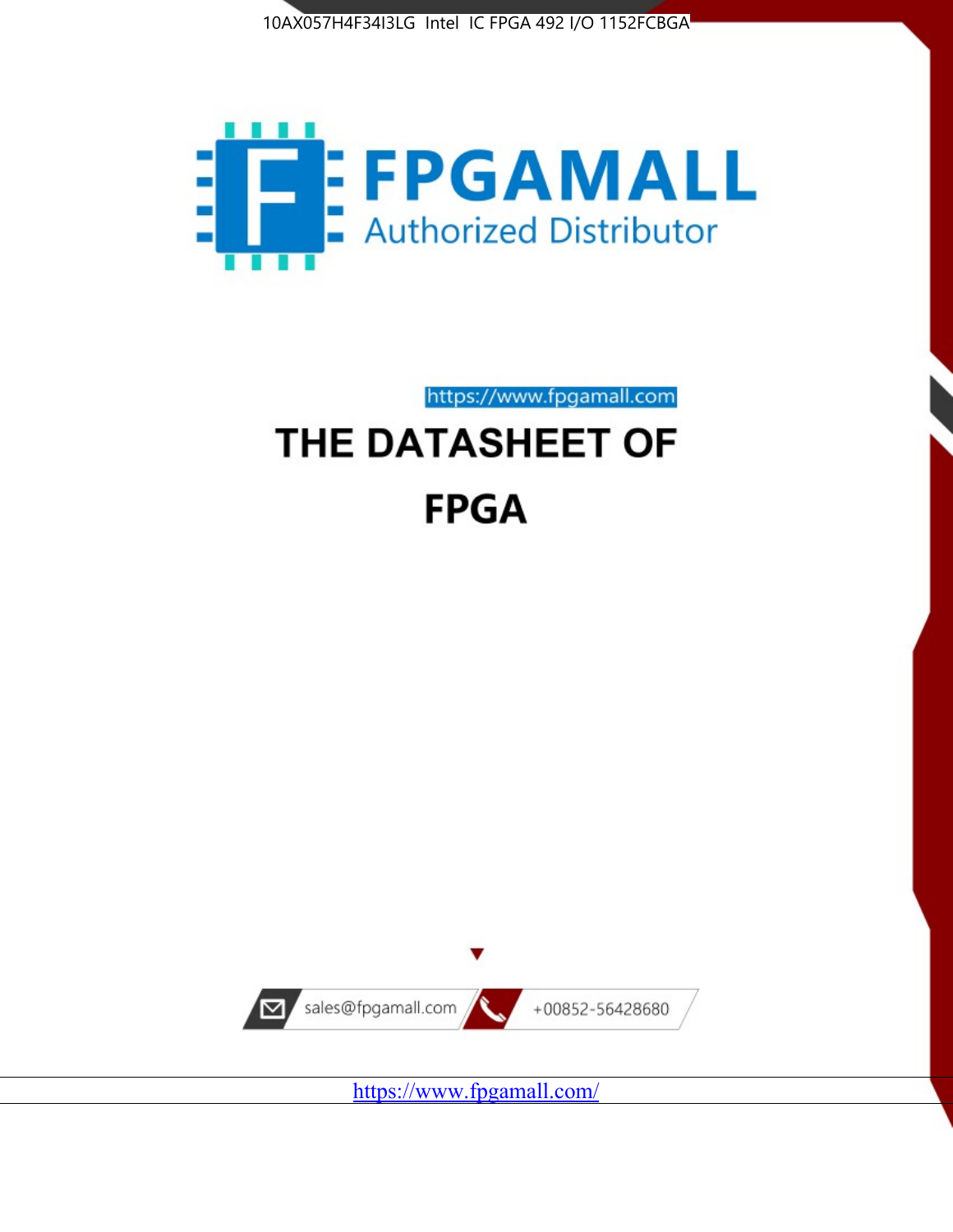



https://www.fpgamall.com

# THE DATASHEET OF **FPGA**



<https://www.fpgamall.com/>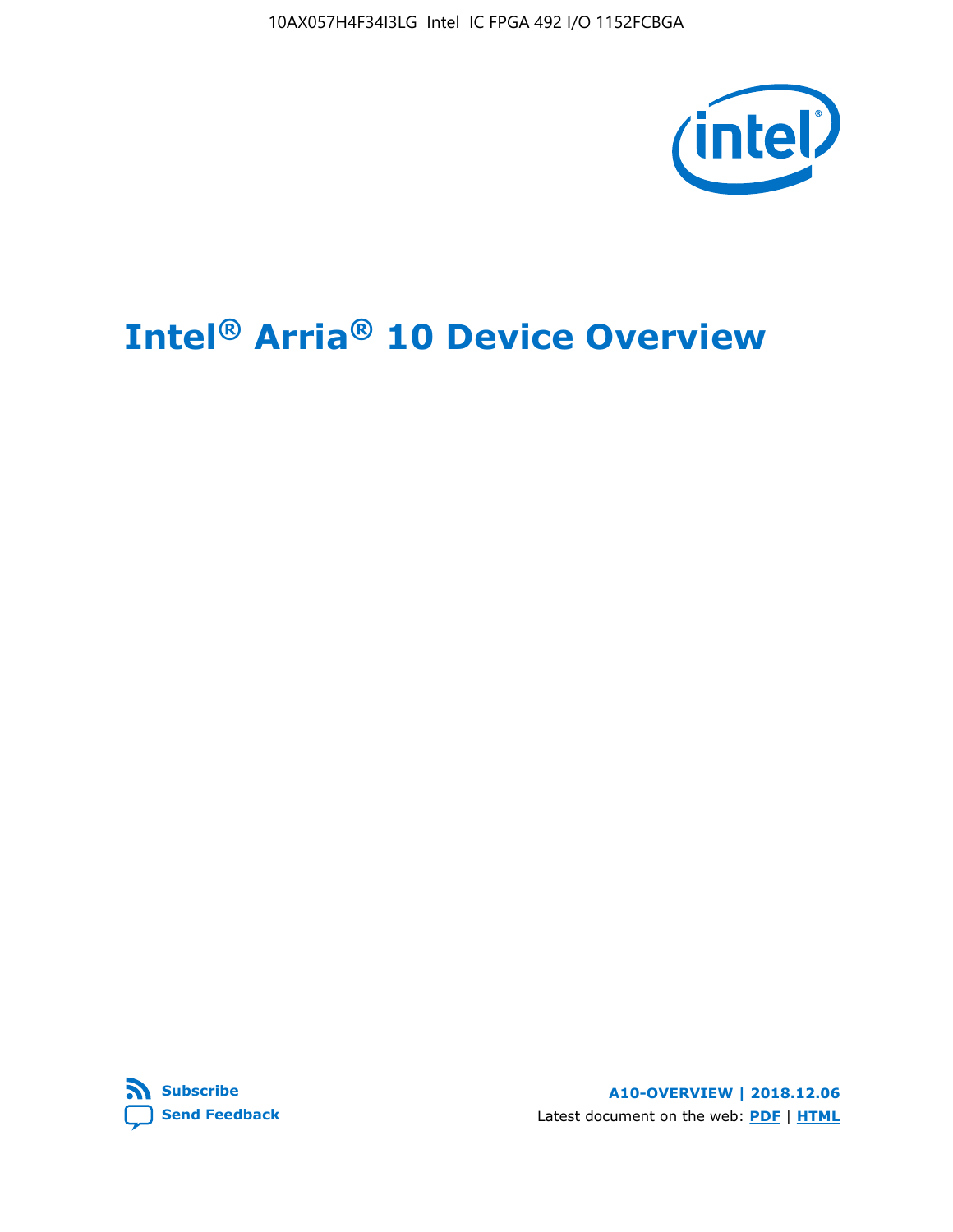10AX057H4F34I3LG Intel IC FPGA 492 I/O 1152FCBGA



# **Intel® Arria® 10 Device Overview**



**A10-OVERVIEW | 2018.12.06** Latest document on the web: **[PDF](https://www.intel.com/content/dam/www/programmable/us/en/pdfs/literature/hb/arria-10/a10_overview.pdf)** | **[HTML](https://www.intel.com/content/www/us/en/programmable/documentation/sam1403480274650.html)**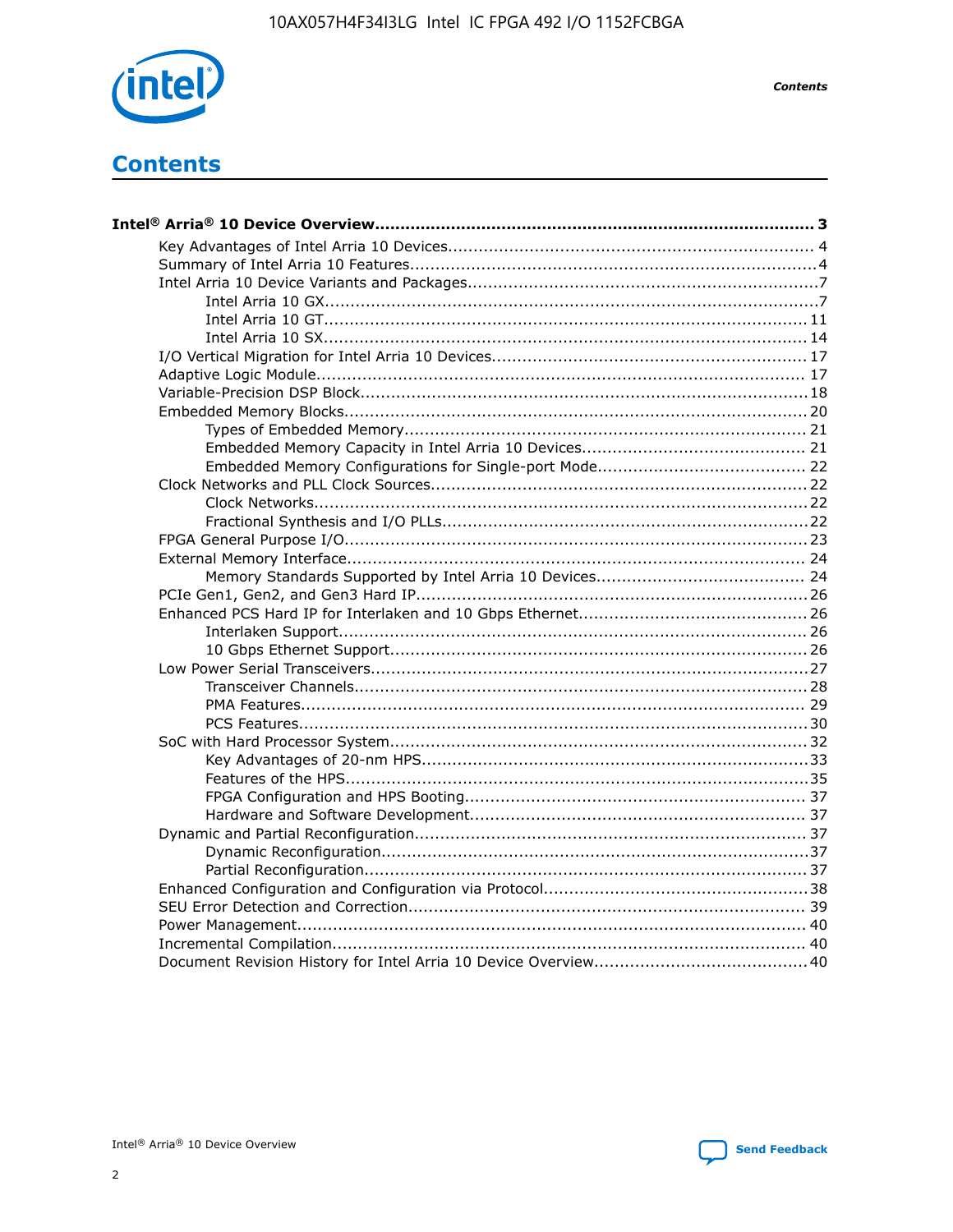

**Contents** 

# **Contents**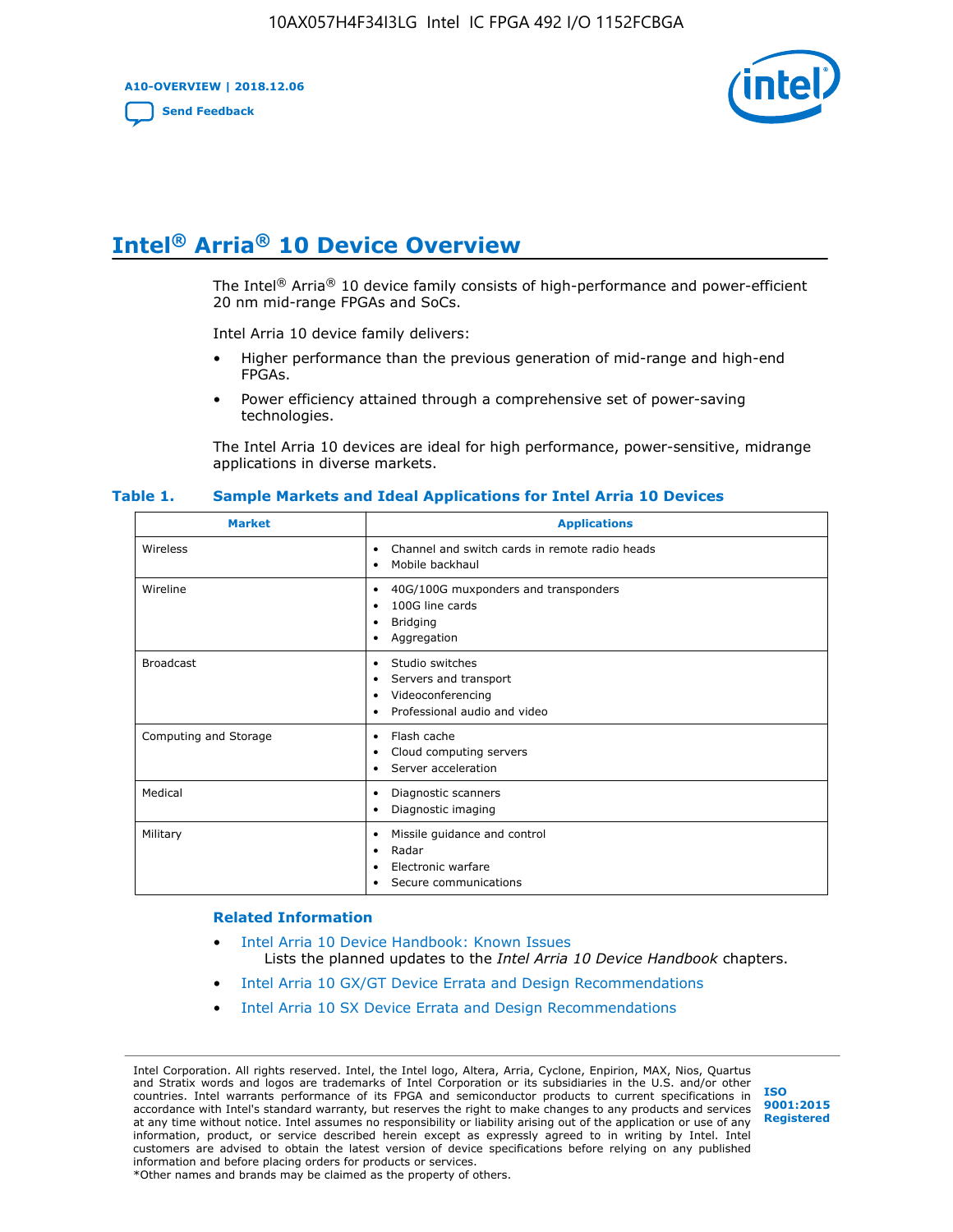**A10-OVERVIEW | 2018.12.06**

**[Send Feedback](mailto:FPGAtechdocfeedback@intel.com?subject=Feedback%20on%20Intel%20Arria%2010%20Device%20Overview%20(A10-OVERVIEW%202018.12.06)&body=We%20appreciate%20your%20feedback.%20In%20your%20comments,%20also%20specify%20the%20page%20number%20or%20paragraph.%20Thank%20you.)**



# **Intel® Arria® 10 Device Overview**

The Intel<sup>®</sup> Arria<sup>®</sup> 10 device family consists of high-performance and power-efficient 20 nm mid-range FPGAs and SoCs.

Intel Arria 10 device family delivers:

- Higher performance than the previous generation of mid-range and high-end FPGAs.
- Power efficiency attained through a comprehensive set of power-saving technologies.

The Intel Arria 10 devices are ideal for high performance, power-sensitive, midrange applications in diverse markets.

| <b>Market</b>         | <b>Applications</b>                                                                                               |
|-----------------------|-------------------------------------------------------------------------------------------------------------------|
| Wireless              | Channel and switch cards in remote radio heads<br>٠<br>Mobile backhaul<br>٠                                       |
| Wireline              | 40G/100G muxponders and transponders<br>٠<br>100G line cards<br>٠<br><b>Bridging</b><br>٠<br>Aggregation<br>٠     |
| <b>Broadcast</b>      | Studio switches<br>٠<br>Servers and transport<br>٠<br>Videoconferencing<br>٠<br>Professional audio and video<br>٠ |
| Computing and Storage | Flash cache<br>٠<br>Cloud computing servers<br>٠<br>Server acceleration<br>٠                                      |
| Medical               | Diagnostic scanners<br>٠<br>Diagnostic imaging<br>٠                                                               |
| Military              | Missile guidance and control<br>٠<br>Radar<br>٠<br>Electronic warfare<br>٠<br>Secure communications<br>٠          |

#### **Table 1. Sample Markets and Ideal Applications for Intel Arria 10 Devices**

#### **Related Information**

- [Intel Arria 10 Device Handbook: Known Issues](http://www.altera.com/support/kdb/solutions/rd07302013_646.html) Lists the planned updates to the *Intel Arria 10 Device Handbook* chapters.
- [Intel Arria 10 GX/GT Device Errata and Design Recommendations](https://www.intel.com/content/www/us/en/programmable/documentation/agz1493851706374.html#yqz1494433888646)
- [Intel Arria 10 SX Device Errata and Design Recommendations](https://www.intel.com/content/www/us/en/programmable/documentation/cru1462832385668.html#cru1462832558642)

Intel Corporation. All rights reserved. Intel, the Intel logo, Altera, Arria, Cyclone, Enpirion, MAX, Nios, Quartus and Stratix words and logos are trademarks of Intel Corporation or its subsidiaries in the U.S. and/or other countries. Intel warrants performance of its FPGA and semiconductor products to current specifications in accordance with Intel's standard warranty, but reserves the right to make changes to any products and services at any time without notice. Intel assumes no responsibility or liability arising out of the application or use of any information, product, or service described herein except as expressly agreed to in writing by Intel. Intel customers are advised to obtain the latest version of device specifications before relying on any published information and before placing orders for products or services. \*Other names and brands may be claimed as the property of others.

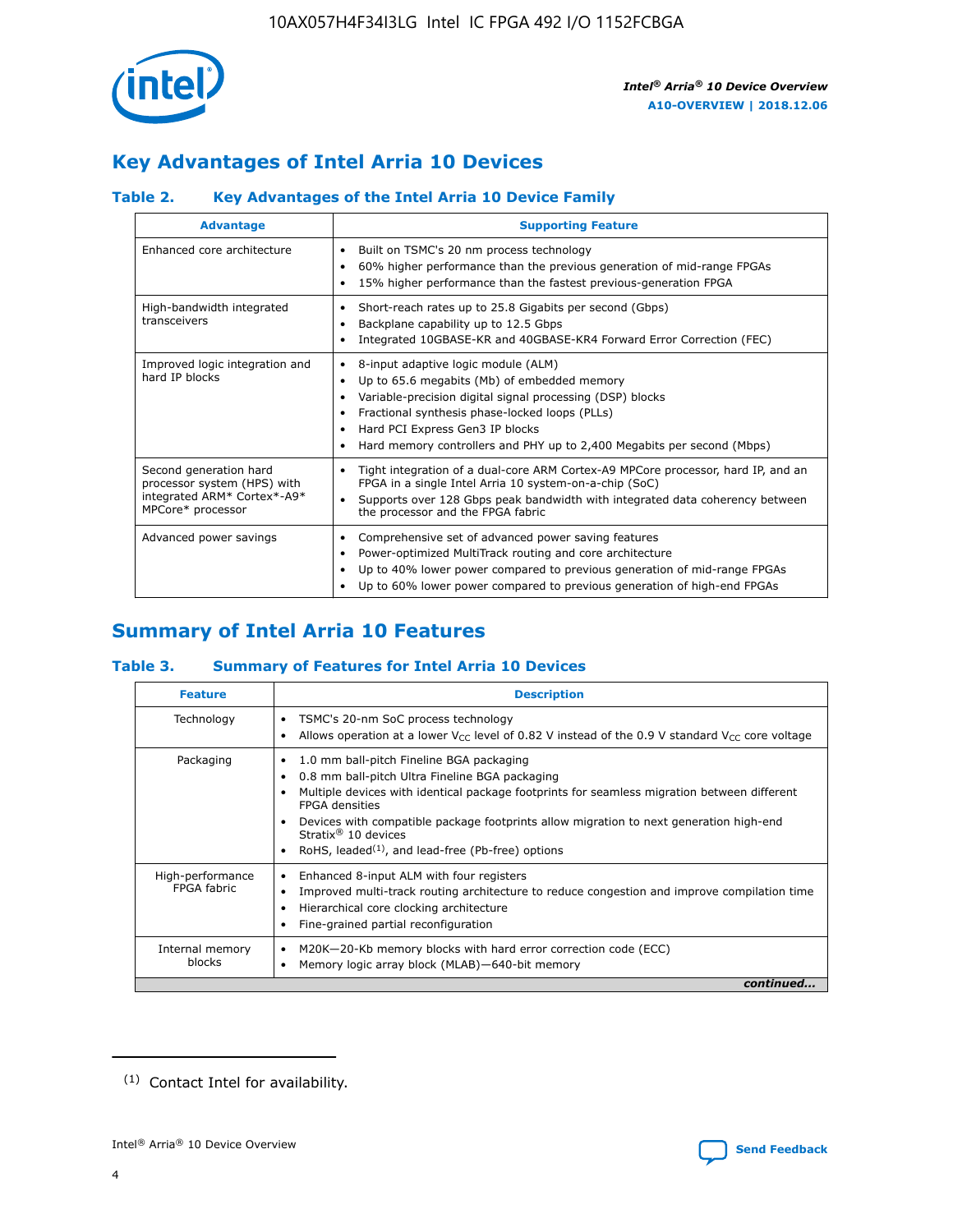

# **Key Advantages of Intel Arria 10 Devices**

# **Table 2. Key Advantages of the Intel Arria 10 Device Family**

| <b>Advantage</b>                                                                                          | <b>Supporting Feature</b>                                                                                                                                                                                                                                                                                                |
|-----------------------------------------------------------------------------------------------------------|--------------------------------------------------------------------------------------------------------------------------------------------------------------------------------------------------------------------------------------------------------------------------------------------------------------------------|
| Enhanced core architecture                                                                                | Built on TSMC's 20 nm process technology<br>٠<br>60% higher performance than the previous generation of mid-range FPGAs<br>٠<br>15% higher performance than the fastest previous-generation FPGA<br>٠                                                                                                                    |
| High-bandwidth integrated<br>transceivers                                                                 | Short-reach rates up to 25.8 Gigabits per second (Gbps)<br>٠<br>Backplane capability up to 12.5 Gbps<br>٠<br>Integrated 10GBASE-KR and 40GBASE-KR4 Forward Error Correction (FEC)<br>٠                                                                                                                                   |
| Improved logic integration and<br>hard IP blocks                                                          | 8-input adaptive logic module (ALM)<br>٠<br>Up to 65.6 megabits (Mb) of embedded memory<br>٠<br>Variable-precision digital signal processing (DSP) blocks<br>Fractional synthesis phase-locked loops (PLLs)<br>Hard PCI Express Gen3 IP blocks<br>Hard memory controllers and PHY up to 2,400 Megabits per second (Mbps) |
| Second generation hard<br>processor system (HPS) with<br>integrated ARM* Cortex*-A9*<br>MPCore* processor | Tight integration of a dual-core ARM Cortex-A9 MPCore processor, hard IP, and an<br>٠<br>FPGA in a single Intel Arria 10 system-on-a-chip (SoC)<br>Supports over 128 Gbps peak bandwidth with integrated data coherency between<br>$\bullet$<br>the processor and the FPGA fabric                                        |
| Advanced power savings                                                                                    | Comprehensive set of advanced power saving features<br>٠<br>Power-optimized MultiTrack routing and core architecture<br>٠<br>Up to 40% lower power compared to previous generation of mid-range FPGAs<br>Up to 60% lower power compared to previous generation of high-end FPGAs                                         |

# **Summary of Intel Arria 10 Features**

## **Table 3. Summary of Features for Intel Arria 10 Devices**

| <b>Feature</b>                  | <b>Description</b>                                                                                                                                                                                                                                                                                                                                                                                       |
|---------------------------------|----------------------------------------------------------------------------------------------------------------------------------------------------------------------------------------------------------------------------------------------------------------------------------------------------------------------------------------------------------------------------------------------------------|
| Technology                      | TSMC's 20-nm SoC process technology<br>٠<br>Allows operation at a lower $V_{\text{CC}}$ level of 0.82 V instead of the 0.9 V standard $V_{\text{CC}}$ core voltage                                                                                                                                                                                                                                       |
| Packaging                       | 1.0 mm ball-pitch Fineline BGA packaging<br>0.8 mm ball-pitch Ultra Fineline BGA packaging<br>Multiple devices with identical package footprints for seamless migration between different<br><b>FPGA</b> densities<br>Devices with compatible package footprints allow migration to next generation high-end<br>Stratix $\mathcal{R}$ 10 devices<br>RoHS, leaded $(1)$ , and lead-free (Pb-free) options |
| High-performance<br>FPGA fabric | Enhanced 8-input ALM with four registers<br>٠<br>Improved multi-track routing architecture to reduce congestion and improve compilation time<br>Hierarchical core clocking architecture<br>Fine-grained partial reconfiguration                                                                                                                                                                          |
| Internal memory<br>blocks       | M20K-20-Kb memory blocks with hard error correction code (ECC)<br>Memory logic array block (MLAB)-640-bit memory                                                                                                                                                                                                                                                                                         |
|                                 | continued                                                                                                                                                                                                                                                                                                                                                                                                |



<sup>(1)</sup> Contact Intel for availability.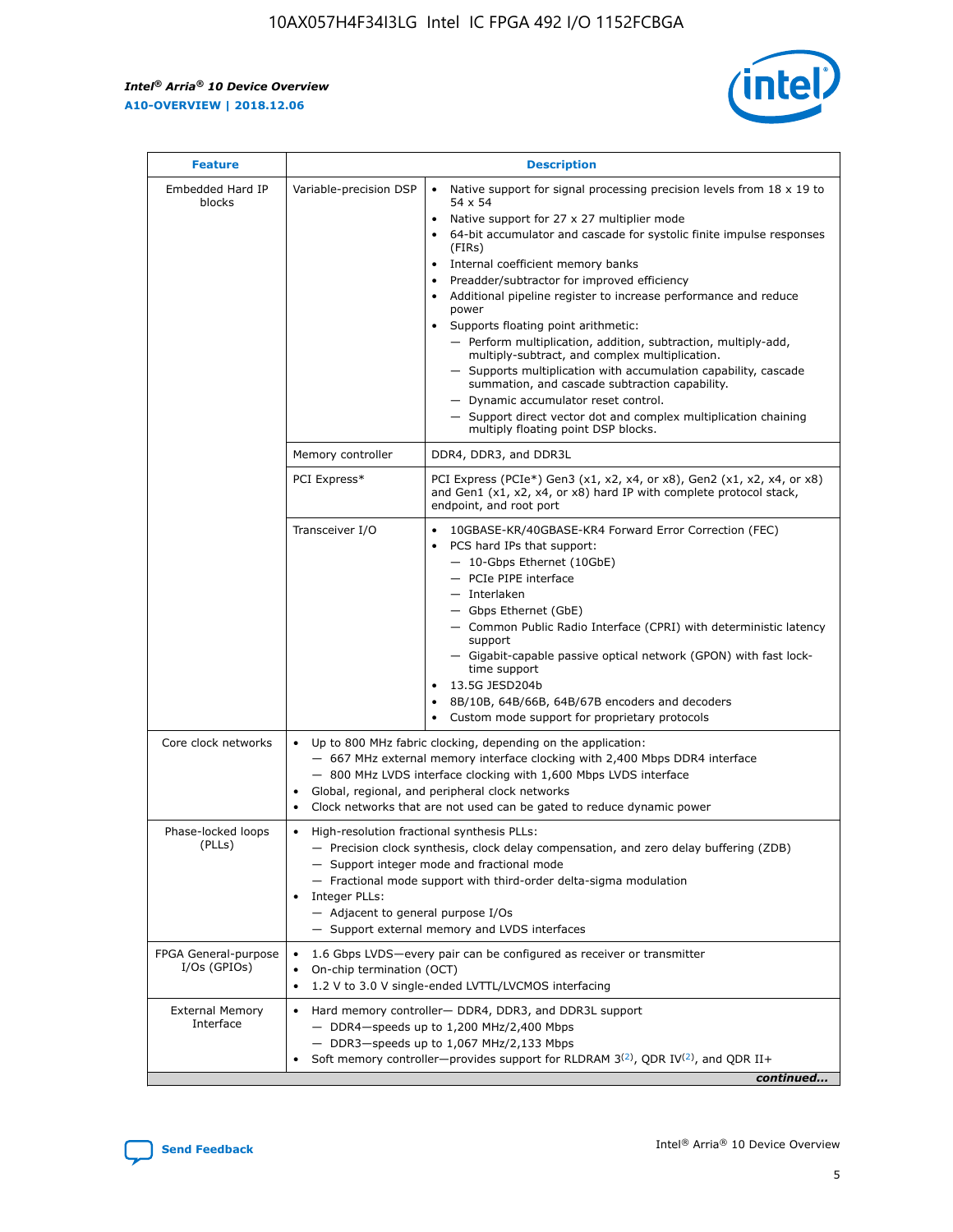r



| <b>Feature</b>                         |                                                                                                                | <b>Description</b>                                                                                                                                                                                                                                                                                                                                                                                                                                                                                                                                                                                                                                                                                                                                                                                                                                               |
|----------------------------------------|----------------------------------------------------------------------------------------------------------------|------------------------------------------------------------------------------------------------------------------------------------------------------------------------------------------------------------------------------------------------------------------------------------------------------------------------------------------------------------------------------------------------------------------------------------------------------------------------------------------------------------------------------------------------------------------------------------------------------------------------------------------------------------------------------------------------------------------------------------------------------------------------------------------------------------------------------------------------------------------|
| Embedded Hard IP<br>blocks             | Variable-precision DSP                                                                                         | Native support for signal processing precision levels from $18 \times 19$ to<br>$\bullet$<br>54 x 54<br>Native support for 27 x 27 multiplier mode<br>$\bullet$<br>64-bit accumulator and cascade for systolic finite impulse responses<br>(FIRs)<br>Internal coefficient memory banks<br>$\bullet$<br>Preadder/subtractor for improved efficiency<br>Additional pipeline register to increase performance and reduce<br>power<br>Supports floating point arithmetic:<br>- Perform multiplication, addition, subtraction, multiply-add,<br>multiply-subtract, and complex multiplication.<br>- Supports multiplication with accumulation capability, cascade<br>summation, and cascade subtraction capability.<br>- Dynamic accumulator reset control.<br>- Support direct vector dot and complex multiplication chaining<br>multiply floating point DSP blocks. |
|                                        | Memory controller                                                                                              | DDR4, DDR3, and DDR3L                                                                                                                                                                                                                                                                                                                                                                                                                                                                                                                                                                                                                                                                                                                                                                                                                                            |
|                                        | PCI Express*                                                                                                   | PCI Express (PCIe*) Gen3 (x1, x2, x4, or x8), Gen2 (x1, x2, x4, or x8)<br>and Gen1 (x1, x2, x4, or x8) hard IP with complete protocol stack,<br>endpoint, and root port                                                                                                                                                                                                                                                                                                                                                                                                                                                                                                                                                                                                                                                                                          |
|                                        | Transceiver I/O                                                                                                | 10GBASE-KR/40GBASE-KR4 Forward Error Correction (FEC)<br>PCS hard IPs that support:<br>- 10-Gbps Ethernet (10GbE)<br>- PCIe PIPE interface<br>- Interlaken<br>- Gbps Ethernet (GbE)<br>- Common Public Radio Interface (CPRI) with deterministic latency<br>support<br>- Gigabit-capable passive optical network (GPON) with fast lock-<br>time support<br>13.5G JESD204b<br>$\bullet$<br>8B/10B, 64B/66B, 64B/67B encoders and decoders<br>Custom mode support for proprietary protocols                                                                                                                                                                                                                                                                                                                                                                        |
| Core clock networks                    | $\bullet$                                                                                                      | Up to 800 MHz fabric clocking, depending on the application:<br>- 667 MHz external memory interface clocking with 2,400 Mbps DDR4 interface<br>- 800 MHz LVDS interface clocking with 1,600 Mbps LVDS interface<br>Global, regional, and peripheral clock networks<br>Clock networks that are not used can be gated to reduce dynamic power                                                                                                                                                                                                                                                                                                                                                                                                                                                                                                                      |
| Phase-locked loops<br>(PLLs)           | High-resolution fractional synthesis PLLs:<br>$\bullet$<br>Integer PLLs:<br>- Adjacent to general purpose I/Os | - Precision clock synthesis, clock delay compensation, and zero delay buffering (ZDB)<br>- Support integer mode and fractional mode<br>- Fractional mode support with third-order delta-sigma modulation<br>- Support external memory and LVDS interfaces                                                                                                                                                                                                                                                                                                                                                                                                                                                                                                                                                                                                        |
| FPGA General-purpose<br>$I/Os$ (GPIOs) | On-chip termination (OCT)<br>$\bullet$                                                                         | 1.6 Gbps LVDS-every pair can be configured as receiver or transmitter<br>1.2 V to 3.0 V single-ended LVTTL/LVCMOS interfacing                                                                                                                                                                                                                                                                                                                                                                                                                                                                                                                                                                                                                                                                                                                                    |
| <b>External Memory</b><br>Interface    | $\bullet$                                                                                                      | Hard memory controller- DDR4, DDR3, and DDR3L support<br>$-$ DDR4-speeds up to 1,200 MHz/2,400 Mbps<br>- DDR3-speeds up to 1,067 MHz/2,133 Mbps<br>Soft memory controller—provides support for RLDRAM $3^{(2)}$ , QDR IV $^{(2)}$ , and QDR II+<br>continued                                                                                                                                                                                                                                                                                                                                                                                                                                                                                                                                                                                                     |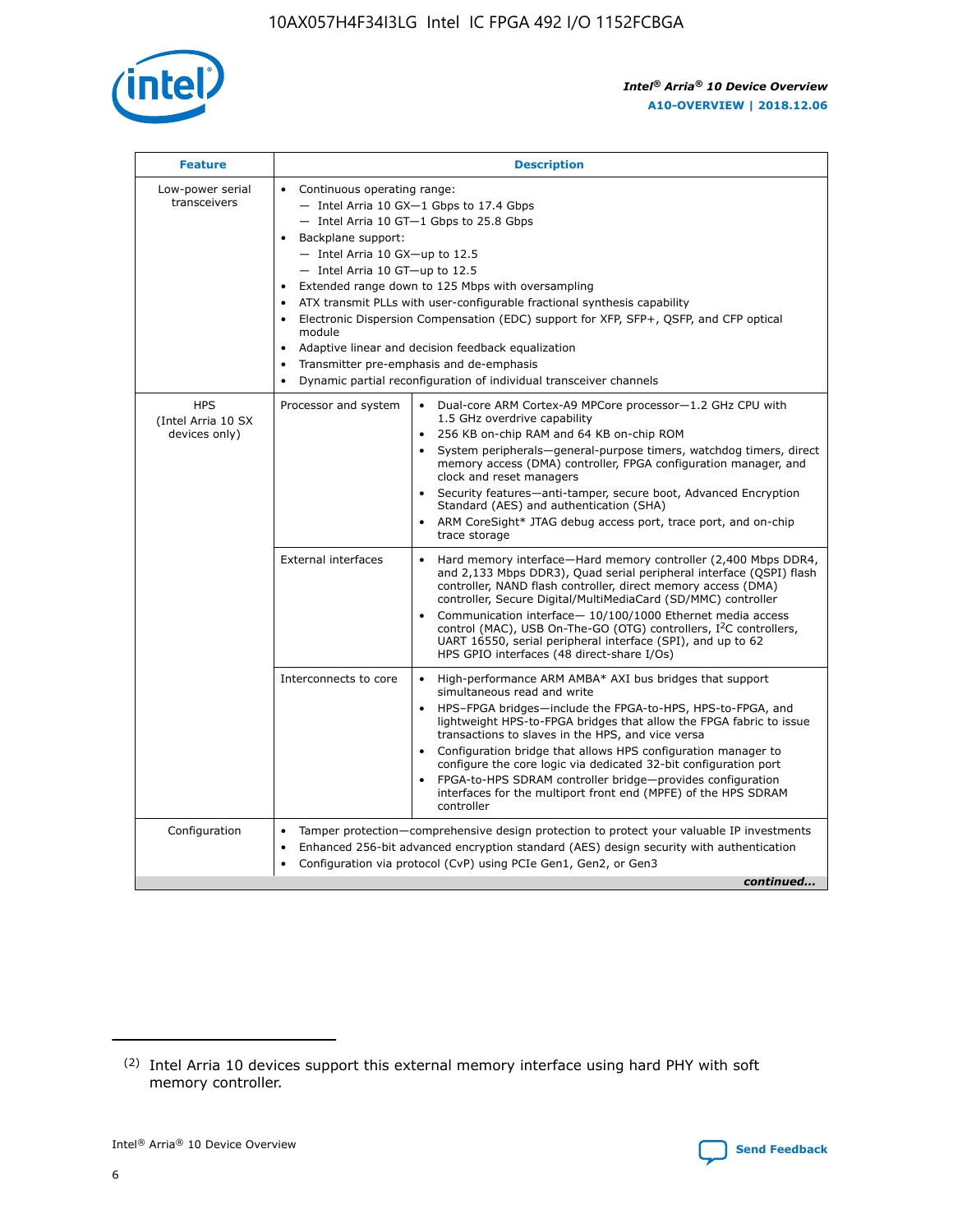

| <b>Feature</b>                                    | <b>Description</b>                                                                                                                                                                                                                                                                                                                                                                                                                                                                                                                                                                                                                                                      |
|---------------------------------------------------|-------------------------------------------------------------------------------------------------------------------------------------------------------------------------------------------------------------------------------------------------------------------------------------------------------------------------------------------------------------------------------------------------------------------------------------------------------------------------------------------------------------------------------------------------------------------------------------------------------------------------------------------------------------------------|
| Low-power serial<br>transceivers                  | • Continuous operating range:<br>- Intel Arria 10 GX-1 Gbps to 17.4 Gbps<br>$-$ Intel Arria 10 GT $-1$ Gbps to 25.8 Gbps<br>Backplane support:<br>$\bullet$<br>$-$ Intel Arria 10 GX-up to 12.5<br>- Intel Arria 10 GT-up to 12.5<br>Extended range down to 125 Mbps with oversampling<br>ATX transmit PLLs with user-configurable fractional synthesis capability<br>Electronic Dispersion Compensation (EDC) support for XFP, SFP+, OSFP, and CFP optical<br>module<br>Adaptive linear and decision feedback equalization<br>$\bullet$<br>Transmitter pre-emphasis and de-emphasis<br>$\bullet$<br>Dynamic partial reconfiguration of individual transceiver channels |
| <b>HPS</b><br>(Intel Arria 10 SX<br>devices only) | Processor and system<br>• Dual-core ARM Cortex-A9 MPCore processor-1.2 GHz CPU with<br>1.5 GHz overdrive capability<br>256 KB on-chip RAM and 64 KB on-chip ROM<br>System peripherals—general-purpose timers, watchdog timers, direct<br>memory access (DMA) controller, FPGA configuration manager, and<br>clock and reset managers<br>• Security features—anti-tamper, secure boot, Advanced Encryption<br>Standard (AES) and authentication (SHA)<br>• ARM CoreSight* JTAG debug access port, trace port, and on-chip<br>trace storage                                                                                                                               |
|                                                   | <b>External interfaces</b><br>Hard memory interface—Hard memory controller (2,400 Mbps DDR4,<br>and 2,133 Mbps DDR3), Quad serial peripheral interface (QSPI) flash<br>controller, NAND flash controller, direct memory access (DMA)<br>controller, Secure Digital/MultiMediaCard (SD/MMC) controller<br>Communication interface-10/100/1000 Ethernet media access<br>$\bullet$<br>control (MAC), USB On-The-GO (OTG) controllers, I <sup>2</sup> C controllers,<br>UART 16550, serial peripheral interface (SPI), and up to 62<br>HPS GPIO interfaces (48 direct-share I/Os)                                                                                           |
|                                                   | • High-performance ARM AMBA* AXI bus bridges that support<br>Interconnects to core<br>simultaneous read and write<br>HPS-FPGA bridges-include the FPGA-to-HPS, HPS-to-FPGA, and<br>$\bullet$<br>lightweight HPS-to-FPGA bridges that allow the FPGA fabric to issue<br>transactions to slaves in the HPS, and vice versa<br>Configuration bridge that allows HPS configuration manager to<br>configure the core logic via dedicated 32-bit configuration port<br>FPGA-to-HPS SDRAM controller bridge-provides configuration<br>interfaces for the multiport front end (MPFE) of the HPS SDRAM<br>controller                                                             |
| Configuration                                     | Tamper protection—comprehensive design protection to protect your valuable IP investments<br>Enhanced 256-bit advanced encryption standard (AES) design security with authentication<br>٠<br>Configuration via protocol (CvP) using PCIe Gen1, Gen2, or Gen3<br>continued                                                                                                                                                                                                                                                                                                                                                                                               |

<sup>(2)</sup> Intel Arria 10 devices support this external memory interface using hard PHY with soft memory controller.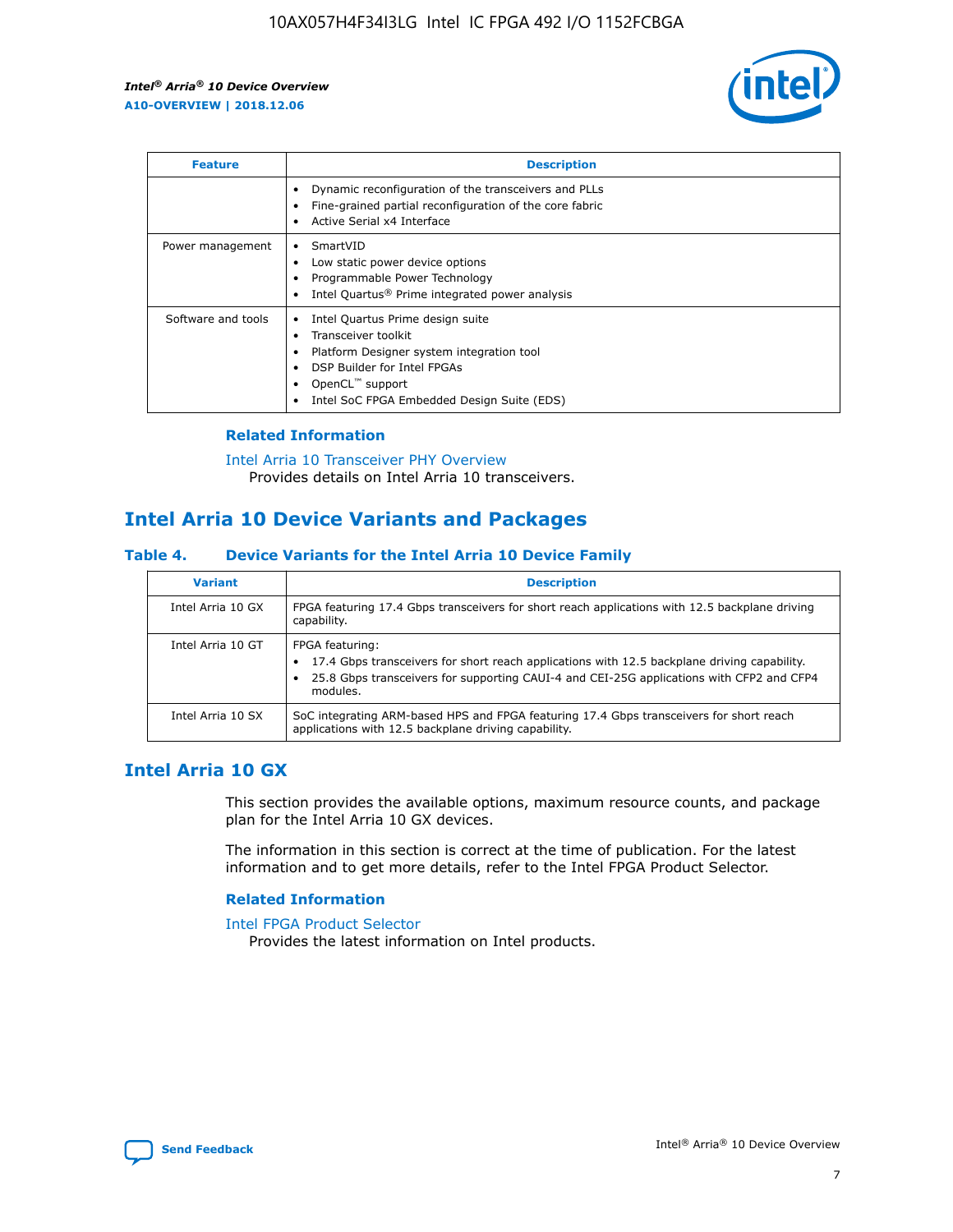

| <b>Feature</b>     | <b>Description</b>                                                                                                                                                                                               |
|--------------------|------------------------------------------------------------------------------------------------------------------------------------------------------------------------------------------------------------------|
|                    | Dynamic reconfiguration of the transceivers and PLLs<br>Fine-grained partial reconfiguration of the core fabric<br>Active Serial x4 Interface<br>$\bullet$                                                       |
| Power management   | SmartVID<br>Low static power device options<br>Programmable Power Technology<br>Intel Quartus <sup>®</sup> Prime integrated power analysis                                                                       |
| Software and tools | Intel Quartus Prime design suite<br>Transceiver toolkit<br>Platform Designer system integration tool<br>DSP Builder for Intel FPGAs<br>OpenCL <sup>™</sup> support<br>Intel SoC FPGA Embedded Design Suite (EDS) |

## **Related Information**

[Intel Arria 10 Transceiver PHY Overview](https://www.intel.com/content/www/us/en/programmable/documentation/nik1398707230472.html#nik1398706768037) Provides details on Intel Arria 10 transceivers.

# **Intel Arria 10 Device Variants and Packages**

#### **Table 4. Device Variants for the Intel Arria 10 Device Family**

| <b>Variant</b>    | <b>Description</b>                                                                                                                                                                                                     |
|-------------------|------------------------------------------------------------------------------------------------------------------------------------------------------------------------------------------------------------------------|
| Intel Arria 10 GX | FPGA featuring 17.4 Gbps transceivers for short reach applications with 12.5 backplane driving<br>capability.                                                                                                          |
| Intel Arria 10 GT | FPGA featuring:<br>17.4 Gbps transceivers for short reach applications with 12.5 backplane driving capability.<br>25.8 Gbps transceivers for supporting CAUI-4 and CEI-25G applications with CFP2 and CFP4<br>modules. |
| Intel Arria 10 SX | SoC integrating ARM-based HPS and FPGA featuring 17.4 Gbps transceivers for short reach<br>applications with 12.5 backplane driving capability.                                                                        |

# **Intel Arria 10 GX**

This section provides the available options, maximum resource counts, and package plan for the Intel Arria 10 GX devices.

The information in this section is correct at the time of publication. For the latest information and to get more details, refer to the Intel FPGA Product Selector.

#### **Related Information**

#### [Intel FPGA Product Selector](http://www.altera.com/products/selector/psg-selector.html) Provides the latest information on Intel products.

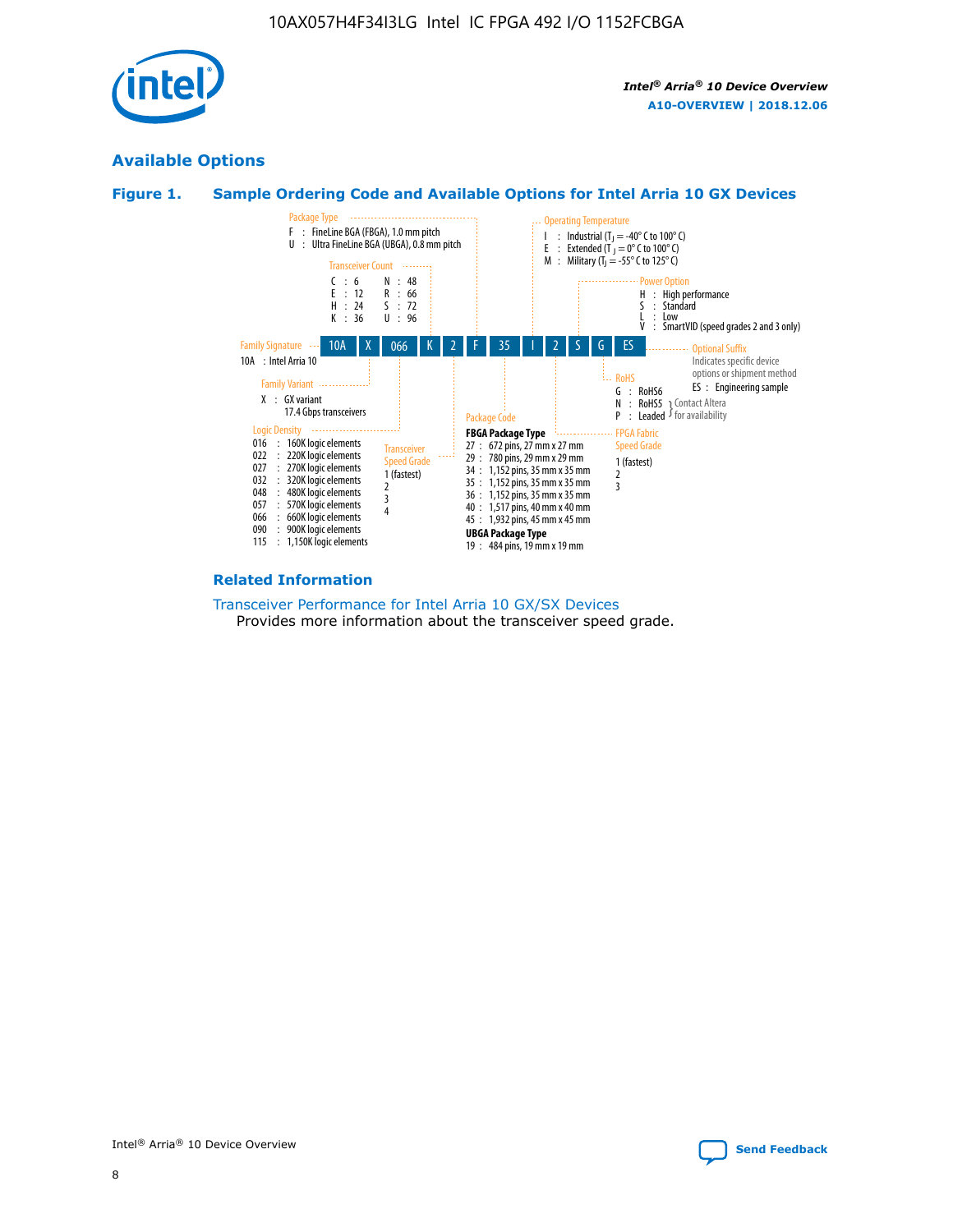

# **Available Options**



![](_page_8_Figure_5.jpeg)

#### **Related Information**

[Transceiver Performance for Intel Arria 10 GX/SX Devices](https://www.intel.com/content/www/us/en/programmable/documentation/mcn1413182292568.html#mcn1413213965502) Provides more information about the transceiver speed grade.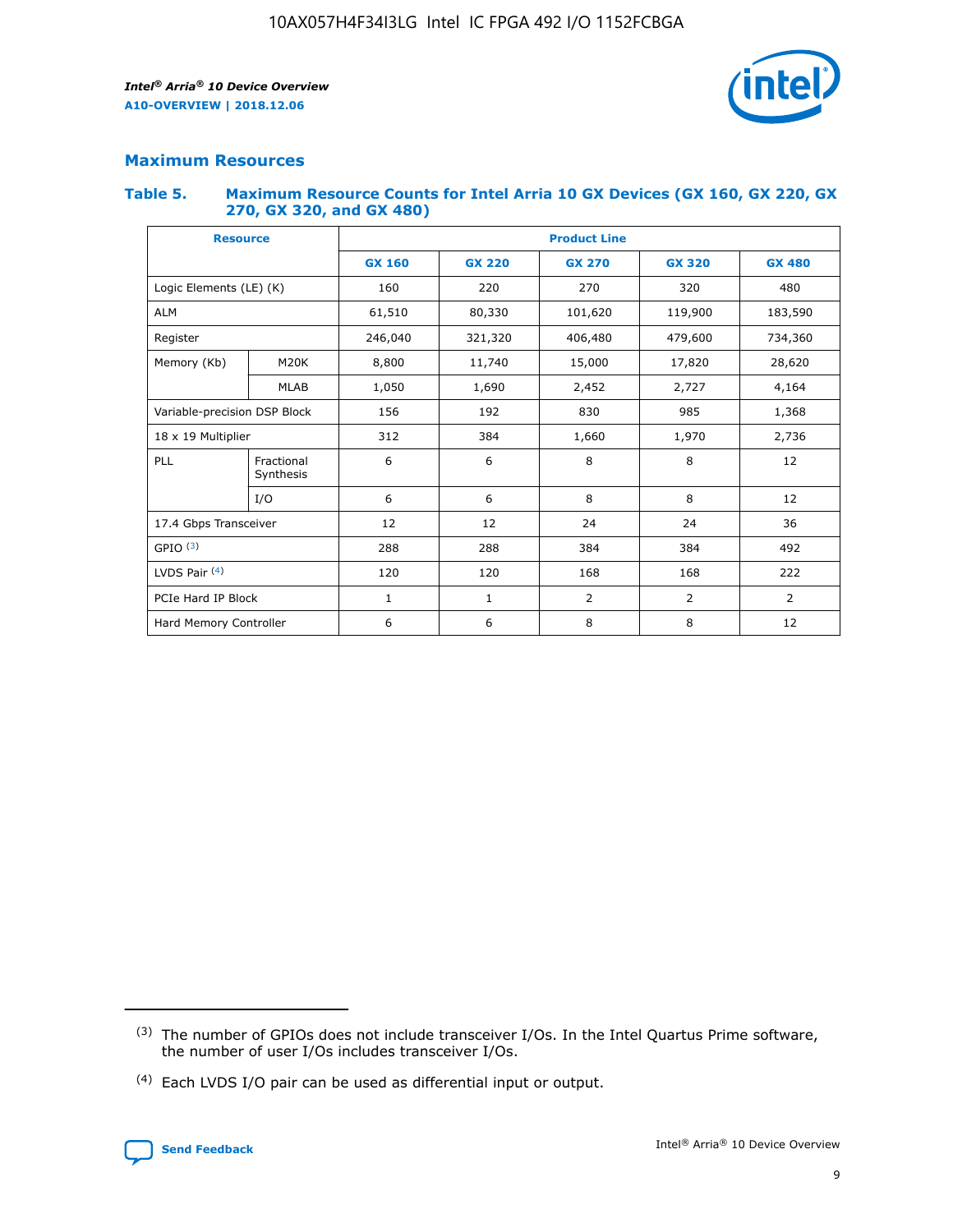![](_page_9_Picture_2.jpeg)

## **Maximum Resources**

#### **Table 5. Maximum Resource Counts for Intel Arria 10 GX Devices (GX 160, GX 220, GX 270, GX 320, and GX 480)**

| <b>Resource</b>              |                         | <b>Product Line</b> |                                                 |                |                |                |  |  |  |
|------------------------------|-------------------------|---------------------|-------------------------------------------------|----------------|----------------|----------------|--|--|--|
|                              |                         | <b>GX 160</b>       | <b>GX 220</b><br><b>GX 270</b><br><b>GX 320</b> |                |                | <b>GX 480</b>  |  |  |  |
| Logic Elements (LE) (K)      |                         | 160                 | 220                                             | 270            | 320            | 480            |  |  |  |
| <b>ALM</b>                   |                         | 61,510              | 80,330                                          | 101,620        | 119,900        | 183,590        |  |  |  |
| Register                     |                         | 246,040             | 321,320                                         | 406,480        | 479,600        | 734,360        |  |  |  |
| Memory (Kb)                  | M <sub>20</sub> K       | 8,800               | 11,740                                          | 15,000         | 17,820         | 28,620         |  |  |  |
| <b>MLAB</b>                  |                         | 1,050               | 1,690                                           | 2,452          | 2,727          | 4,164          |  |  |  |
| Variable-precision DSP Block |                         | 156                 | 985<br>192<br>830                               |                |                | 1,368          |  |  |  |
| 18 x 19 Multiplier           |                         | 312                 | 384                                             | 1,660<br>1,970 |                | 2,736          |  |  |  |
| PLL                          | Fractional<br>Synthesis | 6                   | 6                                               | 8              | 8              | 12             |  |  |  |
|                              | I/O                     | 6                   | 6                                               | 8              | 8              | 12             |  |  |  |
| 17.4 Gbps Transceiver        |                         | 12                  | 12                                              | 24             | 24             |                |  |  |  |
| GPIO <sup>(3)</sup>          |                         | 288                 | 288                                             | 384<br>384     |                | 492            |  |  |  |
| LVDS Pair $(4)$              |                         | 120                 | 120                                             | 168            | 168            | 222            |  |  |  |
| PCIe Hard IP Block           |                         | $\mathbf{1}$        | 1                                               | $\overline{2}$ | $\overline{2}$ | $\overline{2}$ |  |  |  |
| Hard Memory Controller       |                         | 6                   | 6                                               | 8              | 8              | 12             |  |  |  |

<sup>(4)</sup> Each LVDS I/O pair can be used as differential input or output.

![](_page_9_Picture_8.jpeg)

<sup>(3)</sup> The number of GPIOs does not include transceiver I/Os. In the Intel Quartus Prime software, the number of user I/Os includes transceiver I/Os.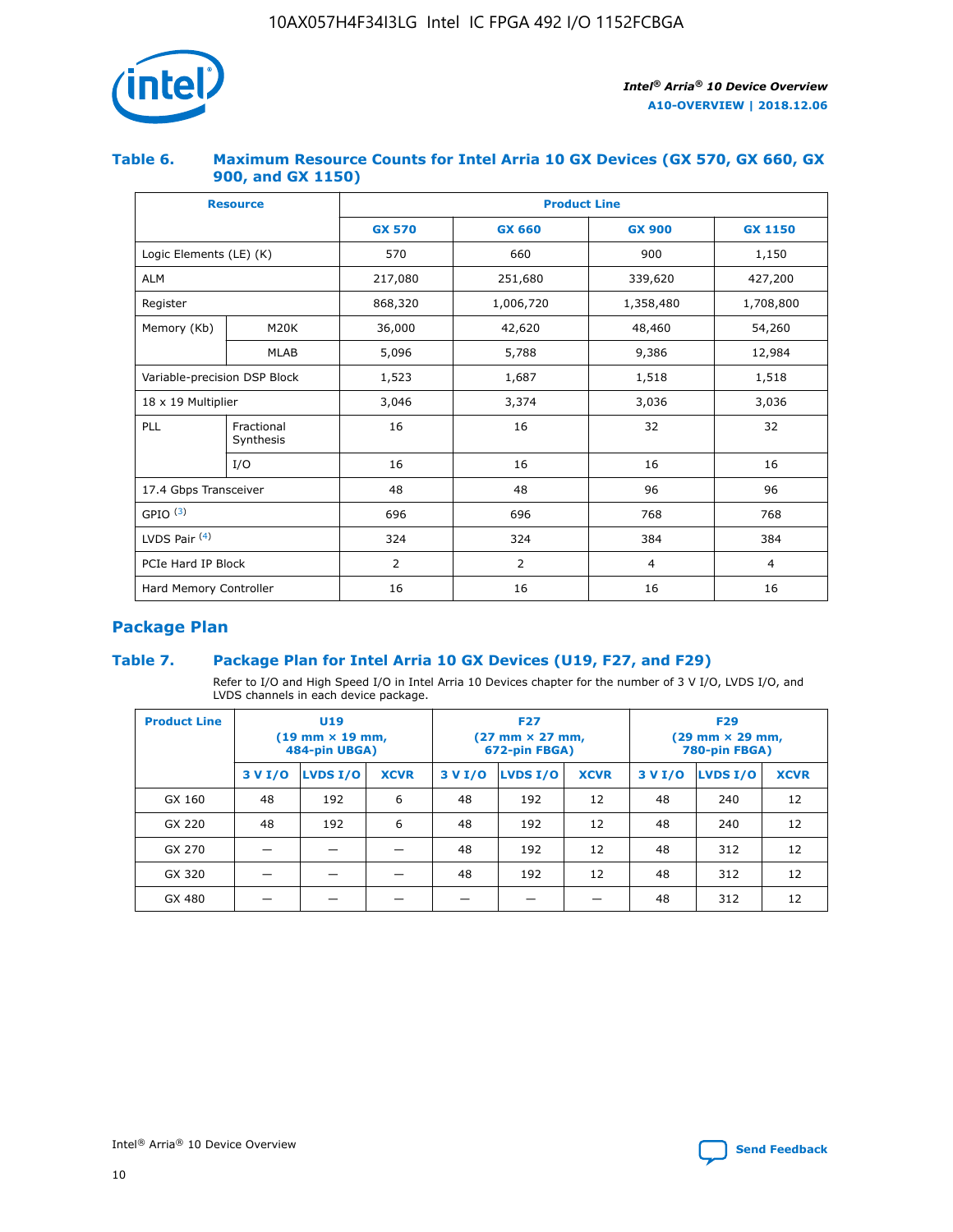![](_page_10_Picture_1.jpeg)

## **Table 6. Maximum Resource Counts for Intel Arria 10 GX Devices (GX 570, GX 660, GX 900, and GX 1150)**

|                              | <b>Resource</b>         | <b>Product Line</b> |                |                |                |  |  |  |
|------------------------------|-------------------------|---------------------|----------------|----------------|----------------|--|--|--|
|                              |                         | <b>GX 570</b>       | <b>GX 660</b>  | <b>GX 900</b>  | <b>GX 1150</b> |  |  |  |
| Logic Elements (LE) (K)      |                         | 570                 | 660            | 900            | 1,150          |  |  |  |
| <b>ALM</b>                   |                         | 217,080             | 251,680        | 339,620        | 427,200        |  |  |  |
| Register                     |                         | 868,320             | 1,006,720      | 1,358,480      | 1,708,800      |  |  |  |
| Memory (Kb)                  | <b>M20K</b>             | 36,000              | 42,620         | 48,460         | 54,260         |  |  |  |
|                              | <b>MLAB</b>             | 5,096               | 5,788          | 9,386          | 12,984         |  |  |  |
| Variable-precision DSP Block |                         | 1,523               | 1,687          | 1,518          | 1,518          |  |  |  |
|                              | 18 x 19 Multiplier      |                     | 3,374          | 3,036          | 3,036          |  |  |  |
| PLL                          | Fractional<br>Synthesis | 16                  | 16             | 32             | 32             |  |  |  |
|                              | I/O                     | 16                  | 16             | 16             | 16             |  |  |  |
| 17.4 Gbps Transceiver        |                         | 48                  | 48             | 96             | 96             |  |  |  |
| GPIO <sup>(3)</sup>          |                         | 696                 | 696            | 768            | 768            |  |  |  |
| LVDS Pair $(4)$              |                         | 324                 | 324            | 384            | 384            |  |  |  |
| PCIe Hard IP Block           |                         | 2                   | $\overline{2}$ | $\overline{4}$ | $\overline{4}$ |  |  |  |
| Hard Memory Controller       |                         | 16                  | 16             | 16             | 16             |  |  |  |

# **Package Plan**

# **Table 7. Package Plan for Intel Arria 10 GX Devices (U19, F27, and F29)**

Refer to I/O and High Speed I/O in Intel Arria 10 Devices chapter for the number of 3 V I/O, LVDS I/O, and LVDS channels in each device package.

| <b>Product Line</b> | U <sub>19</sub><br>$(19 \text{ mm} \times 19 \text{ mm})$<br>484-pin UBGA) |          |             |         | <b>F27</b><br>(27 mm × 27 mm,<br>672-pin FBGA) |             | <b>F29</b><br>(29 mm × 29 mm,<br>780-pin FBGA) |          |             |  |
|---------------------|----------------------------------------------------------------------------|----------|-------------|---------|------------------------------------------------|-------------|------------------------------------------------|----------|-------------|--|
|                     | 3 V I/O                                                                    | LVDS I/O | <b>XCVR</b> | 3 V I/O | <b>LVDS I/O</b>                                | <b>XCVR</b> | 3 V I/O                                        | LVDS I/O | <b>XCVR</b> |  |
| GX 160              | 48                                                                         | 192      | 6           | 48      | 192                                            | 12          | 48                                             | 240      | 12          |  |
| GX 220              | 48                                                                         | 192      | 6           | 48      | 192                                            | 12          | 48                                             | 240      | 12          |  |
| GX 270              |                                                                            |          |             | 48      | 192                                            | 12          | 48                                             | 312      | 12          |  |
| GX 320              |                                                                            |          |             | 48      | 192                                            | 12          | 48                                             | 312      | 12          |  |
| GX 480              |                                                                            |          |             |         |                                                |             | 48                                             | 312      | 12          |  |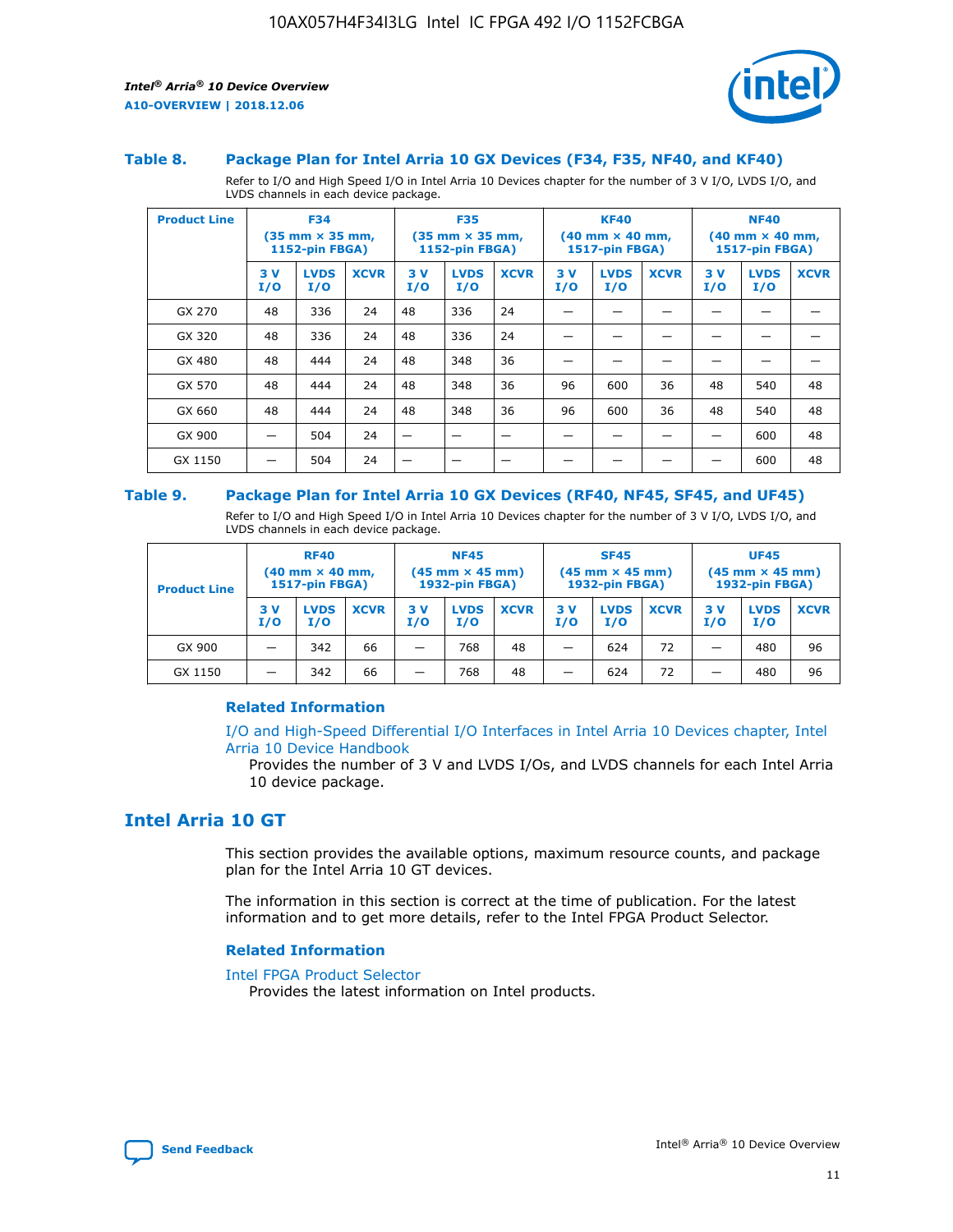![](_page_11_Picture_2.jpeg)

#### **Table 8. Package Plan for Intel Arria 10 GX Devices (F34, F35, NF40, and KF40)**

Refer to I/O and High Speed I/O in Intel Arria 10 Devices chapter for the number of 3 V I/O, LVDS I/O, and LVDS channels in each device package.

| <b>Product Line</b> | <b>F34</b><br>$(35 \text{ mm} \times 35 \text{ mm})$<br><b>1152-pin FBGA)</b> |                    | <b>F35</b><br>$(35 \text{ mm} \times 35 \text{ mm})$<br><b>1152-pin FBGA)</b> |           | <b>KF40</b><br>$(40$ mm $\times$ 40 mm,<br>1517-pin FBGA) |             |           | <b>NF40</b><br>$(40 \text{ mm} \times 40 \text{ mm})$<br>1517-pin FBGA) |             |           |                    |             |
|---------------------|-------------------------------------------------------------------------------|--------------------|-------------------------------------------------------------------------------|-----------|-----------------------------------------------------------|-------------|-----------|-------------------------------------------------------------------------|-------------|-----------|--------------------|-------------|
|                     | 3V<br>I/O                                                                     | <b>LVDS</b><br>I/O | <b>XCVR</b>                                                                   | 3V<br>I/O | <b>LVDS</b><br>I/O                                        | <b>XCVR</b> | 3V<br>I/O | <b>LVDS</b><br>I/O                                                      | <b>XCVR</b> | 3V<br>I/O | <b>LVDS</b><br>I/O | <b>XCVR</b> |
| GX 270              | 48                                                                            | 336                | 24                                                                            | 48        | 336                                                       | 24          |           |                                                                         |             |           |                    |             |
| GX 320              | 48                                                                            | 336                | 24                                                                            | 48        | 336                                                       | 24          |           |                                                                         |             |           |                    |             |
| GX 480              | 48                                                                            | 444                | 24                                                                            | 48        | 348                                                       | 36          |           |                                                                         |             |           |                    |             |
| GX 570              | 48                                                                            | 444                | 24                                                                            | 48        | 348                                                       | 36          | 96        | 600                                                                     | 36          | 48        | 540                | 48          |
| GX 660              | 48                                                                            | 444                | 24                                                                            | 48        | 348                                                       | 36          | 96        | 600                                                                     | 36          | 48        | 540                | 48          |
| GX 900              |                                                                               | 504                | 24                                                                            | —         |                                                           | -           |           |                                                                         |             |           | 600                | 48          |
| GX 1150             |                                                                               | 504                | 24                                                                            |           |                                                           |             |           |                                                                         |             |           | 600                | 48          |

#### **Table 9. Package Plan for Intel Arria 10 GX Devices (RF40, NF45, SF45, and UF45)**

Refer to I/O and High Speed I/O in Intel Arria 10 Devices chapter for the number of 3 V I/O, LVDS I/O, and LVDS channels in each device package.

| <b>Product Line</b> | <b>RF40</b><br>$(40$ mm $\times$ 40 mm,<br>1517-pin FBGA) |                    |             | <b>NF45</b><br>$(45 \text{ mm} \times 45 \text{ mm})$<br><b>1932-pin FBGA)</b> |                    |             | <b>SF45</b><br>$(45 \text{ mm} \times 45 \text{ mm})$<br><b>1932-pin FBGA)</b> |                    |             | <b>UF45</b><br>$(45 \text{ mm} \times 45 \text{ mm})$<br><b>1932-pin FBGA)</b> |                    |             |
|---------------------|-----------------------------------------------------------|--------------------|-------------|--------------------------------------------------------------------------------|--------------------|-------------|--------------------------------------------------------------------------------|--------------------|-------------|--------------------------------------------------------------------------------|--------------------|-------------|
|                     | 3V<br>I/O                                                 | <b>LVDS</b><br>I/O | <b>XCVR</b> | 3 V<br>I/O                                                                     | <b>LVDS</b><br>I/O | <b>XCVR</b> | 3 V<br>I/O                                                                     | <b>LVDS</b><br>I/O | <b>XCVR</b> | 3V<br>I/O                                                                      | <b>LVDS</b><br>I/O | <b>XCVR</b> |
| GX 900              |                                                           | 342                | 66          | _                                                                              | 768                | 48          |                                                                                | 624                | 72          |                                                                                | 480                | 96          |
| GX 1150             |                                                           | 342                | 66          | _                                                                              | 768                | 48          |                                                                                | 624                | 72          |                                                                                | 480                | 96          |

#### **Related Information**

[I/O and High-Speed Differential I/O Interfaces in Intel Arria 10 Devices chapter, Intel](https://www.intel.com/content/www/us/en/programmable/documentation/sam1403482614086.html#sam1403482030321) [Arria 10 Device Handbook](https://www.intel.com/content/www/us/en/programmable/documentation/sam1403482614086.html#sam1403482030321)

Provides the number of 3 V and LVDS I/Os, and LVDS channels for each Intel Arria 10 device package.

# **Intel Arria 10 GT**

This section provides the available options, maximum resource counts, and package plan for the Intel Arria 10 GT devices.

The information in this section is correct at the time of publication. For the latest information and to get more details, refer to the Intel FPGA Product Selector.

#### **Related Information**

#### [Intel FPGA Product Selector](http://www.altera.com/products/selector/psg-selector.html)

Provides the latest information on Intel products.

![](_page_11_Picture_18.jpeg)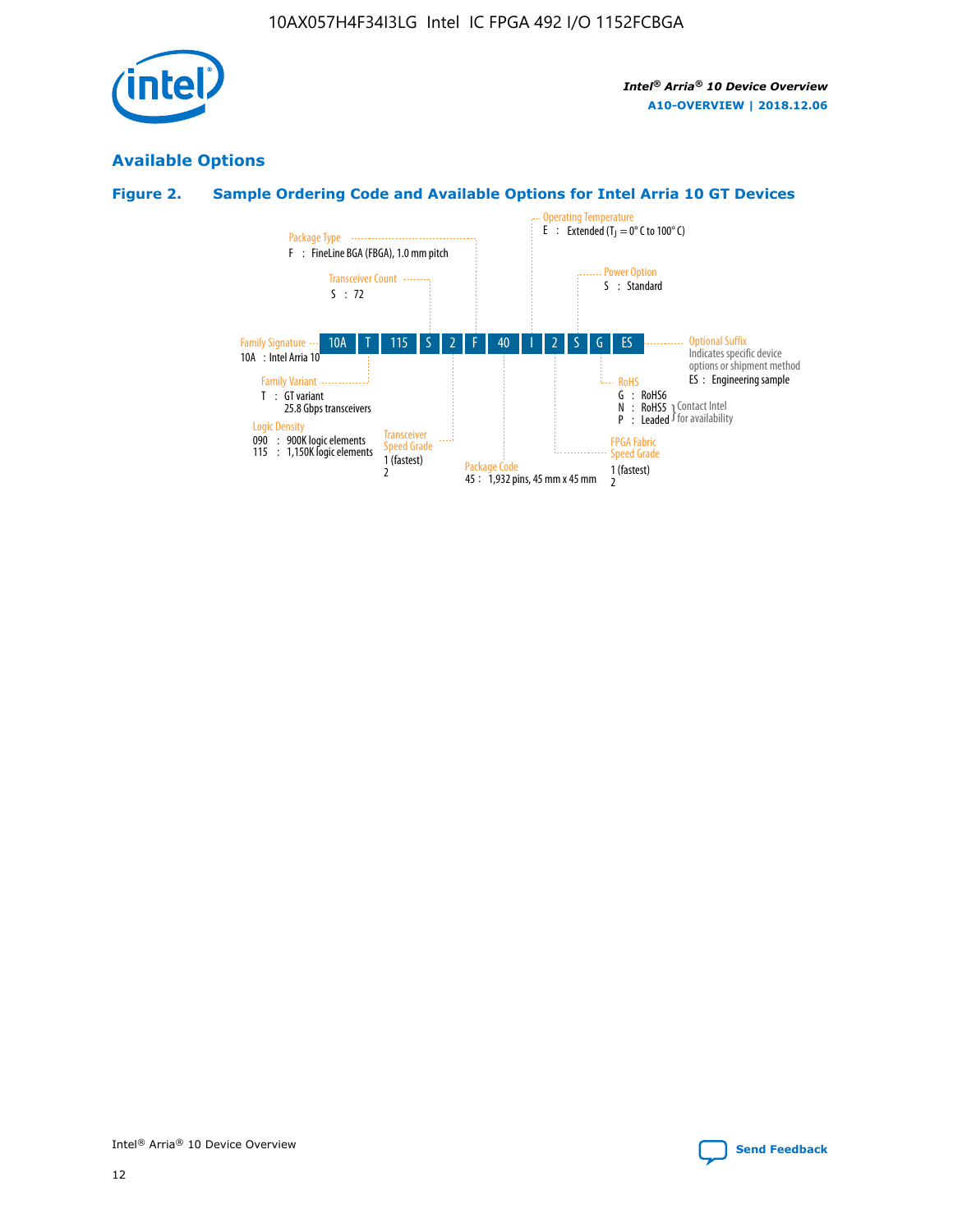![](_page_12_Picture_1.jpeg)

# **Available Options**

# **Figure 2. Sample Ordering Code and Available Options for Intel Arria 10 GT Devices**

![](_page_12_Figure_5.jpeg)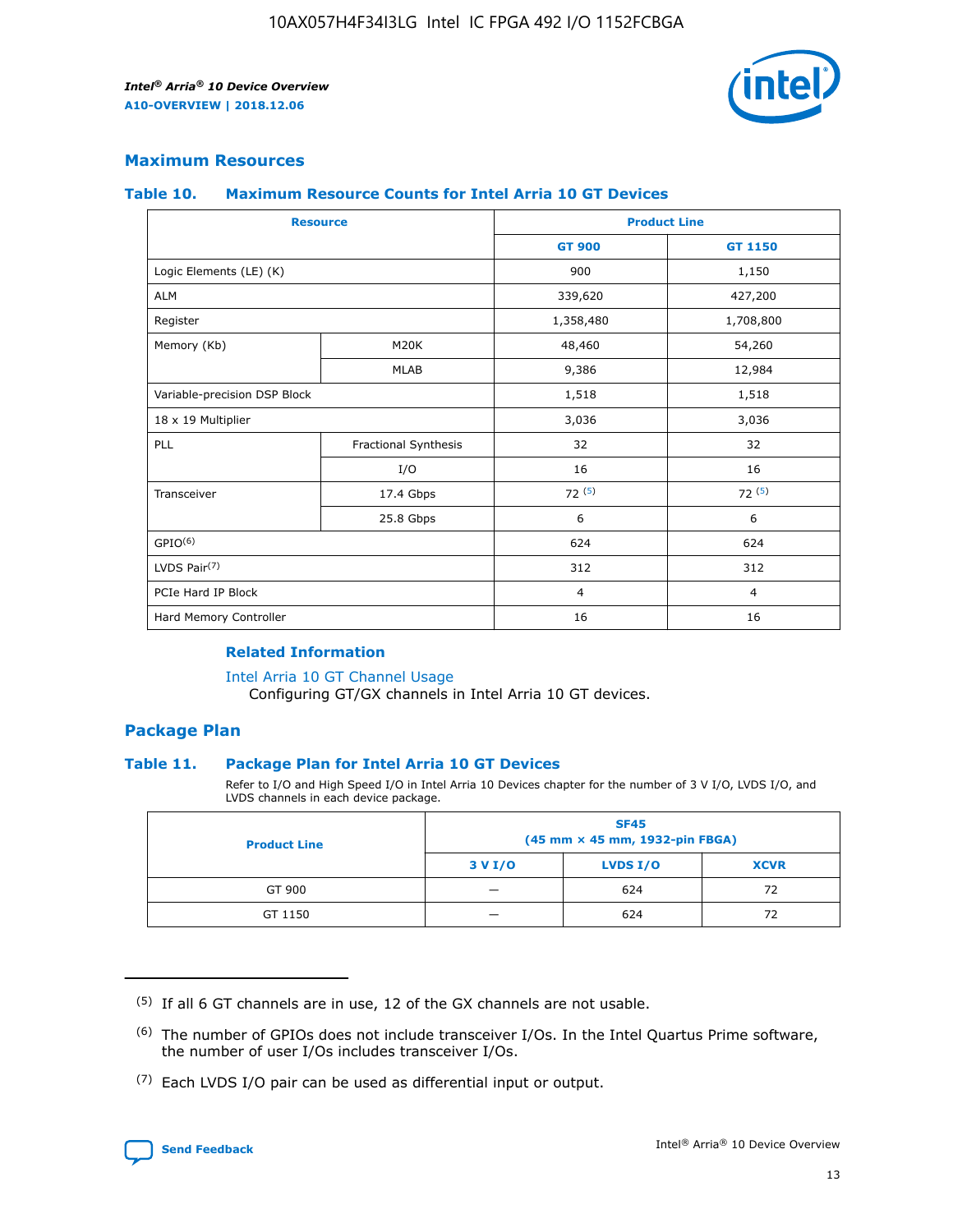![](_page_13_Picture_2.jpeg)

## **Maximum Resources**

#### **Table 10. Maximum Resource Counts for Intel Arria 10 GT Devices**

|                              | <b>Resource</b>      | <b>Product Line</b> |                |  |
|------------------------------|----------------------|---------------------|----------------|--|
|                              |                      | <b>GT 900</b>       | GT 1150        |  |
| Logic Elements (LE) (K)      |                      | 900                 | 1,150          |  |
| <b>ALM</b>                   |                      | 339,620             | 427,200        |  |
| Register                     |                      | 1,358,480           | 1,708,800      |  |
| Memory (Kb)                  | M20K                 | 48,460              | 54,260         |  |
|                              | <b>MLAB</b>          | 9,386               | 12,984         |  |
| Variable-precision DSP Block |                      | 1,518               | 1,518          |  |
| 18 x 19 Multiplier           |                      | 3,036               | 3,036          |  |
| <b>PLL</b>                   | Fractional Synthesis | 32                  | 32             |  |
|                              | I/O                  | 16                  | 16             |  |
| Transceiver                  | 17.4 Gbps            | 72(5)               | 72(5)          |  |
|                              | 25.8 Gbps            | 6                   | 6              |  |
| GPIO <sup>(6)</sup>          |                      | 624                 | 624            |  |
| LVDS Pair $(7)$              |                      | 312                 | 312            |  |
| PCIe Hard IP Block           |                      | $\overline{4}$      | $\overline{4}$ |  |
| Hard Memory Controller       |                      | 16                  | 16             |  |

#### **Related Information**

#### [Intel Arria 10 GT Channel Usage](https://www.intel.com/content/www/us/en/programmable/documentation/nik1398707230472.html#nik1398707008178)

Configuring GT/GX channels in Intel Arria 10 GT devices.

## **Package Plan**

#### **Table 11. Package Plan for Intel Arria 10 GT Devices**

Refer to I/O and High Speed I/O in Intel Arria 10 Devices chapter for the number of 3 V I/O, LVDS I/O, and LVDS channels in each device package.

| <b>Product Line</b> | <b>SF45</b><br>(45 mm × 45 mm, 1932-pin FBGA) |                 |             |  |  |  |
|---------------------|-----------------------------------------------|-----------------|-------------|--|--|--|
|                     | 3 V I/O                                       | <b>LVDS I/O</b> | <b>XCVR</b> |  |  |  |
| GT 900              |                                               | 624             | 72          |  |  |  |
| GT 1150             |                                               | 624             | 72          |  |  |  |

<sup>(7)</sup> Each LVDS I/O pair can be used as differential input or output.

![](_page_13_Picture_16.jpeg)

 $(5)$  If all 6 GT channels are in use, 12 of the GX channels are not usable.

<sup>(6)</sup> The number of GPIOs does not include transceiver I/Os. In the Intel Quartus Prime software, the number of user I/Os includes transceiver I/Os.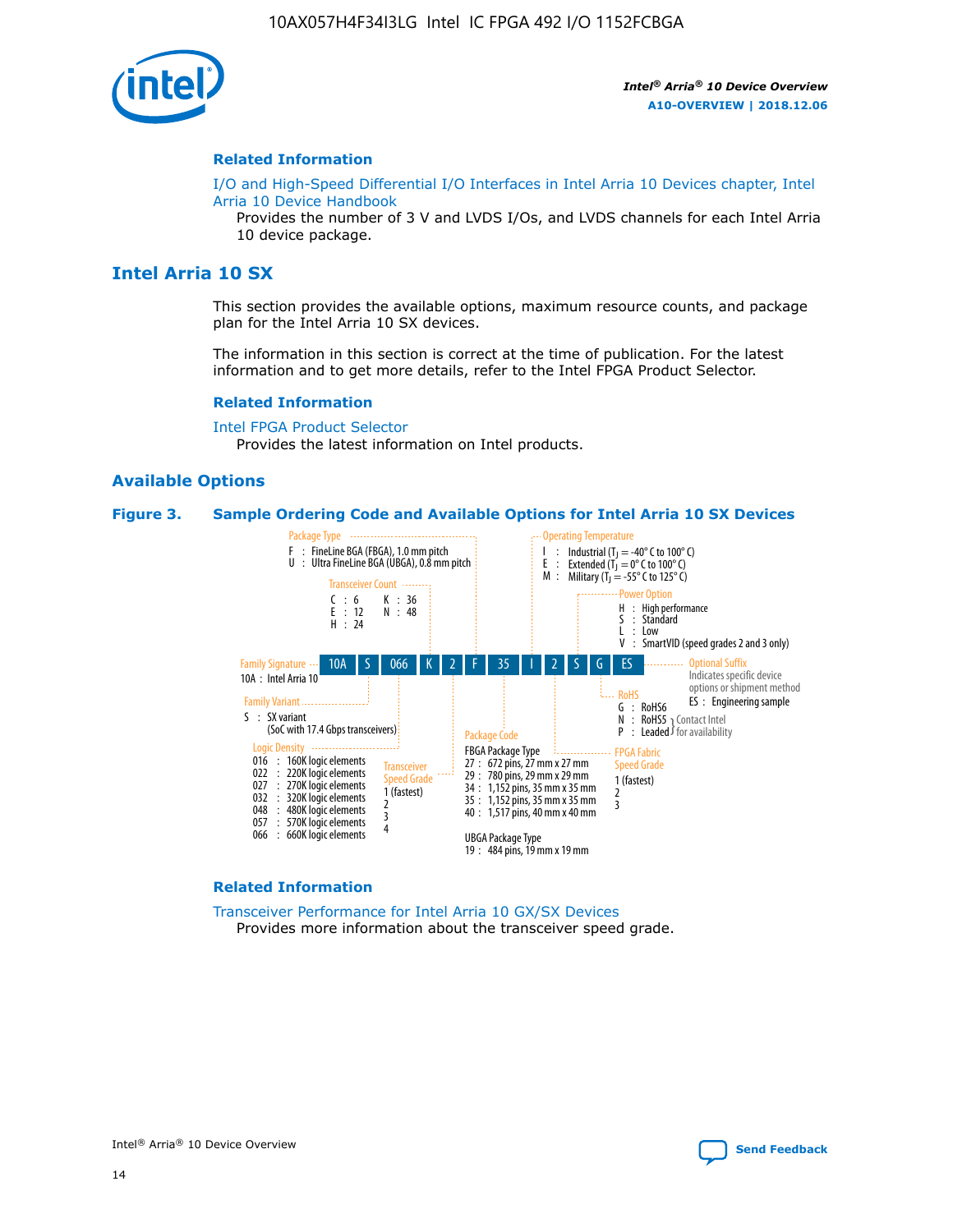![](_page_14_Picture_1.jpeg)

#### **Related Information**

[I/O and High-Speed Differential I/O Interfaces in Intel Arria 10 Devices chapter, Intel](https://www.intel.com/content/www/us/en/programmable/documentation/sam1403482614086.html#sam1403482030321) [Arria 10 Device Handbook](https://www.intel.com/content/www/us/en/programmable/documentation/sam1403482614086.html#sam1403482030321)

Provides the number of 3 V and LVDS I/Os, and LVDS channels for each Intel Arria 10 device package.

# **Intel Arria 10 SX**

This section provides the available options, maximum resource counts, and package plan for the Intel Arria 10 SX devices.

The information in this section is correct at the time of publication. For the latest information and to get more details, refer to the Intel FPGA Product Selector.

#### **Related Information**

[Intel FPGA Product Selector](http://www.altera.com/products/selector/psg-selector.html) Provides the latest information on Intel products.

#### **Available Options**

#### **Figure 3. Sample Ordering Code and Available Options for Intel Arria 10 SX Devices**

![](_page_14_Figure_13.jpeg)

#### **Related Information**

[Transceiver Performance for Intel Arria 10 GX/SX Devices](https://www.intel.com/content/www/us/en/programmable/documentation/mcn1413182292568.html#mcn1413213965502) Provides more information about the transceiver speed grade.

![](_page_14_Picture_16.jpeg)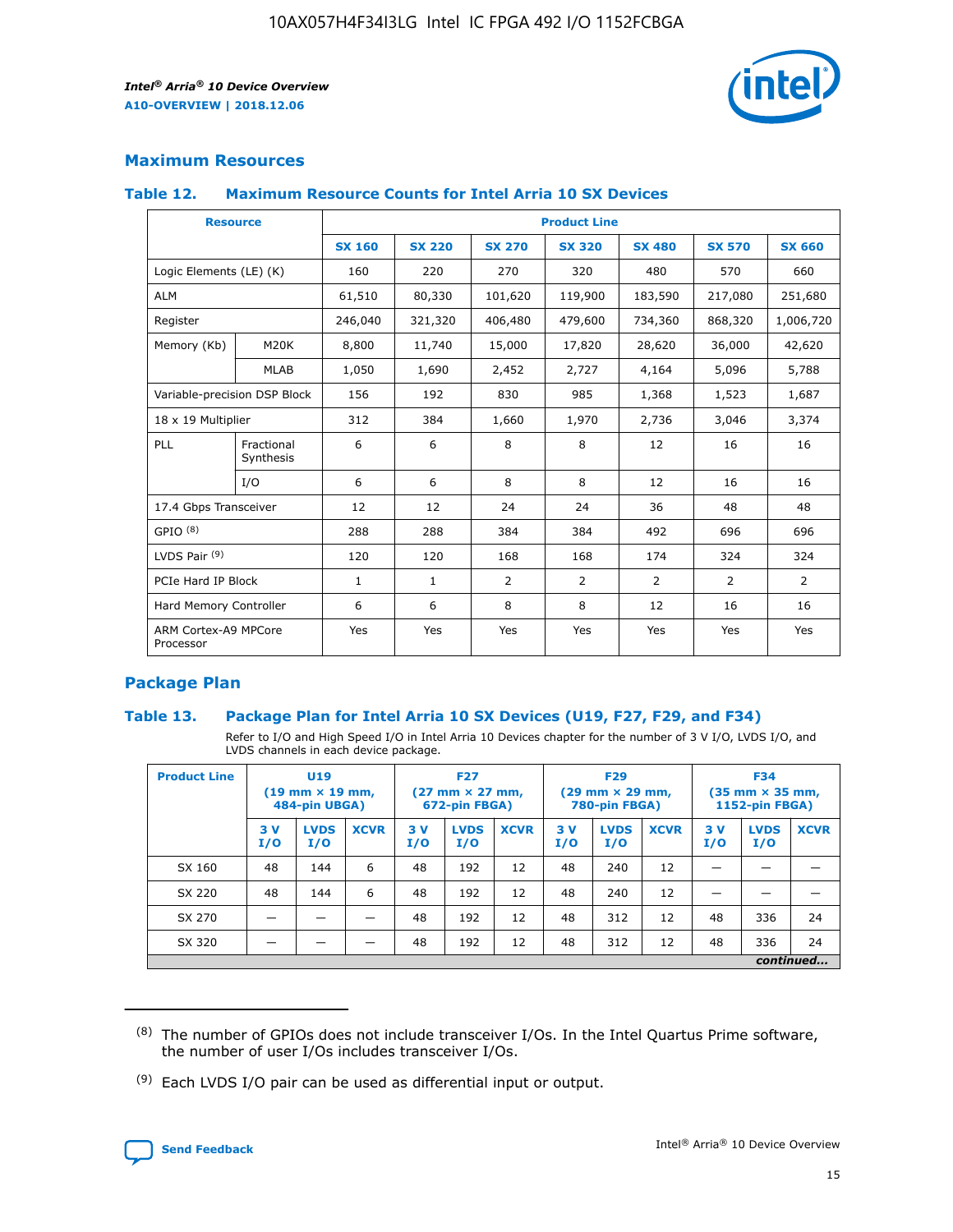![](_page_15_Picture_2.jpeg)

# **Maximum Resources**

#### **Table 12. Maximum Resource Counts for Intel Arria 10 SX Devices**

| <b>Resource</b>                   |                         | <b>Product Line</b> |               |                |                |                |                |                |  |  |  |
|-----------------------------------|-------------------------|---------------------|---------------|----------------|----------------|----------------|----------------|----------------|--|--|--|
|                                   |                         | <b>SX 160</b>       | <b>SX 220</b> | <b>SX 270</b>  | <b>SX 320</b>  | <b>SX 480</b>  | <b>SX 570</b>  | <b>SX 660</b>  |  |  |  |
| Logic Elements (LE) (K)           |                         | 160                 | 220           | 270            | 320            | 480            | 570            | 660            |  |  |  |
| <b>ALM</b>                        |                         | 61,510              | 80,330        | 101,620        | 119,900        | 183,590        | 217,080        | 251,680        |  |  |  |
| Register                          |                         | 246,040             | 321,320       | 406,480        | 479,600        | 734,360        | 868,320        | 1,006,720      |  |  |  |
| Memory (Kb)                       | M <sub>20</sub> K       | 8,800               | 11,740        | 15,000         | 17,820         | 28,620         | 36,000         | 42,620         |  |  |  |
|                                   | <b>MLAB</b>             | 1,050               | 1,690         | 2,452          | 2,727          | 4,164          | 5,096          | 5,788          |  |  |  |
| Variable-precision DSP Block      |                         | 156                 | 192           | 830            | 985            | 1,368          | 1,523          | 1,687          |  |  |  |
| 18 x 19 Multiplier                |                         | 312                 | 384           | 1,660          | 1,970          | 2,736          | 3,046          | 3,374          |  |  |  |
| PLL                               | Fractional<br>Synthesis | 6                   | 6             | 8              | 8              | 12             | 16             | 16             |  |  |  |
|                                   | I/O                     | 6                   | 6             | 8              | 8              | 12             | 16             | 16             |  |  |  |
| 17.4 Gbps Transceiver             |                         | 12                  | 12            | 24             | 24             | 36             | 48             | 48             |  |  |  |
| GPIO <sup>(8)</sup>               |                         | 288                 | 288           | 384            | 384            | 492            | 696            | 696            |  |  |  |
| LVDS Pair $(9)$                   |                         | 120                 | 120           | 168            | 168            | 174            | 324            | 324            |  |  |  |
| PCIe Hard IP Block                |                         | $\mathbf{1}$        | $\mathbf{1}$  | $\overline{2}$ | $\overline{2}$ | $\overline{2}$ | $\overline{2}$ | $\overline{2}$ |  |  |  |
| Hard Memory Controller            |                         | 6                   | 6             | 8              | 8              | 12             | 16             | 16             |  |  |  |
| ARM Cortex-A9 MPCore<br>Processor |                         | Yes                 | Yes           | Yes            | Yes            | Yes            | Yes            | <b>Yes</b>     |  |  |  |

# **Package Plan**

#### **Table 13. Package Plan for Intel Arria 10 SX Devices (U19, F27, F29, and F34)**

Refer to I/O and High Speed I/O in Intel Arria 10 Devices chapter for the number of 3 V I/O, LVDS I/O, and LVDS channels in each device package.

| <b>Product Line</b> | U19<br>$(19 \text{ mm} \times 19 \text{ mm})$<br>484-pin UBGA) |                    | <b>F27</b><br>$(27 \text{ mm} \times 27 \text{ mm})$<br>672-pin FBGA) |           | <b>F29</b><br>$(29 \text{ mm} \times 29 \text{ mm})$<br>780-pin FBGA) |             |            | <b>F34</b><br>$(35 \text{ mm} \times 35 \text{ mm})$<br><b>1152-pin FBGA)</b> |             |           |                    |             |
|---------------------|----------------------------------------------------------------|--------------------|-----------------------------------------------------------------------|-----------|-----------------------------------------------------------------------|-------------|------------|-------------------------------------------------------------------------------|-------------|-----------|--------------------|-------------|
|                     | 3V<br>I/O                                                      | <b>LVDS</b><br>I/O | <b>XCVR</b>                                                           | 3V<br>I/O | <b>LVDS</b><br>I/O                                                    | <b>XCVR</b> | 3 V<br>I/O | <b>LVDS</b><br>I/O                                                            | <b>XCVR</b> | 3V<br>I/O | <b>LVDS</b><br>I/O | <b>XCVR</b> |
| SX 160              | 48                                                             | 144                | 6                                                                     | 48        | 192                                                                   | 12          | 48         | 240                                                                           | 12          | –         |                    |             |
| SX 220              | 48                                                             | 144                | 6                                                                     | 48        | 192                                                                   | 12          | 48         | 240                                                                           | 12          |           |                    |             |
| SX 270              |                                                                |                    |                                                                       | 48        | 192                                                                   | 12          | 48         | 312                                                                           | 12          | 48        | 336                | 24          |
| SX 320              |                                                                |                    |                                                                       | 48        | 192                                                                   | 12          | 48         | 312                                                                           | 12          | 48        | 336                | 24          |
|                     | continued                                                      |                    |                                                                       |           |                                                                       |             |            |                                                                               |             |           |                    |             |

 $(8)$  The number of GPIOs does not include transceiver I/Os. In the Intel Quartus Prime software, the number of user I/Os includes transceiver I/Os.

 $(9)$  Each LVDS I/O pair can be used as differential input or output.

![](_page_15_Picture_12.jpeg)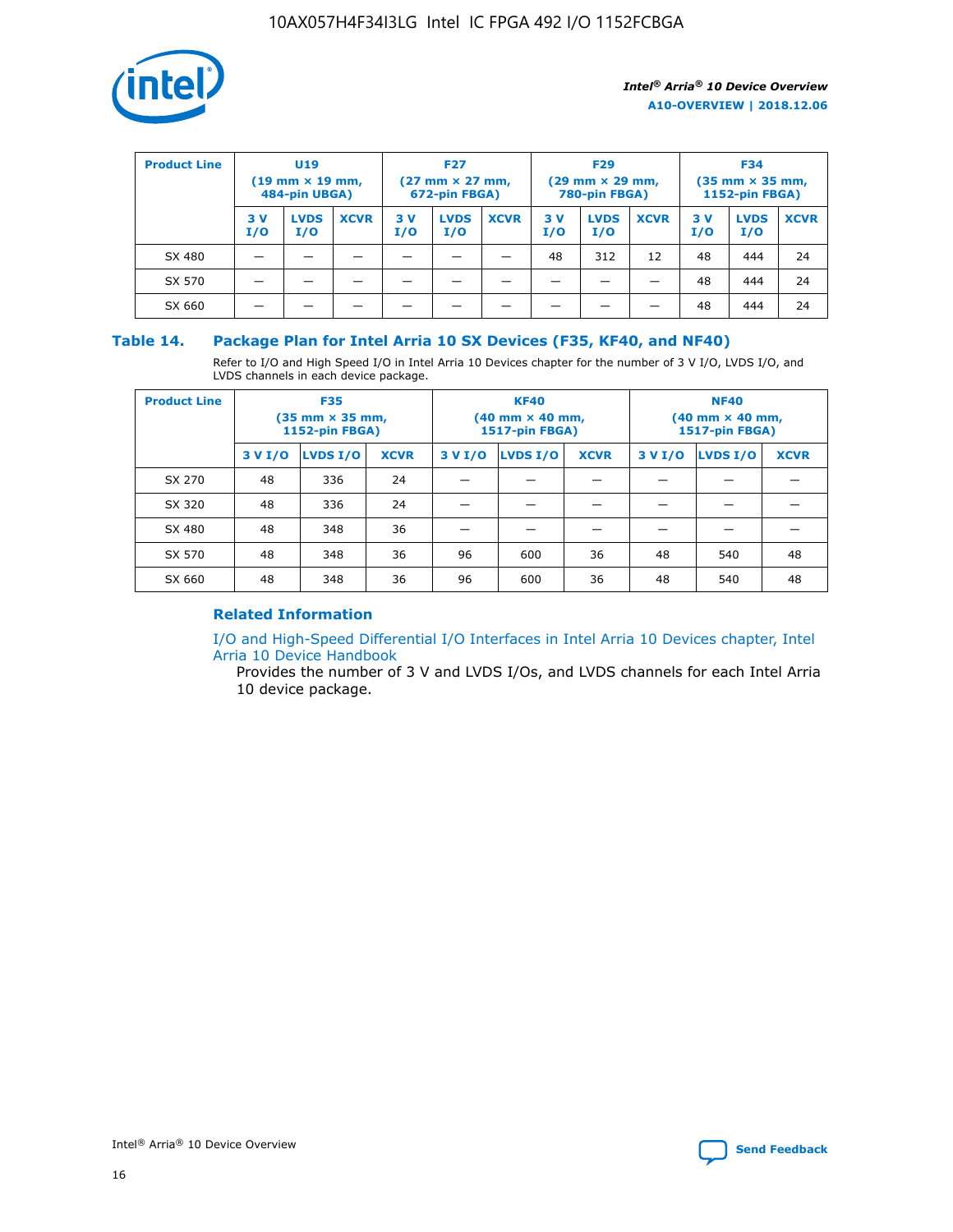![](_page_16_Picture_1.jpeg)

| <b>Product Line</b> | U <sub>19</sub><br>$(19 \text{ mm} \times 19 \text{ mm})$<br>484-pin UBGA) |                    | <b>F27</b><br>$(27 \text{ mm} \times 27 \text{ mm})$<br>672-pin FBGA) |           | <b>F29</b><br>$(29$ mm $\times$ 29 mm,<br>780-pin FBGA) |             |           | <b>F34</b><br>$(35$ mm $\times$ 35 mm,<br><b>1152-pin FBGA)</b> |             |            |                    |             |
|---------------------|----------------------------------------------------------------------------|--------------------|-----------------------------------------------------------------------|-----------|---------------------------------------------------------|-------------|-----------|-----------------------------------------------------------------|-------------|------------|--------------------|-------------|
|                     | 3 V<br>I/O                                                                 | <b>LVDS</b><br>I/O | <b>XCVR</b>                                                           | 3V<br>I/O | <b>LVDS</b><br>I/O                                      | <b>XCVR</b> | 3V<br>I/O | <b>LVDS</b><br>I/O                                              | <b>XCVR</b> | 3 V<br>I/O | <b>LVDS</b><br>I/O | <b>XCVR</b> |
| SX 480              |                                                                            |                    |                                                                       |           |                                                         |             | 48        | 312                                                             | 12          | 48         | 444                | 24          |
| SX 570              |                                                                            |                    |                                                                       |           |                                                         |             |           |                                                                 |             | 48         | 444                | 24          |
| SX 660              |                                                                            |                    |                                                                       |           |                                                         |             |           |                                                                 |             | 48         | 444                | 24          |

## **Table 14. Package Plan for Intel Arria 10 SX Devices (F35, KF40, and NF40)**

Refer to I/O and High Speed I/O in Intel Arria 10 Devices chapter for the number of 3 V I/O, LVDS I/O, and LVDS channels in each device package.

| <b>Product Line</b> | <b>F35</b><br>$(35 \text{ mm} \times 35 \text{ mm})$<br><b>1152-pin FBGA)</b> |          |             |                                           | <b>KF40</b><br>(40 mm × 40 mm,<br>1517-pin FBGA) |    | <b>NF40</b><br>$(40 \text{ mm} \times 40 \text{ mm})$<br>1517-pin FBGA) |          |             |  |
|---------------------|-------------------------------------------------------------------------------|----------|-------------|-------------------------------------------|--------------------------------------------------|----|-------------------------------------------------------------------------|----------|-------------|--|
|                     | 3 V I/O                                                                       | LVDS I/O | <b>XCVR</b> | <b>LVDS I/O</b><br><b>XCVR</b><br>3 V I/O |                                                  |    | 3 V I/O                                                                 | LVDS I/O | <b>XCVR</b> |  |
| SX 270              | 48                                                                            | 336      | 24          |                                           |                                                  |    |                                                                         |          |             |  |
| SX 320              | 48                                                                            | 336      | 24          |                                           |                                                  |    |                                                                         |          |             |  |
| SX 480              | 48                                                                            | 348      | 36          |                                           |                                                  |    |                                                                         |          |             |  |
| SX 570              | 48                                                                            | 348      | 36          | 96                                        | 600                                              | 36 | 48                                                                      | 540      | 48          |  |
| SX 660              | 48                                                                            | 348      | 36          | 96                                        | 600                                              | 36 | 48                                                                      | 540      | 48          |  |

# **Related Information**

[I/O and High-Speed Differential I/O Interfaces in Intel Arria 10 Devices chapter, Intel](https://www.intel.com/content/www/us/en/programmable/documentation/sam1403482614086.html#sam1403482030321) [Arria 10 Device Handbook](https://www.intel.com/content/www/us/en/programmable/documentation/sam1403482614086.html#sam1403482030321)

Provides the number of 3 V and LVDS I/Os, and LVDS channels for each Intel Arria 10 device package.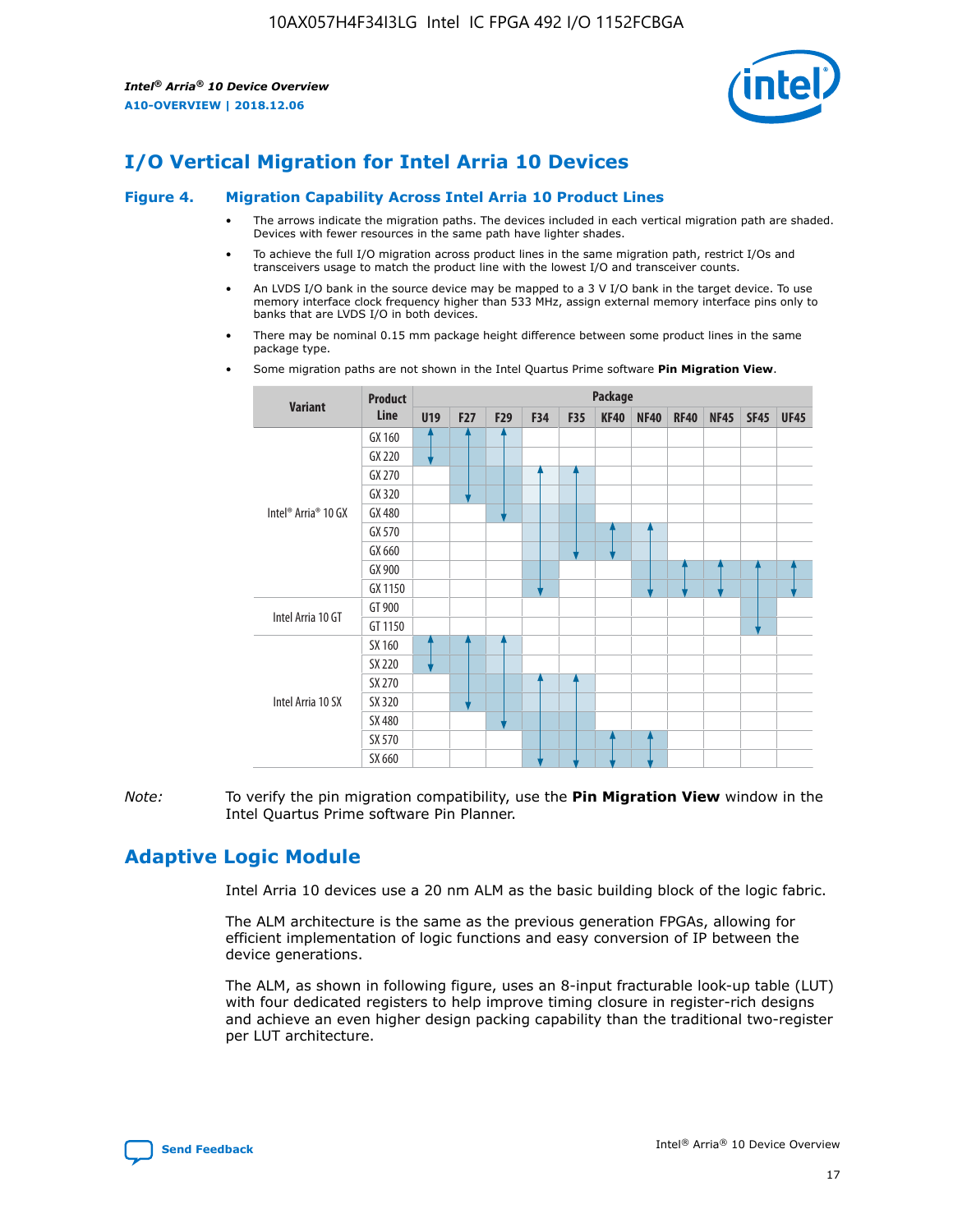![](_page_17_Picture_2.jpeg)

# **I/O Vertical Migration for Intel Arria 10 Devices**

#### **Figure 4. Migration Capability Across Intel Arria 10 Product Lines**

- The arrows indicate the migration paths. The devices included in each vertical migration path are shaded. Devices with fewer resources in the same path have lighter shades.
- To achieve the full I/O migration across product lines in the same migration path, restrict I/Os and transceivers usage to match the product line with the lowest I/O and transceiver counts.
- An LVDS I/O bank in the source device may be mapped to a 3 V I/O bank in the target device. To use memory interface clock frequency higher than 533 MHz, assign external memory interface pins only to banks that are LVDS I/O in both devices.
- There may be nominal 0.15 mm package height difference between some product lines in the same package type.
	- **Variant Product Line Package U19 F27 F29 F34 F35 KF40 NF40 RF40 NF45 SF45 UF45** Intel® Arria® 10 GX GX 160 GX 220 GX 270 GX 320 GX 480 GX 570 GX 660 GX 900 GX 1150 Intel Arria 10 GT GT 900 GT 1150 Intel Arria 10 SX SX 160 SX 220 SX 270 SX 320 SX 480 SX 570 SX 660
- Some migration paths are not shown in the Intel Quartus Prime software **Pin Migration View**.

*Note:* To verify the pin migration compatibility, use the **Pin Migration View** window in the Intel Quartus Prime software Pin Planner.

# **Adaptive Logic Module**

Intel Arria 10 devices use a 20 nm ALM as the basic building block of the logic fabric.

The ALM architecture is the same as the previous generation FPGAs, allowing for efficient implementation of logic functions and easy conversion of IP between the device generations.

The ALM, as shown in following figure, uses an 8-input fracturable look-up table (LUT) with four dedicated registers to help improve timing closure in register-rich designs and achieve an even higher design packing capability than the traditional two-register per LUT architecture.

![](_page_17_Picture_16.jpeg)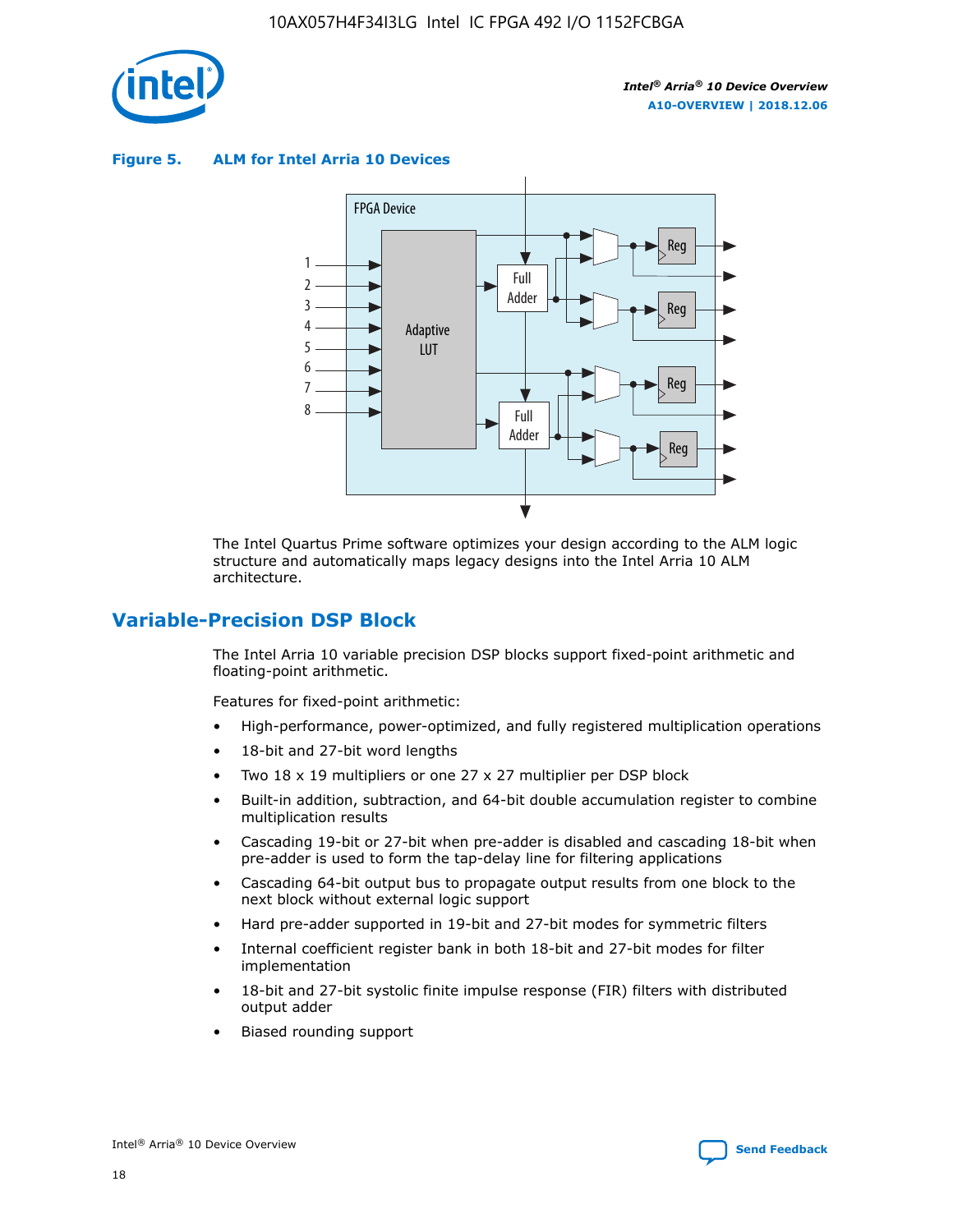![](_page_18_Picture_1.jpeg)

**Figure 5. ALM for Intel Arria 10 Devices**

![](_page_18_Figure_4.jpeg)

The Intel Quartus Prime software optimizes your design according to the ALM logic structure and automatically maps legacy designs into the Intel Arria 10 ALM architecture.

# **Variable-Precision DSP Block**

The Intel Arria 10 variable precision DSP blocks support fixed-point arithmetic and floating-point arithmetic.

Features for fixed-point arithmetic:

- High-performance, power-optimized, and fully registered multiplication operations
- 18-bit and 27-bit word lengths
- Two 18 x 19 multipliers or one 27 x 27 multiplier per DSP block
- Built-in addition, subtraction, and 64-bit double accumulation register to combine multiplication results
- Cascading 19-bit or 27-bit when pre-adder is disabled and cascading 18-bit when pre-adder is used to form the tap-delay line for filtering applications
- Cascading 64-bit output bus to propagate output results from one block to the next block without external logic support
- Hard pre-adder supported in 19-bit and 27-bit modes for symmetric filters
- Internal coefficient register bank in both 18-bit and 27-bit modes for filter implementation
- 18-bit and 27-bit systolic finite impulse response (FIR) filters with distributed output adder
- Biased rounding support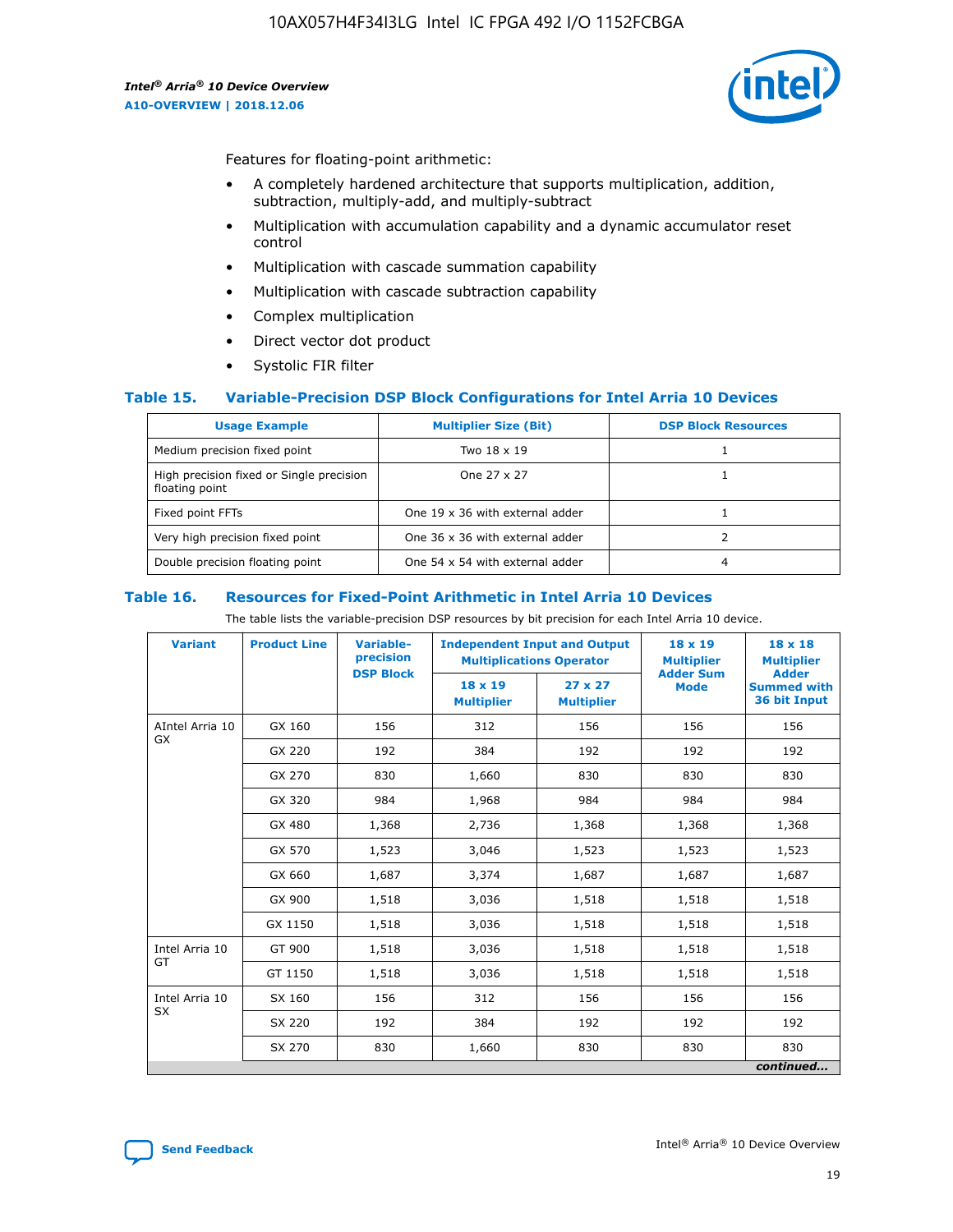![](_page_19_Picture_2.jpeg)

Features for floating-point arithmetic:

- A completely hardened architecture that supports multiplication, addition, subtraction, multiply-add, and multiply-subtract
- Multiplication with accumulation capability and a dynamic accumulator reset control
- Multiplication with cascade summation capability
- Multiplication with cascade subtraction capability
- Complex multiplication
- Direct vector dot product
- Systolic FIR filter

#### **Table 15. Variable-Precision DSP Block Configurations for Intel Arria 10 Devices**

| <b>Usage Example</b>                                       | <b>Multiplier Size (Bit)</b>    | <b>DSP Block Resources</b> |
|------------------------------------------------------------|---------------------------------|----------------------------|
| Medium precision fixed point                               | Two 18 x 19                     |                            |
| High precision fixed or Single precision<br>floating point | One 27 x 27                     |                            |
| Fixed point FFTs                                           | One 19 x 36 with external adder |                            |
| Very high precision fixed point                            | One 36 x 36 with external adder |                            |
| Double precision floating point                            | One 54 x 54 with external adder | 4                          |

#### **Table 16. Resources for Fixed-Point Arithmetic in Intel Arria 10 Devices**

The table lists the variable-precision DSP resources by bit precision for each Intel Arria 10 device.

| <b>Variant</b>  | <b>Product Line</b> | Variable-<br>precision<br><b>DSP Block</b> | <b>Independent Input and Output</b><br><b>Multiplications Operator</b> |                                     | 18 x 19<br><b>Multiplier</b><br><b>Adder Sum</b> | $18 \times 18$<br><b>Multiplier</b><br><b>Adder</b> |
|-----------------|---------------------|--------------------------------------------|------------------------------------------------------------------------|-------------------------------------|--------------------------------------------------|-----------------------------------------------------|
|                 |                     |                                            | 18 x 19<br><b>Multiplier</b>                                           | $27 \times 27$<br><b>Multiplier</b> | <b>Mode</b>                                      | <b>Summed with</b><br>36 bit Input                  |
| AIntel Arria 10 | GX 160              | 156                                        | 312                                                                    | 156                                 | 156                                              | 156                                                 |
| GX              | GX 220              | 192                                        | 384                                                                    | 192                                 | 192                                              | 192                                                 |
|                 | GX 270              | 830                                        | 1,660                                                                  | 830                                 | 830                                              | 830                                                 |
|                 | GX 320              | 984                                        | 1,968                                                                  | 984                                 | 984                                              | 984                                                 |
|                 | GX 480              | 1,368                                      | 2,736                                                                  | 1,368                               | 1,368                                            | 1,368                                               |
|                 | GX 570              | 1,523                                      | 3,046                                                                  | 1,523                               | 1,523                                            | 1,523                                               |
|                 | GX 660              | 1,687                                      | 3,374                                                                  | 1,687                               | 1,687                                            | 1,687                                               |
|                 | GX 900              | 1,518                                      | 3,036                                                                  | 1,518                               | 1,518                                            | 1,518                                               |
|                 | GX 1150             | 1,518                                      | 3,036                                                                  | 1,518                               | 1,518                                            | 1,518                                               |
| Intel Arria 10  | GT 900              | 1,518                                      | 3,036                                                                  | 1,518                               | 1,518                                            | 1,518                                               |
| GT              | GT 1150             | 1,518                                      | 3,036                                                                  | 1,518                               | 1,518                                            | 1,518                                               |
| Intel Arria 10  | SX 160              | 156                                        | 312                                                                    | 156                                 | 156                                              | 156                                                 |
| <b>SX</b>       | SX 220              | 192                                        | 384                                                                    | 192                                 | 192                                              | 192                                                 |
|                 | SX 270              | 830                                        | 1,660                                                                  | 830                                 | 830                                              | 830                                                 |
|                 |                     |                                            |                                                                        |                                     |                                                  | continued                                           |

![](_page_19_Picture_16.jpeg)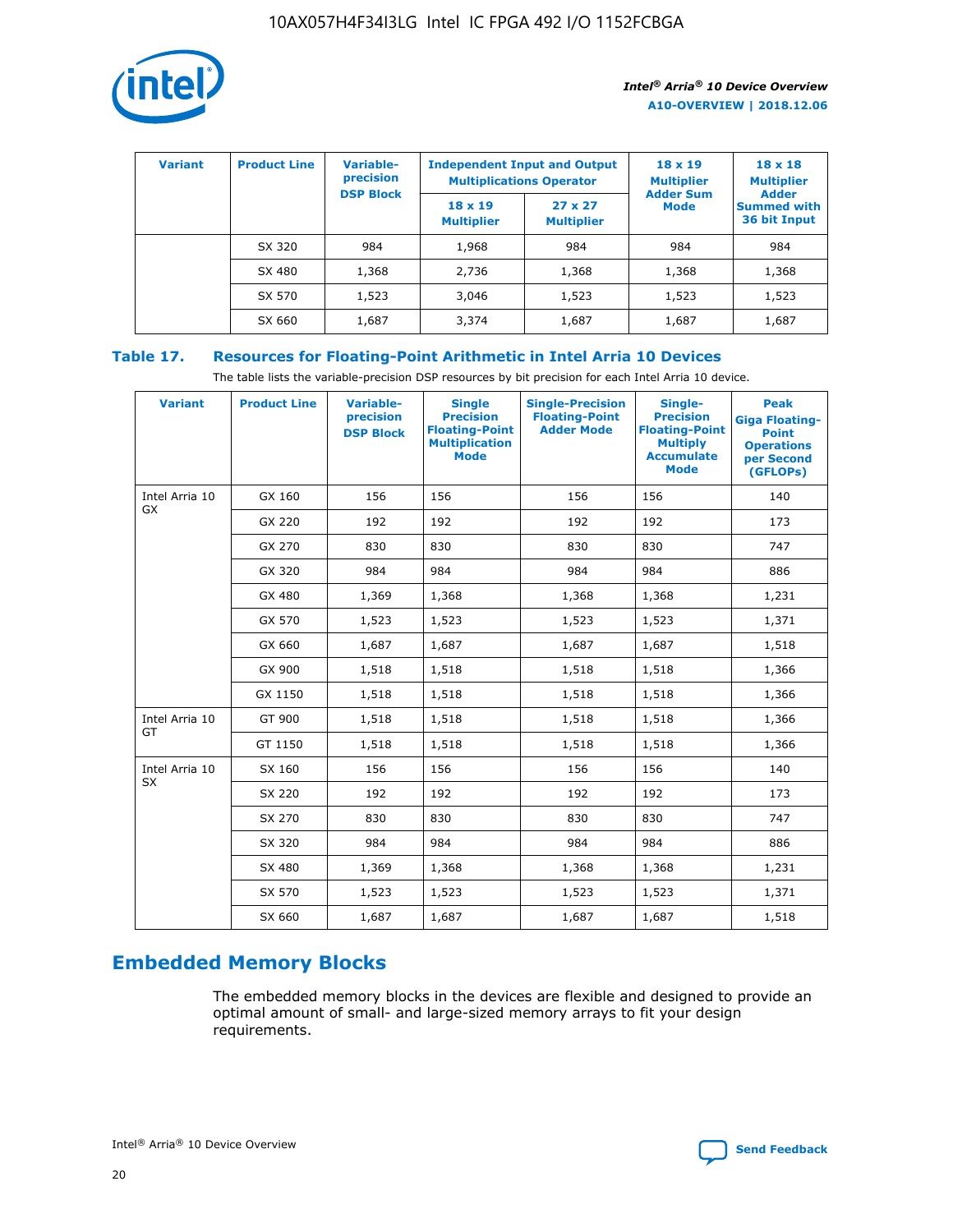![](_page_20_Picture_1.jpeg)

| <b>Variant</b> | <b>Product Line</b> | <b>Variable-</b><br>precision<br><b>DSP Block</b> | <b>Independent Input and Output</b><br><b>Multiplications Operator</b> |                                     | $18 \times 19$<br><b>Multiplier</b><br><b>Adder Sum</b> | $18 \times 18$<br><b>Multiplier</b><br><b>Adder</b> |  |
|----------------|---------------------|---------------------------------------------------|------------------------------------------------------------------------|-------------------------------------|---------------------------------------------------------|-----------------------------------------------------|--|
|                |                     |                                                   | $18 \times 19$<br><b>Multiplier</b>                                    | $27 \times 27$<br><b>Multiplier</b> | <b>Mode</b>                                             | <b>Summed with</b><br>36 bit Input                  |  |
|                | SX 320              | 984                                               | 1,968                                                                  | 984                                 | 984                                                     | 984                                                 |  |
|                | SX 480              | 1,368                                             | 2,736                                                                  | 1,368                               | 1,368                                                   | 1,368                                               |  |
|                | SX 570              | 1,523                                             | 3,046                                                                  | 1,523                               | 1,523                                                   | 1,523                                               |  |
|                | SX 660              | 1,687                                             | 3,374                                                                  | 1,687                               | 1,687                                                   | 1,687                                               |  |

# **Table 17. Resources for Floating-Point Arithmetic in Intel Arria 10 Devices**

The table lists the variable-precision DSP resources by bit precision for each Intel Arria 10 device.

| <b>Variant</b>              | <b>Product Line</b> | <b>Variable-</b><br>precision<br><b>DSP Block</b> | <b>Single</b><br><b>Precision</b><br><b>Floating-Point</b><br><b>Multiplication</b><br><b>Mode</b> | <b>Single-Precision</b><br><b>Floating-Point</b><br><b>Adder Mode</b> | Single-<br><b>Precision</b><br><b>Floating-Point</b><br><b>Multiply</b><br><b>Accumulate</b><br><b>Mode</b> | <b>Peak</b><br><b>Giga Floating-</b><br><b>Point</b><br><b>Operations</b><br>per Second<br>(GFLOPs) |
|-----------------------------|---------------------|---------------------------------------------------|----------------------------------------------------------------------------------------------------|-----------------------------------------------------------------------|-------------------------------------------------------------------------------------------------------------|-----------------------------------------------------------------------------------------------------|
| Intel Arria 10<br>GX        | GX 160              | 156                                               | 156                                                                                                | 156                                                                   | 156                                                                                                         | 140                                                                                                 |
|                             | GX 220              | 192                                               | 192                                                                                                | 192                                                                   | 192                                                                                                         | 173                                                                                                 |
|                             | GX 270              | 830                                               | 830                                                                                                | 830                                                                   | 830                                                                                                         | 747                                                                                                 |
|                             | GX 320              | 984                                               | 984                                                                                                | 984                                                                   | 984                                                                                                         | 886                                                                                                 |
|                             | GX 480              | 1,369                                             | 1,368                                                                                              | 1,368                                                                 | 1,368                                                                                                       | 1,231                                                                                               |
|                             | GX 570              | 1,523                                             | 1,523                                                                                              | 1,523                                                                 | 1,523                                                                                                       | 1,371                                                                                               |
|                             | GX 660              | 1,687                                             | 1,687                                                                                              | 1,687                                                                 | 1,687                                                                                                       | 1,518                                                                                               |
|                             | GX 900              | 1,518                                             | 1,518                                                                                              | 1,518                                                                 | 1,518                                                                                                       | 1,366                                                                                               |
|                             | GX 1150             | 1,518                                             | 1,518                                                                                              | 1,518                                                                 | 1,518                                                                                                       | 1,366                                                                                               |
| Intel Arria 10              | GT 900              | 1,518                                             | 1,518                                                                                              | 1,518                                                                 | 1,518                                                                                                       | 1,366                                                                                               |
| GT                          | GT 1150             | 1,518                                             | 1,518                                                                                              | 1,518                                                                 | 1,518                                                                                                       | 1,366                                                                                               |
| Intel Arria 10<br><b>SX</b> | SX 160              | 156                                               | 156                                                                                                | 156                                                                   | 156                                                                                                         | 140                                                                                                 |
|                             | SX 220              | 192                                               | 192                                                                                                | 192                                                                   | 192                                                                                                         | 173                                                                                                 |
|                             | SX 270              | 830                                               | 830                                                                                                | 830                                                                   | 830                                                                                                         | 747                                                                                                 |
|                             | SX 320              | 984                                               | 984                                                                                                | 984                                                                   | 984                                                                                                         | 886                                                                                                 |
|                             | SX 480              | 1,369                                             | 1,368                                                                                              | 1,368                                                                 | 1,368                                                                                                       | 1,231                                                                                               |
|                             | SX 570              | 1,523                                             | 1,523                                                                                              | 1,523                                                                 | 1,523                                                                                                       | 1,371                                                                                               |
|                             | SX 660              | 1,687                                             | 1,687                                                                                              | 1,687                                                                 | 1,687                                                                                                       | 1,518                                                                                               |

# **Embedded Memory Blocks**

The embedded memory blocks in the devices are flexible and designed to provide an optimal amount of small- and large-sized memory arrays to fit your design requirements.

![](_page_20_Picture_9.jpeg)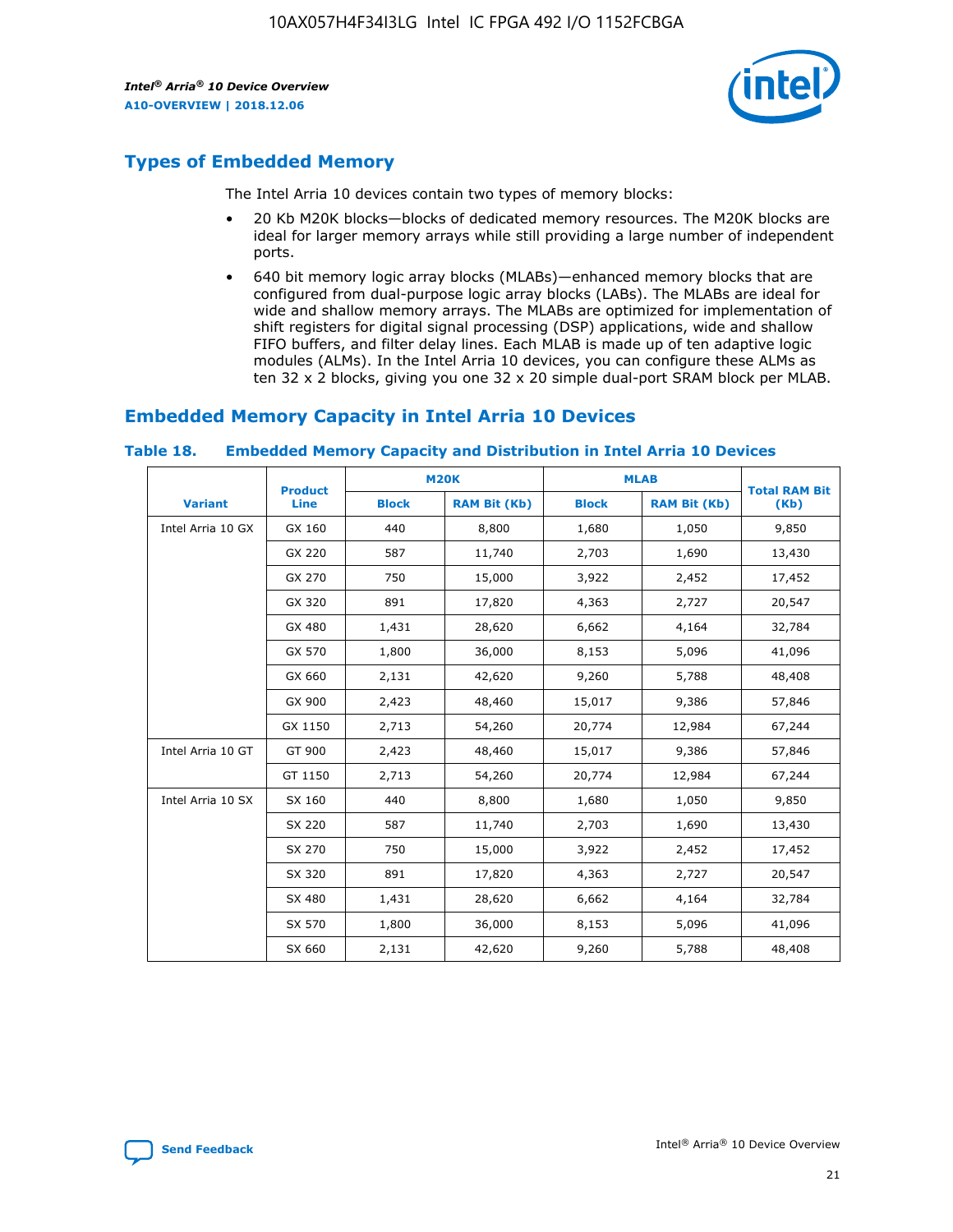![](_page_21_Picture_2.jpeg)

# **Types of Embedded Memory**

The Intel Arria 10 devices contain two types of memory blocks:

- 20 Kb M20K blocks—blocks of dedicated memory resources. The M20K blocks are ideal for larger memory arrays while still providing a large number of independent ports.
- 640 bit memory logic array blocks (MLABs)—enhanced memory blocks that are configured from dual-purpose logic array blocks (LABs). The MLABs are ideal for wide and shallow memory arrays. The MLABs are optimized for implementation of shift registers for digital signal processing (DSP) applications, wide and shallow FIFO buffers, and filter delay lines. Each MLAB is made up of ten adaptive logic modules (ALMs). In the Intel Arria 10 devices, you can configure these ALMs as ten 32 x 2 blocks, giving you one 32 x 20 simple dual-port SRAM block per MLAB.

# **Embedded Memory Capacity in Intel Arria 10 Devices**

|                   | <b>Product</b> |              | <b>M20K</b>         | <b>MLAB</b>  |                     | <b>Total RAM Bit</b> |
|-------------------|----------------|--------------|---------------------|--------------|---------------------|----------------------|
| <b>Variant</b>    | <b>Line</b>    | <b>Block</b> | <b>RAM Bit (Kb)</b> | <b>Block</b> | <b>RAM Bit (Kb)</b> | (Kb)                 |
| Intel Arria 10 GX | GX 160         | 440          | 8,800               | 1,680        | 1,050               | 9,850                |
|                   | GX 220         | 587          | 11,740              | 2,703        | 1,690               | 13,430               |
|                   | GX 270         | 750          | 15,000              | 3,922        | 2,452               | 17,452               |
|                   | GX 320         | 891          | 17,820              | 4,363        | 2,727               | 20,547               |
|                   | GX 480         | 1,431        | 28,620              | 6,662        | 4,164               | 32,784               |
|                   | GX 570         | 1,800        | 36,000              | 8,153        | 5,096               | 41,096               |
|                   | GX 660         | 2,131        | 42,620              | 9,260        | 5,788               | 48,408               |
|                   | GX 900         | 2,423        | 48,460              | 15,017       | 9,386               | 57,846               |
|                   | GX 1150        | 2,713        | 54,260              | 20,774       | 12,984              | 67,244               |
| Intel Arria 10 GT | GT 900         | 2,423        | 48,460              | 15,017       | 9,386               | 57,846               |
|                   | GT 1150        | 2,713        | 54,260              | 20,774       | 12,984              | 67,244               |
| Intel Arria 10 SX | SX 160         | 440          | 8,800               | 1,680        | 1,050               | 9,850                |
|                   | SX 220         | 587          | 11,740              | 2,703        | 1,690               | 13,430               |
|                   | SX 270         | 750          | 15,000              | 3,922        | 2,452               | 17,452               |
|                   | SX 320         | 891          | 17,820              | 4,363        | 2,727               | 20,547               |
|                   | SX 480         | 1,431        | 28,620              | 6,662        | 4,164               | 32,784               |
|                   | SX 570         | 1,800        | 36,000              | 8,153        | 5,096               | 41,096               |
|                   | SX 660         | 2,131        | 42,620              | 9,260        | 5,788               | 48,408               |

#### **Table 18. Embedded Memory Capacity and Distribution in Intel Arria 10 Devices**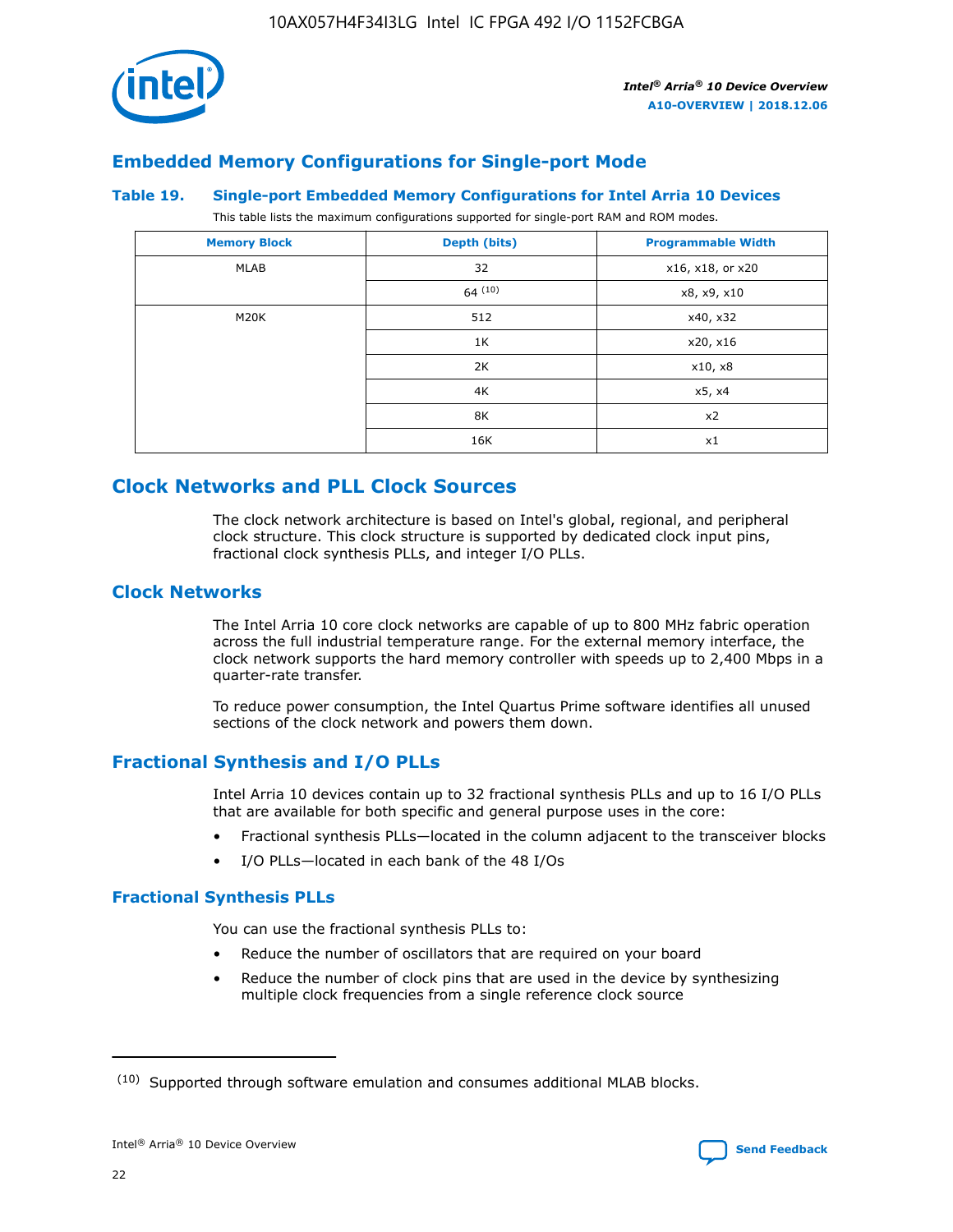![](_page_22_Picture_1.jpeg)

# **Embedded Memory Configurations for Single-port Mode**

#### **Table 19. Single-port Embedded Memory Configurations for Intel Arria 10 Devices**

This table lists the maximum configurations supported for single-port RAM and ROM modes.

| <b>Memory Block</b> | Depth (bits) | <b>Programmable Width</b> |
|---------------------|--------------|---------------------------|
| MLAB                | 32           | x16, x18, or x20          |
|                     | 64(10)       | x8, x9, x10               |
| M20K                | 512          | x40, x32                  |
|                     | 1K           | x20, x16                  |
|                     | 2K           | x10, x8                   |
|                     | 4K           | x5, x4                    |
|                     | 8K           | x2                        |
|                     | 16K          | x1                        |

# **Clock Networks and PLL Clock Sources**

The clock network architecture is based on Intel's global, regional, and peripheral clock structure. This clock structure is supported by dedicated clock input pins, fractional clock synthesis PLLs, and integer I/O PLLs.

# **Clock Networks**

The Intel Arria 10 core clock networks are capable of up to 800 MHz fabric operation across the full industrial temperature range. For the external memory interface, the clock network supports the hard memory controller with speeds up to 2,400 Mbps in a quarter-rate transfer.

To reduce power consumption, the Intel Quartus Prime software identifies all unused sections of the clock network and powers them down.

# **Fractional Synthesis and I/O PLLs**

Intel Arria 10 devices contain up to 32 fractional synthesis PLLs and up to 16 I/O PLLs that are available for both specific and general purpose uses in the core:

- Fractional synthesis PLLs—located in the column adjacent to the transceiver blocks
- I/O PLLs—located in each bank of the 48 I/Os

#### **Fractional Synthesis PLLs**

You can use the fractional synthesis PLLs to:

- Reduce the number of oscillators that are required on your board
- Reduce the number of clock pins that are used in the device by synthesizing multiple clock frequencies from a single reference clock source

<sup>(10)</sup> Supported through software emulation and consumes additional MLAB blocks.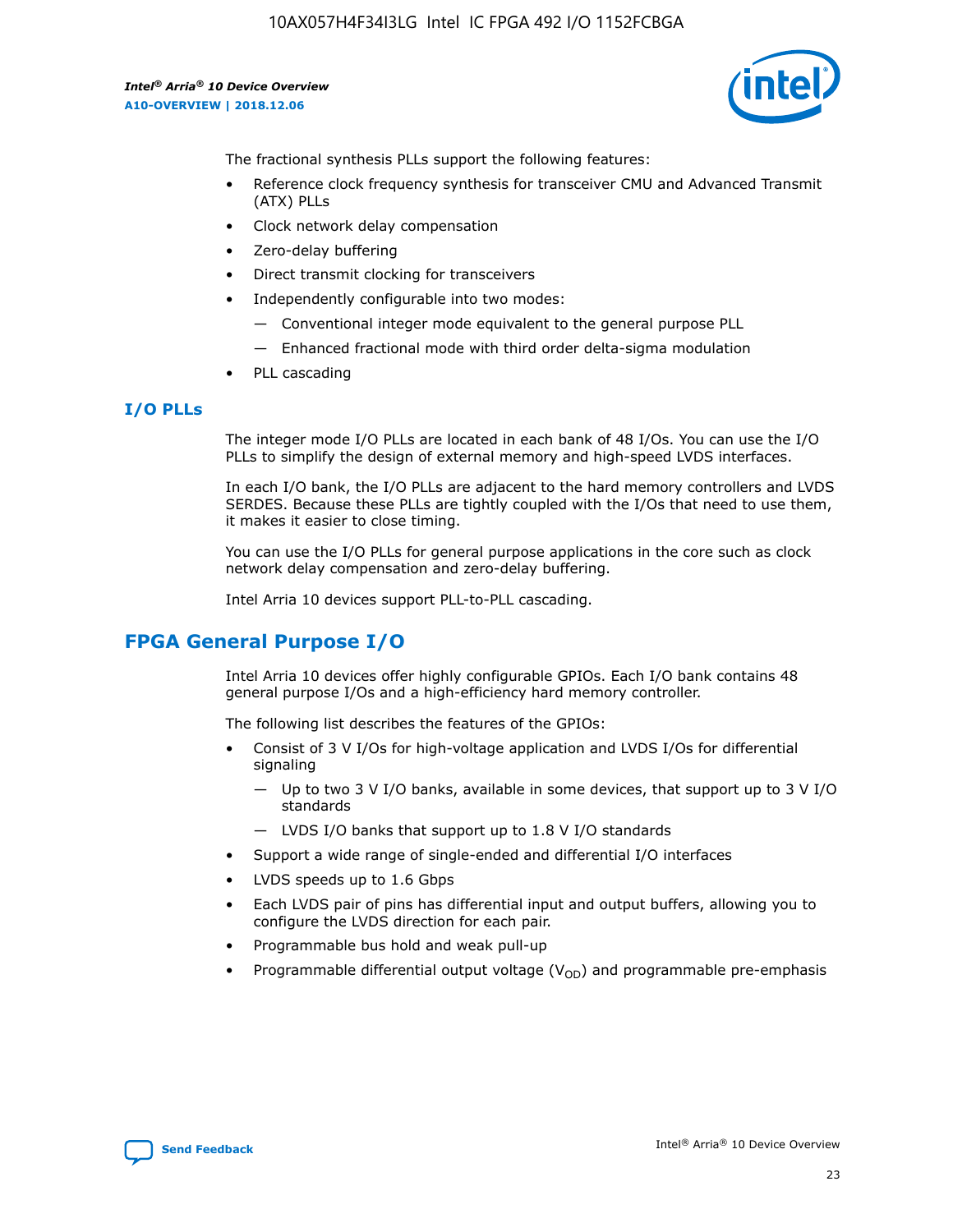![](_page_23_Picture_2.jpeg)

The fractional synthesis PLLs support the following features:

- Reference clock frequency synthesis for transceiver CMU and Advanced Transmit (ATX) PLLs
- Clock network delay compensation
- Zero-delay buffering
- Direct transmit clocking for transceivers
- Independently configurable into two modes:
	- Conventional integer mode equivalent to the general purpose PLL
	- Enhanced fractional mode with third order delta-sigma modulation
- PLL cascading

# **I/O PLLs**

The integer mode I/O PLLs are located in each bank of 48 I/Os. You can use the I/O PLLs to simplify the design of external memory and high-speed LVDS interfaces.

In each I/O bank, the I/O PLLs are adjacent to the hard memory controllers and LVDS SERDES. Because these PLLs are tightly coupled with the I/Os that need to use them, it makes it easier to close timing.

You can use the I/O PLLs for general purpose applications in the core such as clock network delay compensation and zero-delay buffering.

Intel Arria 10 devices support PLL-to-PLL cascading.

# **FPGA General Purpose I/O**

Intel Arria 10 devices offer highly configurable GPIOs. Each I/O bank contains 48 general purpose I/Os and a high-efficiency hard memory controller.

The following list describes the features of the GPIOs:

- Consist of 3 V I/Os for high-voltage application and LVDS I/Os for differential signaling
	- Up to two 3 V I/O banks, available in some devices, that support up to 3 V I/O standards
	- LVDS I/O banks that support up to 1.8 V I/O standards
- Support a wide range of single-ended and differential I/O interfaces
- LVDS speeds up to 1.6 Gbps
- Each LVDS pair of pins has differential input and output buffers, allowing you to configure the LVDS direction for each pair.
- Programmable bus hold and weak pull-up
- Programmable differential output voltage  $(V_{OD})$  and programmable pre-emphasis

![](_page_23_Picture_28.jpeg)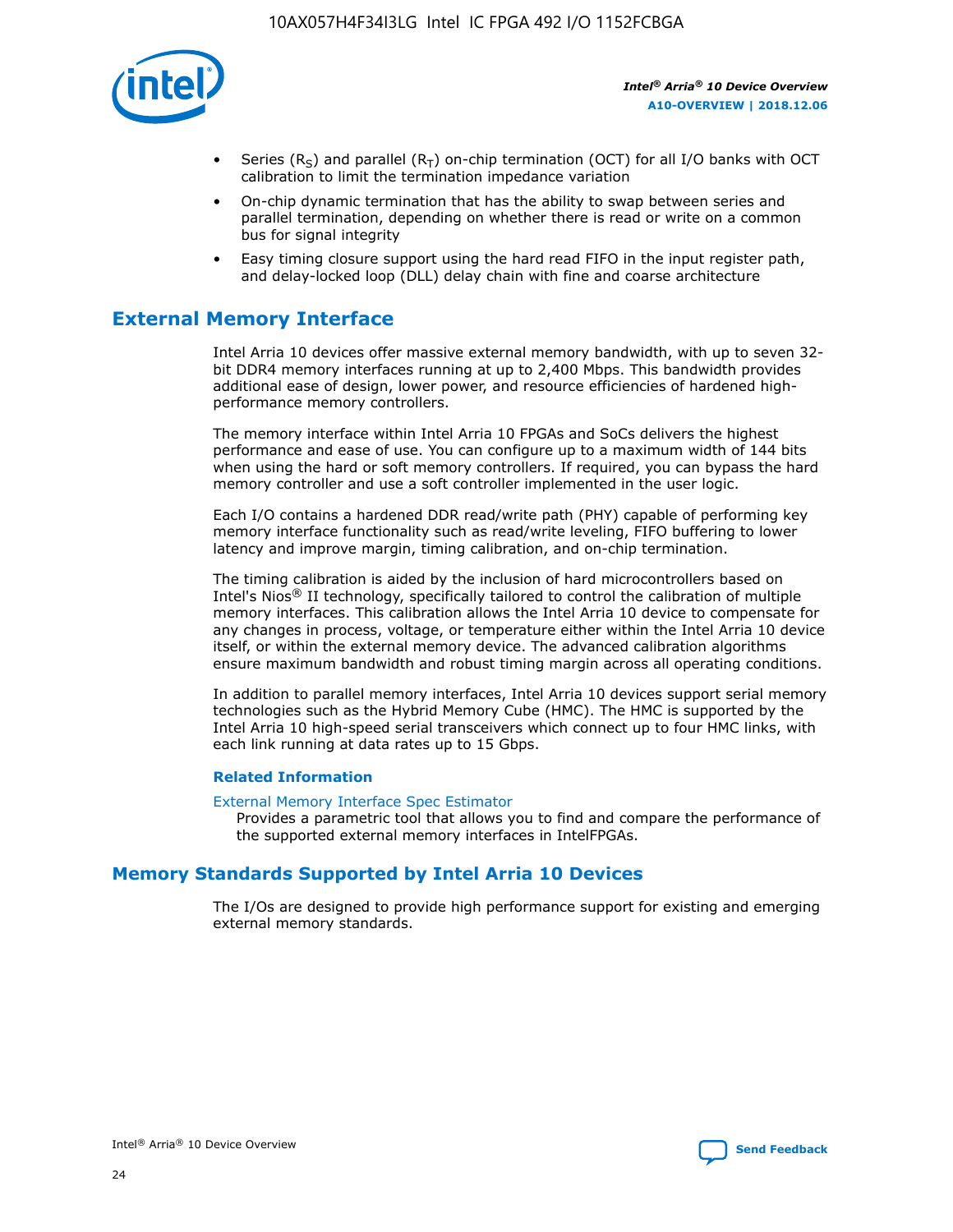![](_page_24_Picture_1.jpeg)

- Series (R<sub>S</sub>) and parallel (R<sub>T</sub>) on-chip termination (OCT) for all I/O banks with OCT calibration to limit the termination impedance variation
- On-chip dynamic termination that has the ability to swap between series and parallel termination, depending on whether there is read or write on a common bus for signal integrity
- Easy timing closure support using the hard read FIFO in the input register path, and delay-locked loop (DLL) delay chain with fine and coarse architecture

# **External Memory Interface**

Intel Arria 10 devices offer massive external memory bandwidth, with up to seven 32 bit DDR4 memory interfaces running at up to 2,400 Mbps. This bandwidth provides additional ease of design, lower power, and resource efficiencies of hardened highperformance memory controllers.

The memory interface within Intel Arria 10 FPGAs and SoCs delivers the highest performance and ease of use. You can configure up to a maximum width of 144 bits when using the hard or soft memory controllers. If required, you can bypass the hard memory controller and use a soft controller implemented in the user logic.

Each I/O contains a hardened DDR read/write path (PHY) capable of performing key memory interface functionality such as read/write leveling, FIFO buffering to lower latency and improve margin, timing calibration, and on-chip termination.

The timing calibration is aided by the inclusion of hard microcontrollers based on Intel's Nios® II technology, specifically tailored to control the calibration of multiple memory interfaces. This calibration allows the Intel Arria 10 device to compensate for any changes in process, voltage, or temperature either within the Intel Arria 10 device itself, or within the external memory device. The advanced calibration algorithms ensure maximum bandwidth and robust timing margin across all operating conditions.

In addition to parallel memory interfaces, Intel Arria 10 devices support serial memory technologies such as the Hybrid Memory Cube (HMC). The HMC is supported by the Intel Arria 10 high-speed serial transceivers which connect up to four HMC links, with each link running at data rates up to 15 Gbps.

#### **Related Information**

#### [External Memory Interface Spec Estimator](http://www.altera.com/technology/memory/estimator/mem-emif-index.html)

Provides a parametric tool that allows you to find and compare the performance of the supported external memory interfaces in IntelFPGAs.

# **Memory Standards Supported by Intel Arria 10 Devices**

The I/Os are designed to provide high performance support for existing and emerging external memory standards.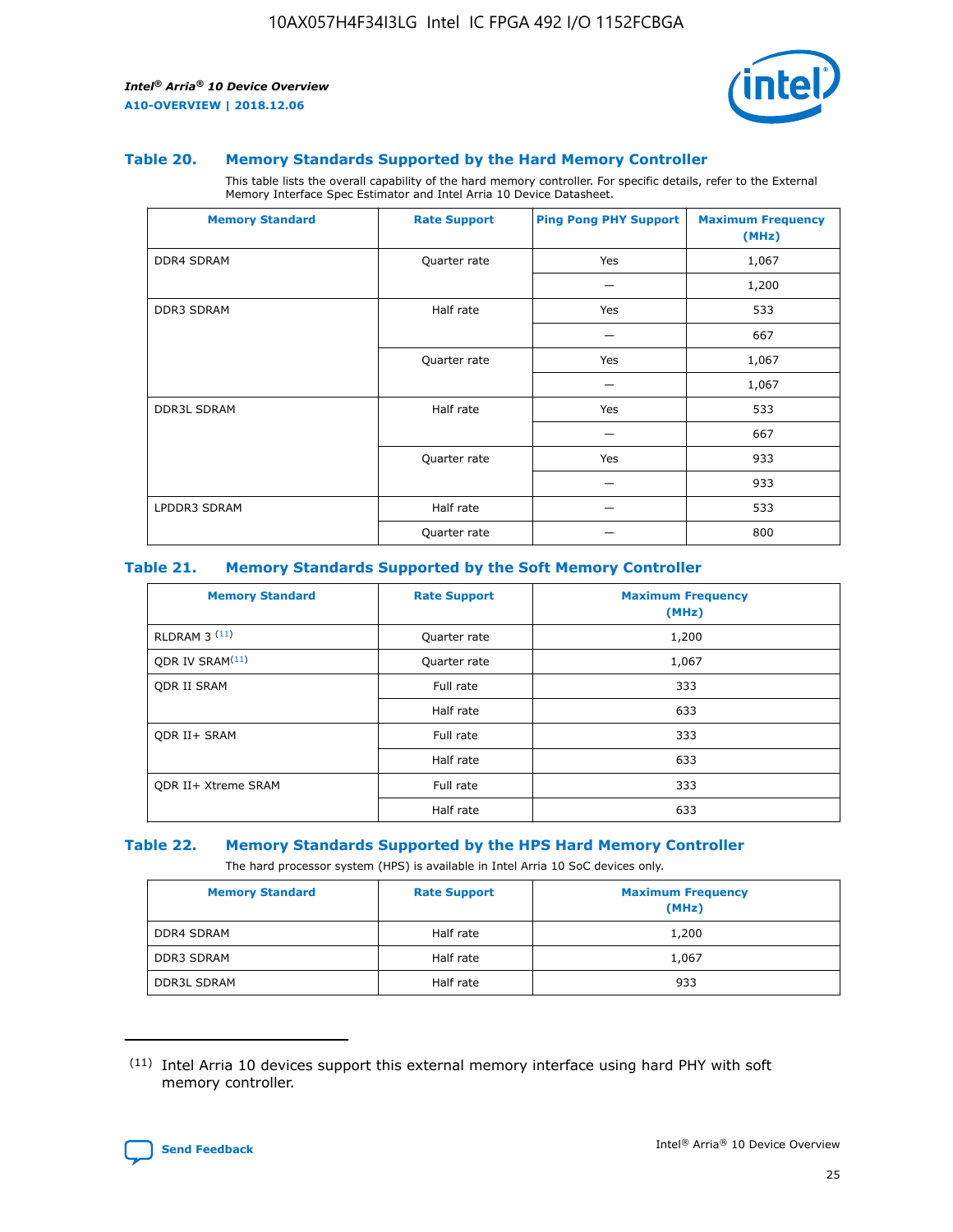![](_page_25_Picture_2.jpeg)

#### **Table 20. Memory Standards Supported by the Hard Memory Controller**

This table lists the overall capability of the hard memory controller. For specific details, refer to the External Memory Interface Spec Estimator and Intel Arria 10 Device Datasheet.

| <b>Memory Standard</b> | <b>Rate Support</b> | <b>Ping Pong PHY Support</b> | <b>Maximum Frequency</b><br>(MHz) |
|------------------------|---------------------|------------------------------|-----------------------------------|
| <b>DDR4 SDRAM</b>      | Quarter rate        | Yes                          | 1,067                             |
|                        |                     |                              | 1,200                             |
| DDR3 SDRAM             | Half rate           | Yes                          | 533                               |
|                        |                     |                              | 667                               |
|                        | Quarter rate        | Yes                          | 1,067                             |
|                        |                     |                              | 1,067                             |
| <b>DDR3L SDRAM</b>     | Half rate           | Yes                          | 533                               |
|                        |                     |                              | 667                               |
|                        | Quarter rate        | Yes                          | 933                               |
|                        |                     |                              | 933                               |
| LPDDR3 SDRAM           | Half rate           |                              | 533                               |
|                        | Quarter rate        |                              | 800                               |

#### **Table 21. Memory Standards Supported by the Soft Memory Controller**

| <b>Memory Standard</b>      | <b>Rate Support</b> | <b>Maximum Frequency</b><br>(MHz) |
|-----------------------------|---------------------|-----------------------------------|
| <b>RLDRAM 3 (11)</b>        | Quarter rate        | 1,200                             |
| ODR IV SRAM <sup>(11)</sup> | Quarter rate        | 1,067                             |
| <b>ODR II SRAM</b>          | Full rate           | 333                               |
|                             | Half rate           | 633                               |
| <b>ODR II+ SRAM</b>         | Full rate           | 333                               |
|                             | Half rate           | 633                               |
| <b>ODR II+ Xtreme SRAM</b>  | Full rate           | 333                               |
|                             | Half rate           | 633                               |

#### **Table 22. Memory Standards Supported by the HPS Hard Memory Controller**

The hard processor system (HPS) is available in Intel Arria 10 SoC devices only.

| <b>Memory Standard</b> | <b>Rate Support</b> | <b>Maximum Frequency</b><br>(MHz) |
|------------------------|---------------------|-----------------------------------|
| <b>DDR4 SDRAM</b>      | Half rate           | 1,200                             |
| <b>DDR3 SDRAM</b>      | Half rate           | 1,067                             |
| <b>DDR3L SDRAM</b>     | Half rate           | 933                               |

<sup>(11)</sup> Intel Arria 10 devices support this external memory interface using hard PHY with soft memory controller.

![](_page_25_Picture_12.jpeg)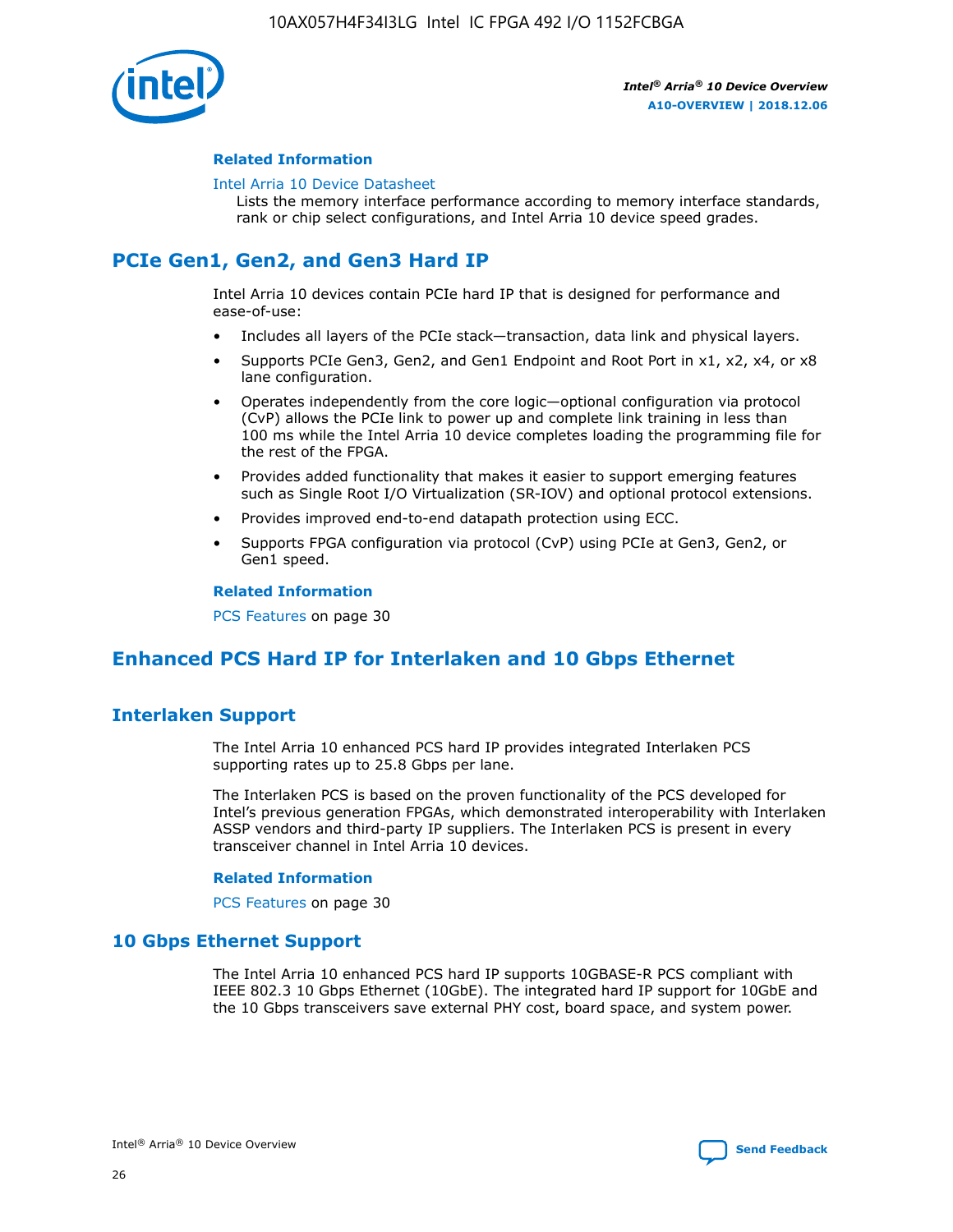![](_page_26_Picture_1.jpeg)

#### **Related Information**

#### [Intel Arria 10 Device Datasheet](https://www.intel.com/content/www/us/en/programmable/documentation/mcn1413182292568.html#mcn1413182153340)

Lists the memory interface performance according to memory interface standards, rank or chip select configurations, and Intel Arria 10 device speed grades.

# **PCIe Gen1, Gen2, and Gen3 Hard IP**

Intel Arria 10 devices contain PCIe hard IP that is designed for performance and ease-of-use:

- Includes all layers of the PCIe stack—transaction, data link and physical layers.
- Supports PCIe Gen3, Gen2, and Gen1 Endpoint and Root Port in x1, x2, x4, or x8 lane configuration.
- Operates independently from the core logic—optional configuration via protocol (CvP) allows the PCIe link to power up and complete link training in less than 100 ms while the Intel Arria 10 device completes loading the programming file for the rest of the FPGA.
- Provides added functionality that makes it easier to support emerging features such as Single Root I/O Virtualization (SR-IOV) and optional protocol extensions.
- Provides improved end-to-end datapath protection using ECC.
- Supports FPGA configuration via protocol (CvP) using PCIe at Gen3, Gen2, or Gen1 speed.

#### **Related Information**

PCS Features on page 30

# **Enhanced PCS Hard IP for Interlaken and 10 Gbps Ethernet**

# **Interlaken Support**

The Intel Arria 10 enhanced PCS hard IP provides integrated Interlaken PCS supporting rates up to 25.8 Gbps per lane.

The Interlaken PCS is based on the proven functionality of the PCS developed for Intel's previous generation FPGAs, which demonstrated interoperability with Interlaken ASSP vendors and third-party IP suppliers. The Interlaken PCS is present in every transceiver channel in Intel Arria 10 devices.

#### **Related Information**

PCS Features on page 30

# **10 Gbps Ethernet Support**

The Intel Arria 10 enhanced PCS hard IP supports 10GBASE-R PCS compliant with IEEE 802.3 10 Gbps Ethernet (10GbE). The integrated hard IP support for 10GbE and the 10 Gbps transceivers save external PHY cost, board space, and system power.

![](_page_26_Picture_24.jpeg)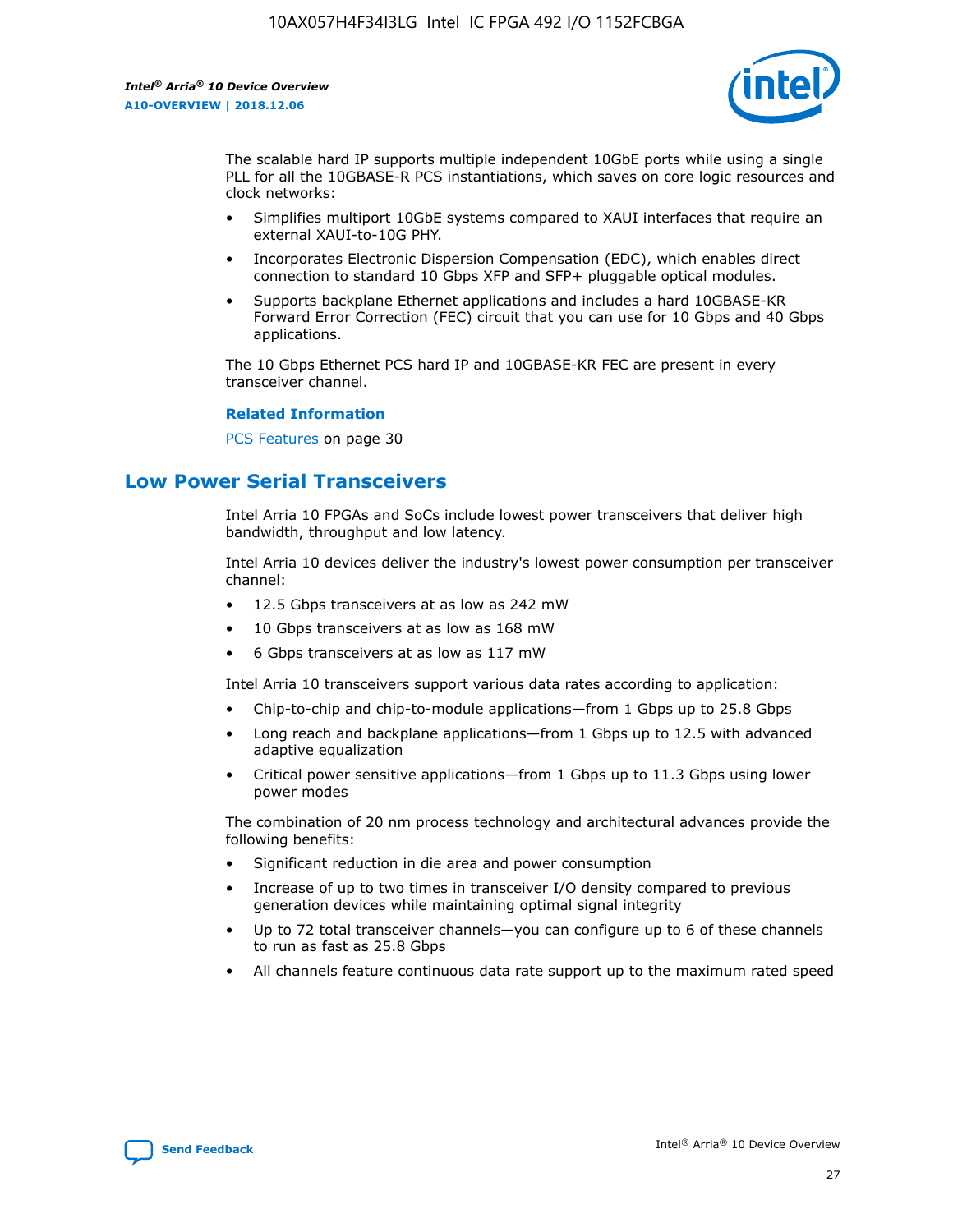![](_page_27_Picture_2.jpeg)

The scalable hard IP supports multiple independent 10GbE ports while using a single PLL for all the 10GBASE-R PCS instantiations, which saves on core logic resources and clock networks:

- Simplifies multiport 10GbE systems compared to XAUI interfaces that require an external XAUI-to-10G PHY.
- Incorporates Electronic Dispersion Compensation (EDC), which enables direct connection to standard 10 Gbps XFP and SFP+ pluggable optical modules.
- Supports backplane Ethernet applications and includes a hard 10GBASE-KR Forward Error Correction (FEC) circuit that you can use for 10 Gbps and 40 Gbps applications.

The 10 Gbps Ethernet PCS hard IP and 10GBASE-KR FEC are present in every transceiver channel.

#### **Related Information**

PCS Features on page 30

# **Low Power Serial Transceivers**

Intel Arria 10 FPGAs and SoCs include lowest power transceivers that deliver high bandwidth, throughput and low latency.

Intel Arria 10 devices deliver the industry's lowest power consumption per transceiver channel:

- 12.5 Gbps transceivers at as low as 242 mW
- 10 Gbps transceivers at as low as 168 mW
- 6 Gbps transceivers at as low as 117 mW

Intel Arria 10 transceivers support various data rates according to application:

- Chip-to-chip and chip-to-module applications—from 1 Gbps up to 25.8 Gbps
- Long reach and backplane applications—from 1 Gbps up to 12.5 with advanced adaptive equalization
- Critical power sensitive applications—from 1 Gbps up to 11.3 Gbps using lower power modes

The combination of 20 nm process technology and architectural advances provide the following benefits:

- Significant reduction in die area and power consumption
- Increase of up to two times in transceiver I/O density compared to previous generation devices while maintaining optimal signal integrity
- Up to 72 total transceiver channels—you can configure up to 6 of these channels to run as fast as 25.8 Gbps
- All channels feature continuous data rate support up to the maximum rated speed

![](_page_27_Picture_25.jpeg)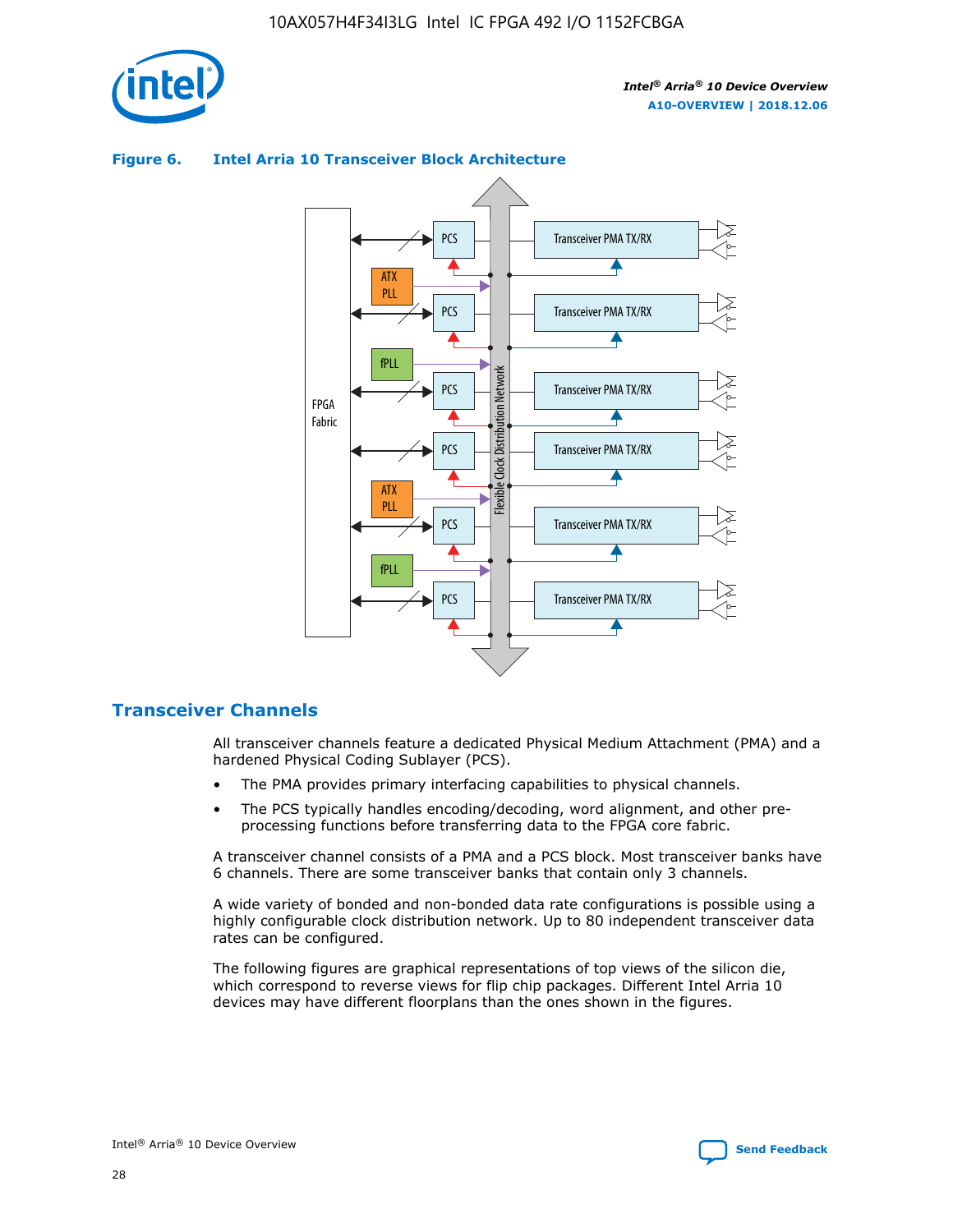![](_page_28_Picture_1.jpeg)

![](_page_28_Figure_3.jpeg)

## **Figure 6. Intel Arria 10 Transceiver Block Architecture**

# **Transceiver Channels**

All transceiver channels feature a dedicated Physical Medium Attachment (PMA) and a hardened Physical Coding Sublayer (PCS).

- The PMA provides primary interfacing capabilities to physical channels.
- The PCS typically handles encoding/decoding, word alignment, and other preprocessing functions before transferring data to the FPGA core fabric.

A transceiver channel consists of a PMA and a PCS block. Most transceiver banks have 6 channels. There are some transceiver banks that contain only 3 channels.

A wide variety of bonded and non-bonded data rate configurations is possible using a highly configurable clock distribution network. Up to 80 independent transceiver data rates can be configured.

The following figures are graphical representations of top views of the silicon die, which correspond to reverse views for flip chip packages. Different Intel Arria 10 devices may have different floorplans than the ones shown in the figures.

![](_page_28_Picture_12.jpeg)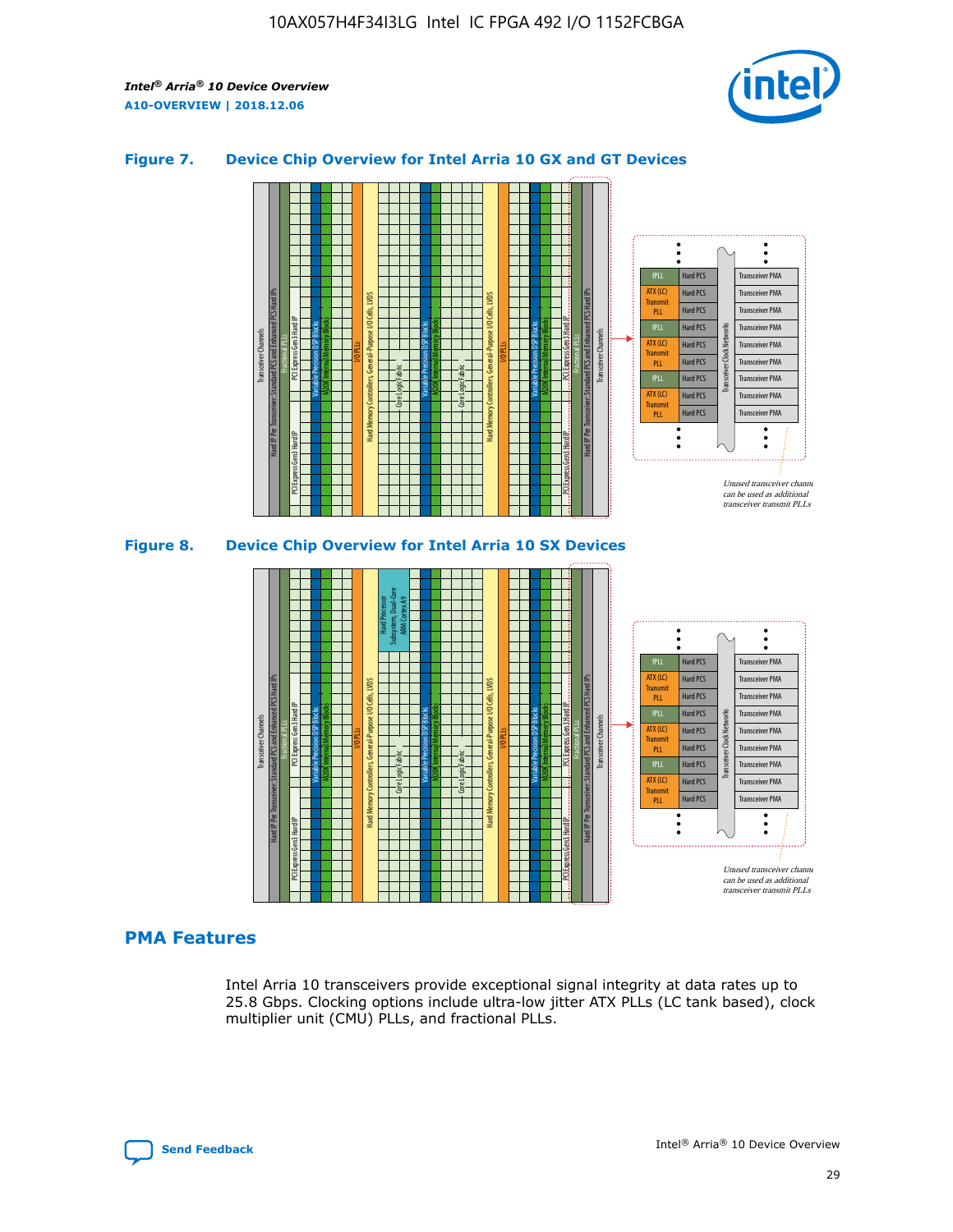![](_page_29_Picture_2.jpeg)

## **Figure 7. Device Chip Overview for Intel Arria 10 GX and GT Devices**

![](_page_29_Figure_4.jpeg)

M20K Internal Memory Blocks Core Logic Fabric Transceiver Channels Hard IP Per Transceiver: Standard PCS and Enhanced PCS Hard IPs PCI Express Gen3 Hard IP Fractional PLLs M20K Internal Memory Blocks PCI Express Gen3 Hard IP Variable Precision DSP Blocks I/O PLLs Hard Memory Controllers, General-Purpose I/O Cells, LVDS Hard Processor Subsystem, Dual-Core ARM Cortex A9 M20K Internal Memory Blocks Variable Precision DSP Blocks M20K Internal Memory Blocks Core Logic Fabric I/O PLLs Hard Memory Controllers, General-Purpose I/O Cells, LVDS M20K Internal Memory Blocks Variable Precision DSP Blocks M20K Internal Memory Blocks Transceiver Channels Hard IP Per Transceiver: Standard PCS and Enhanced PCS Hard IPs PCI Express Gen3 Hard IP Fractional PLLs PCI Express Gen3 Hard IP  $\ddot{\cdot}$ Hard PCS Transceiver PMA fPLL ATX (LC) Hard PCS Transceiver PMA **Transmit** Hard PCS Transceiver PMA PLL fPLL Hard PCS Transceiver PMA Transceiver Clock Networks ATX (LC) Hard PCS Transceiver PMA Transmi Hard PCS Transceiver PMA PLL fPLL Hard PCS Transceiver PMA Transceiver PMA Hard PCS ATX (LC) **Transmit** Hard PCS Transceiver PMA PLL Unused transceiver chann can be used as additional transceiver transmit PLLs

# **PMA Features**

Intel Arria 10 transceivers provide exceptional signal integrity at data rates up to 25.8 Gbps. Clocking options include ultra-low jitter ATX PLLs (LC tank based), clock multiplier unit (CMU) PLLs, and fractional PLLs.

![](_page_29_Picture_8.jpeg)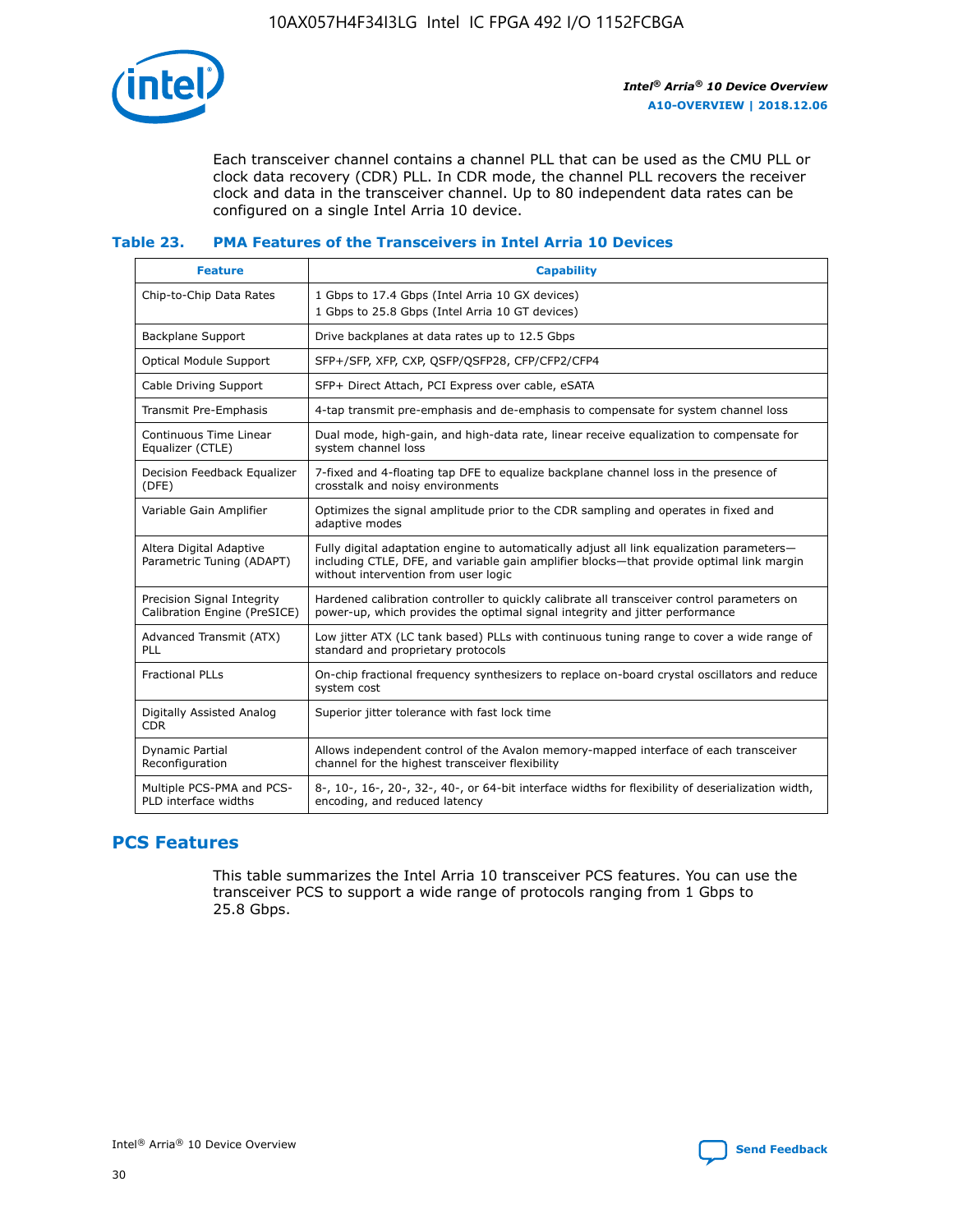![](_page_30_Picture_1.jpeg)

Each transceiver channel contains a channel PLL that can be used as the CMU PLL or clock data recovery (CDR) PLL. In CDR mode, the channel PLL recovers the receiver clock and data in the transceiver channel. Up to 80 independent data rates can be configured on a single Intel Arria 10 device.

## **Table 23. PMA Features of the Transceivers in Intel Arria 10 Devices**

| <b>Feature</b>                                             | <b>Capability</b>                                                                                                                                                                                                             |
|------------------------------------------------------------|-------------------------------------------------------------------------------------------------------------------------------------------------------------------------------------------------------------------------------|
| Chip-to-Chip Data Rates                                    | 1 Gbps to 17.4 Gbps (Intel Arria 10 GX devices)<br>1 Gbps to 25.8 Gbps (Intel Arria 10 GT devices)                                                                                                                            |
| <b>Backplane Support</b>                                   | Drive backplanes at data rates up to 12.5 Gbps                                                                                                                                                                                |
| <b>Optical Module Support</b>                              | SFP+/SFP, XFP, CXP, QSFP/QSFP28, CFP/CFP2/CFP4                                                                                                                                                                                |
| Cable Driving Support                                      | SFP+ Direct Attach, PCI Express over cable, eSATA                                                                                                                                                                             |
| Transmit Pre-Emphasis                                      | 4-tap transmit pre-emphasis and de-emphasis to compensate for system channel loss                                                                                                                                             |
| Continuous Time Linear<br>Equalizer (CTLE)                 | Dual mode, high-gain, and high-data rate, linear receive equalization to compensate for<br>system channel loss                                                                                                                |
| Decision Feedback Equalizer<br>(DFE)                       | 7-fixed and 4-floating tap DFE to equalize backplane channel loss in the presence of<br>crosstalk and noisy environments                                                                                                      |
| Variable Gain Amplifier                                    | Optimizes the signal amplitude prior to the CDR sampling and operates in fixed and<br>adaptive modes                                                                                                                          |
| Altera Digital Adaptive<br>Parametric Tuning (ADAPT)       | Fully digital adaptation engine to automatically adjust all link equalization parameters-<br>including CTLE, DFE, and variable gain amplifier blocks—that provide optimal link margin<br>without intervention from user logic |
| Precision Signal Integrity<br>Calibration Engine (PreSICE) | Hardened calibration controller to quickly calibrate all transceiver control parameters on<br>power-up, which provides the optimal signal integrity and jitter performance                                                    |
| Advanced Transmit (ATX)<br>PLL                             | Low jitter ATX (LC tank based) PLLs with continuous tuning range to cover a wide range of<br>standard and proprietary protocols                                                                                               |
| <b>Fractional PLLs</b>                                     | On-chip fractional frequency synthesizers to replace on-board crystal oscillators and reduce<br>system cost                                                                                                                   |
| Digitally Assisted Analog<br><b>CDR</b>                    | Superior jitter tolerance with fast lock time                                                                                                                                                                                 |
| Dynamic Partial<br>Reconfiguration                         | Allows independent control of the Avalon memory-mapped interface of each transceiver<br>channel for the highest transceiver flexibility                                                                                       |
| Multiple PCS-PMA and PCS-<br>PLD interface widths          | 8-, 10-, 16-, 20-, 32-, 40-, or 64-bit interface widths for flexibility of deserialization width,<br>encoding, and reduced latency                                                                                            |

# **PCS Features**

This table summarizes the Intel Arria 10 transceiver PCS features. You can use the transceiver PCS to support a wide range of protocols ranging from 1 Gbps to 25.8 Gbps.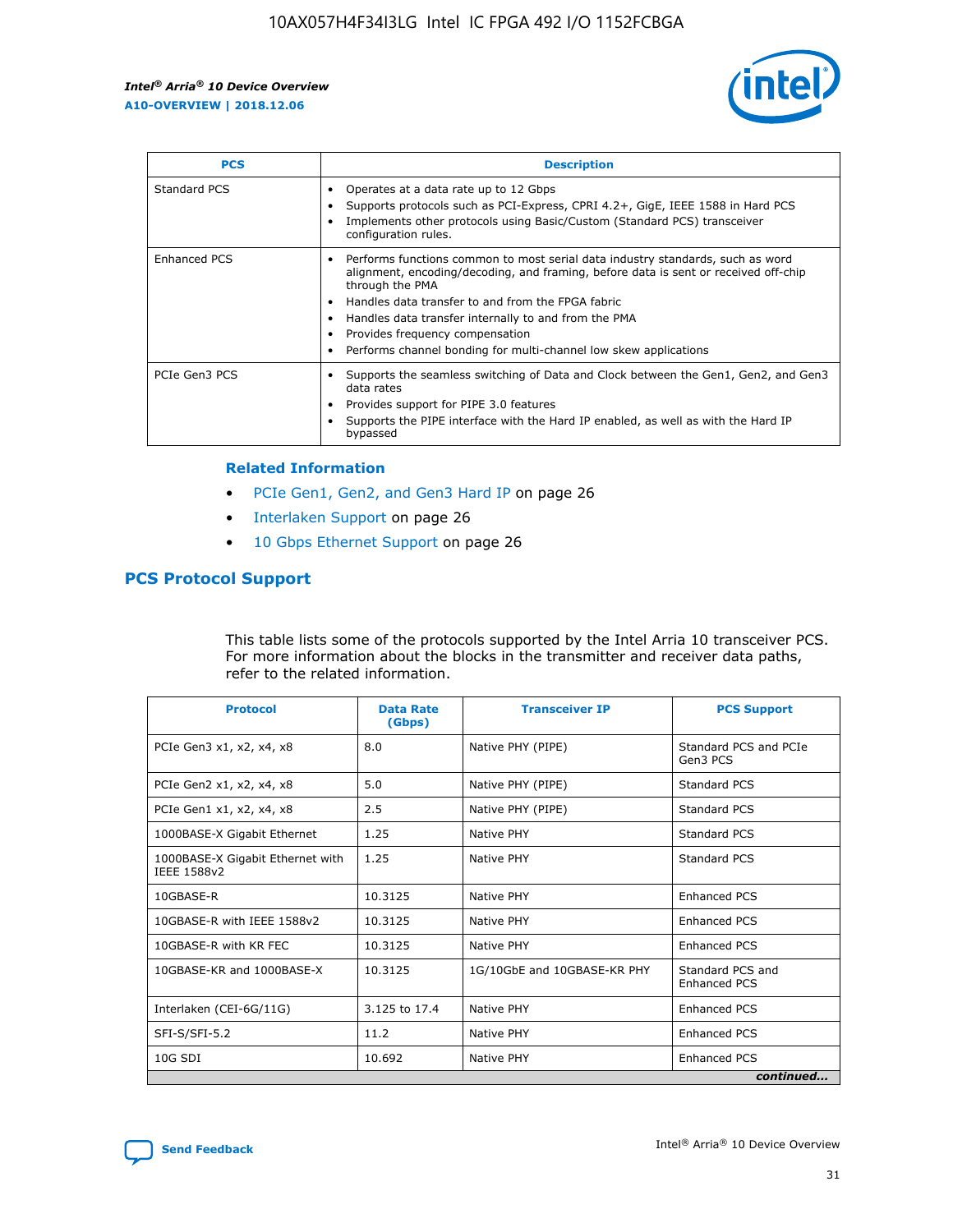![](_page_31_Picture_2.jpeg)

| <b>PCS</b>          | <b>Description</b>                                                                                                                                                                                                                                                                                                                                                                                             |
|---------------------|----------------------------------------------------------------------------------------------------------------------------------------------------------------------------------------------------------------------------------------------------------------------------------------------------------------------------------------------------------------------------------------------------------------|
| Standard PCS        | Operates at a data rate up to 12 Gbps<br>Supports protocols such as PCI-Express, CPRI 4.2+, GigE, IEEE 1588 in Hard PCS<br>Implements other protocols using Basic/Custom (Standard PCS) transceiver<br>configuration rules.                                                                                                                                                                                    |
| <b>Enhanced PCS</b> | Performs functions common to most serial data industry standards, such as word<br>alignment, encoding/decoding, and framing, before data is sent or received off-chip<br>through the PMA<br>• Handles data transfer to and from the FPGA fabric<br>Handles data transfer internally to and from the PMA<br>Provides frequency compensation<br>Performs channel bonding for multi-channel low skew applications |
| PCIe Gen3 PCS       | Supports the seamless switching of Data and Clock between the Gen1, Gen2, and Gen3<br>data rates<br>Provides support for PIPE 3.0 features<br>Supports the PIPE interface with the Hard IP enabled, as well as with the Hard IP<br>bypassed                                                                                                                                                                    |

#### **Related Information**

- PCIe Gen1, Gen2, and Gen3 Hard IP on page 26
- Interlaken Support on page 26
- 10 Gbps Ethernet Support on page 26

# **PCS Protocol Support**

This table lists some of the protocols supported by the Intel Arria 10 transceiver PCS. For more information about the blocks in the transmitter and receiver data paths, refer to the related information.

| <b>Protocol</b>                                 | <b>Data Rate</b><br>(Gbps) | <b>Transceiver IP</b>       | <b>PCS Support</b>                      |
|-------------------------------------------------|----------------------------|-----------------------------|-----------------------------------------|
| PCIe Gen3 x1, x2, x4, x8                        | 8.0                        | Native PHY (PIPE)           | Standard PCS and PCIe<br>Gen3 PCS       |
| PCIe Gen2 x1, x2, x4, x8                        | 5.0                        | Native PHY (PIPE)           | <b>Standard PCS</b>                     |
| PCIe Gen1 x1, x2, x4, x8                        | 2.5                        | Native PHY (PIPE)           | Standard PCS                            |
| 1000BASE-X Gigabit Ethernet                     | 1.25                       | Native PHY                  | <b>Standard PCS</b>                     |
| 1000BASE-X Gigabit Ethernet with<br>IEEE 1588v2 | 1.25                       | Native PHY                  | Standard PCS                            |
| 10GBASE-R                                       | 10.3125                    | Native PHY                  | <b>Enhanced PCS</b>                     |
| 10GBASE-R with IEEE 1588v2                      | 10.3125                    | Native PHY                  | <b>Enhanced PCS</b>                     |
| 10GBASE-R with KR FEC                           | 10.3125                    | Native PHY                  | <b>Enhanced PCS</b>                     |
| 10GBASE-KR and 1000BASE-X                       | 10.3125                    | 1G/10GbE and 10GBASE-KR PHY | Standard PCS and<br><b>Enhanced PCS</b> |
| Interlaken (CEI-6G/11G)                         | 3.125 to 17.4              | Native PHY                  | <b>Enhanced PCS</b>                     |
| SFI-S/SFI-5.2                                   | 11.2                       | Native PHY                  | <b>Enhanced PCS</b>                     |
| $10G$ SDI                                       | 10.692                     | Native PHY                  | <b>Enhanced PCS</b>                     |
|                                                 |                            |                             | continued                               |

![](_page_31_Picture_11.jpeg)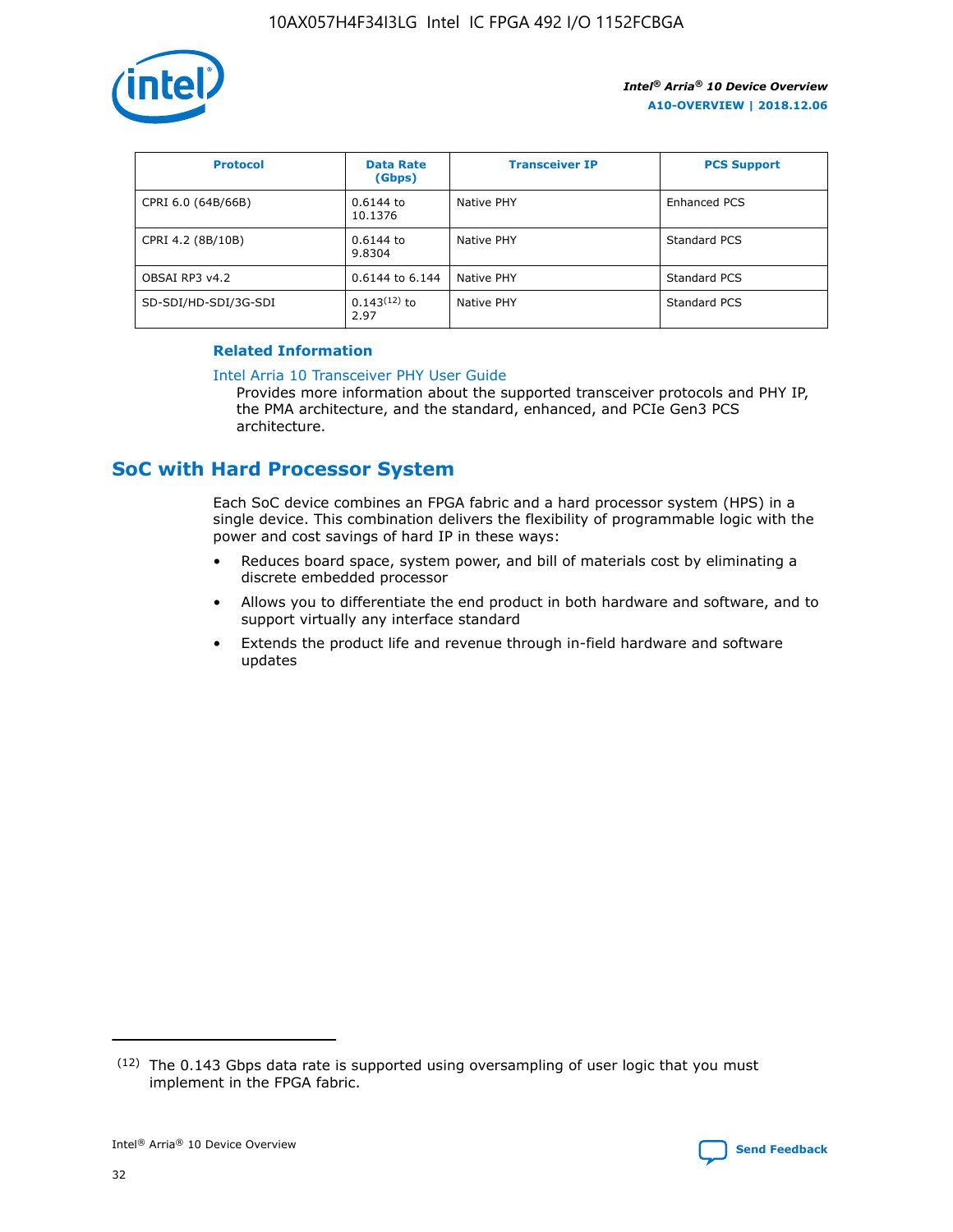![](_page_32_Picture_1.jpeg)

| <b>Protocol</b>      | <b>Data Rate</b><br>(Gbps) | <b>Transceiver IP</b> | <b>PCS Support</b> |
|----------------------|----------------------------|-----------------------|--------------------|
| CPRI 6.0 (64B/66B)   | 0.6144 to<br>10.1376       | Native PHY            | Enhanced PCS       |
| CPRI 4.2 (8B/10B)    | $0.6144$ to<br>9.8304      | Native PHY            | Standard PCS       |
| OBSAI RP3 v4.2       | 0.6144 to 6.144            | Native PHY            | Standard PCS       |
| SD-SDI/HD-SDI/3G-SDI | $0.143(12)$ to<br>2.97     | Native PHY            | Standard PCS       |

# **Related Information**

#### [Intel Arria 10 Transceiver PHY User Guide](https://www.intel.com/content/www/us/en/programmable/documentation/nik1398707230472.html#nik1398707091164)

Provides more information about the supported transceiver protocols and PHY IP, the PMA architecture, and the standard, enhanced, and PCIe Gen3 PCS architecture.

# **SoC with Hard Processor System**

Each SoC device combines an FPGA fabric and a hard processor system (HPS) in a single device. This combination delivers the flexibility of programmable logic with the power and cost savings of hard IP in these ways:

- Reduces board space, system power, and bill of materials cost by eliminating a discrete embedded processor
- Allows you to differentiate the end product in both hardware and software, and to support virtually any interface standard
- Extends the product life and revenue through in-field hardware and software updates

<sup>(12)</sup> The 0.143 Gbps data rate is supported using oversampling of user logic that you must implement in the FPGA fabric.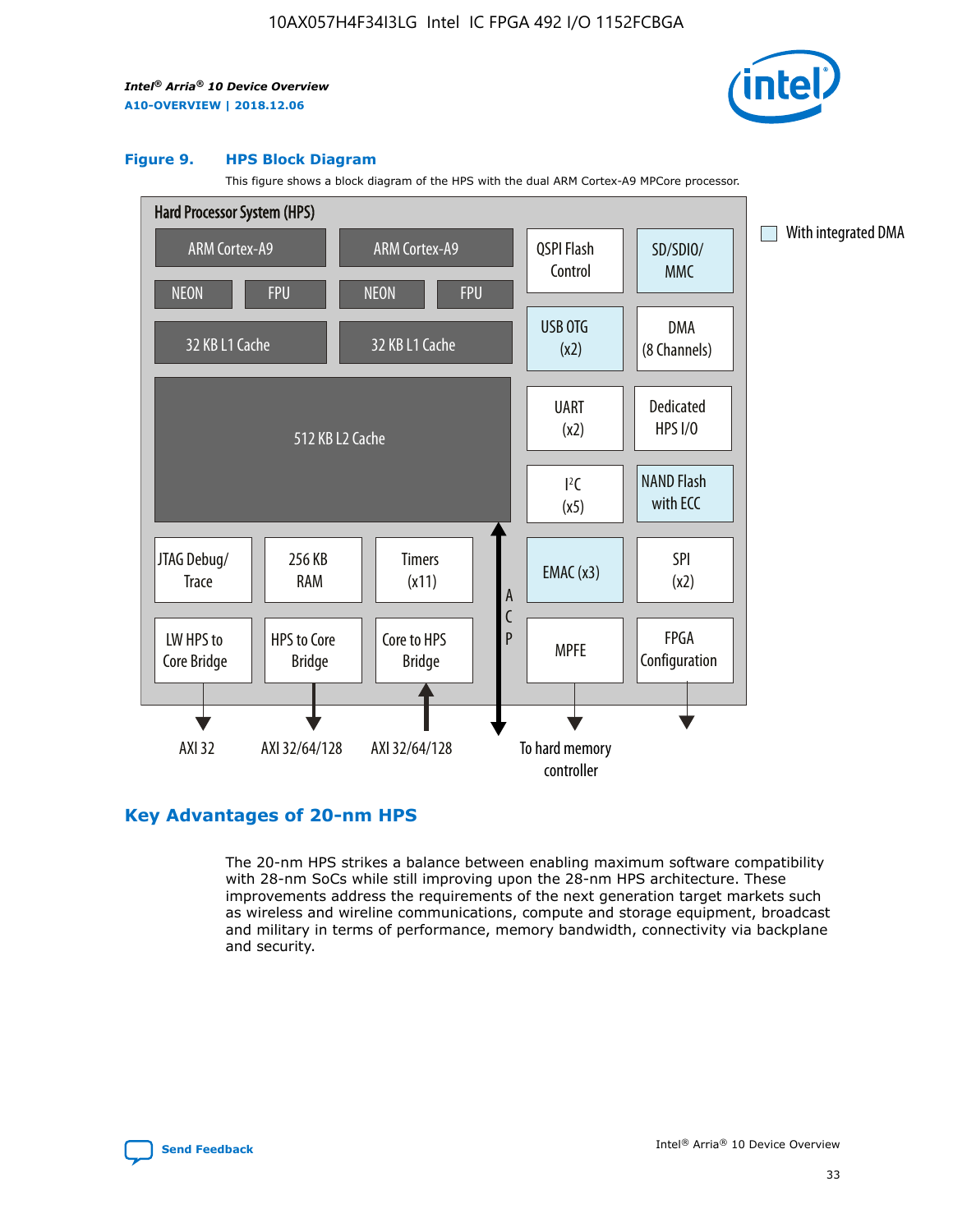![](_page_33_Picture_2.jpeg)

#### **Figure 9. HPS Block Diagram**

This figure shows a block diagram of the HPS with the dual ARM Cortex-A9 MPCore processor.

![](_page_33_Figure_5.jpeg)

# **Key Advantages of 20-nm HPS**

The 20-nm HPS strikes a balance between enabling maximum software compatibility with 28-nm SoCs while still improving upon the 28-nm HPS architecture. These improvements address the requirements of the next generation target markets such as wireless and wireline communications, compute and storage equipment, broadcast and military in terms of performance, memory bandwidth, connectivity via backplane and security.

![](_page_33_Picture_8.jpeg)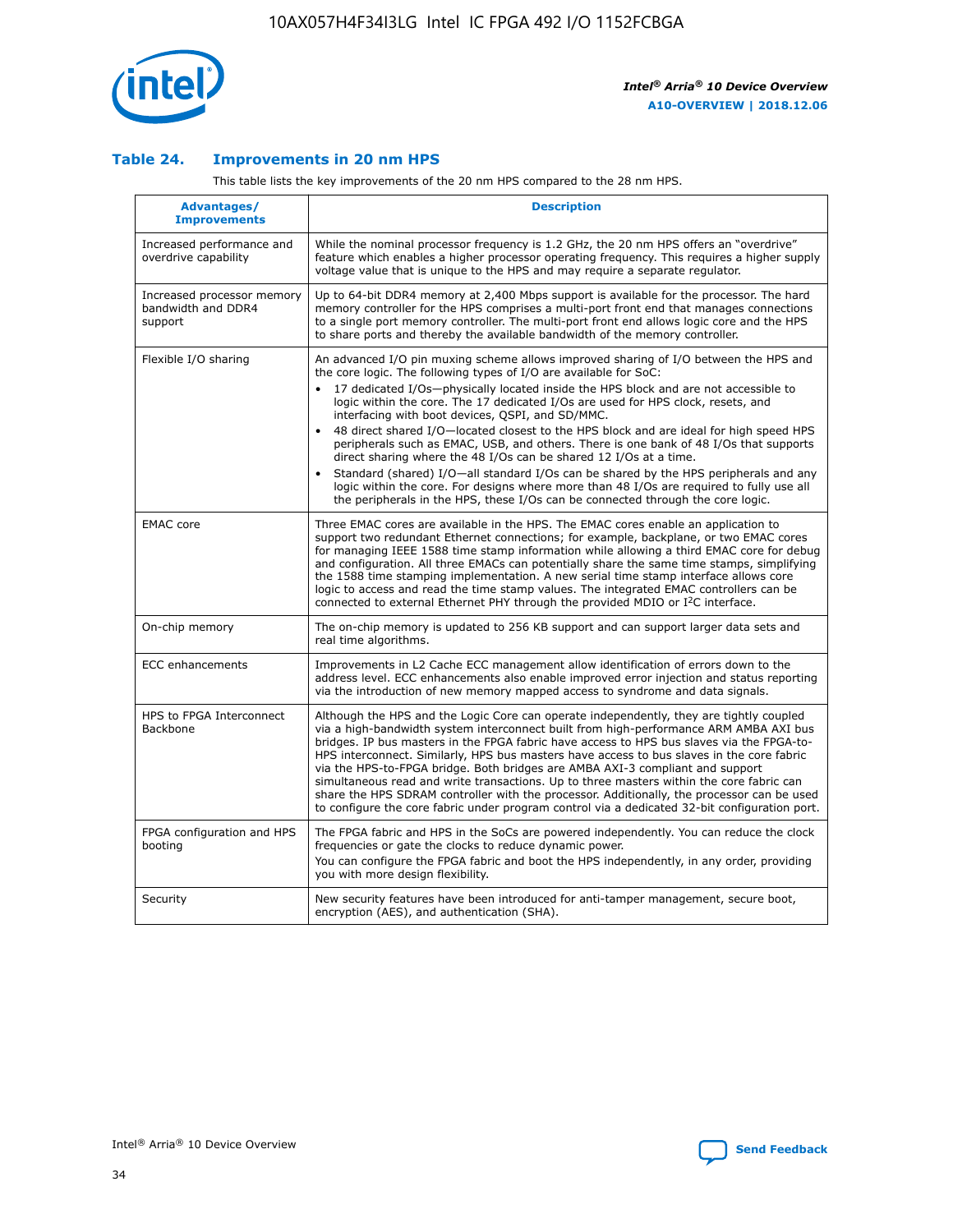![](_page_34_Picture_1.jpeg)

## **Table 24. Improvements in 20 nm HPS**

This table lists the key improvements of the 20 nm HPS compared to the 28 nm HPS.

| Advantages/<br><b>Improvements</b>                          | <b>Description</b>                                                                                                                                                                                                                                                                                                                                                                                                                                                                                                                                                                                                                                                                                                                                                                                                                                                                                                                                |
|-------------------------------------------------------------|---------------------------------------------------------------------------------------------------------------------------------------------------------------------------------------------------------------------------------------------------------------------------------------------------------------------------------------------------------------------------------------------------------------------------------------------------------------------------------------------------------------------------------------------------------------------------------------------------------------------------------------------------------------------------------------------------------------------------------------------------------------------------------------------------------------------------------------------------------------------------------------------------------------------------------------------------|
| Increased performance and<br>overdrive capability           | While the nominal processor frequency is 1.2 GHz, the 20 nm HPS offers an "overdrive"<br>feature which enables a higher processor operating frequency. This requires a higher supply<br>voltage value that is unique to the HPS and may require a separate regulator.                                                                                                                                                                                                                                                                                                                                                                                                                                                                                                                                                                                                                                                                             |
| Increased processor memory<br>bandwidth and DDR4<br>support | Up to 64-bit DDR4 memory at 2,400 Mbps support is available for the processor. The hard<br>memory controller for the HPS comprises a multi-port front end that manages connections<br>to a single port memory controller. The multi-port front end allows logic core and the HPS<br>to share ports and thereby the available bandwidth of the memory controller.                                                                                                                                                                                                                                                                                                                                                                                                                                                                                                                                                                                  |
| Flexible I/O sharing                                        | An advanced I/O pin muxing scheme allows improved sharing of I/O between the HPS and<br>the core logic. The following types of I/O are available for SoC:<br>$\bullet$<br>17 dedicated I/Os-physically located inside the HPS block and are not accessible to<br>logic within the core. The 17 dedicated I/Os are used for HPS clock, resets, and<br>interfacing with boot devices, QSPI, and SD/MMC.<br>48 direct shared I/O-located closest to the HPS block and are ideal for high speed HPS<br>$\bullet$<br>peripherals such as EMAC, USB, and others. There is one bank of 48 I/Os that supports<br>direct sharing where the 48 I/Os can be shared 12 I/Os at a time.<br>Standard (shared) I/O-all standard I/Os can be shared by the HPS peripherals and any<br>logic within the core. For designs where more than 48 I/Os are required to fully use all<br>the peripherals in the HPS, these I/Os can be connected through the core logic. |
| <b>EMAC</b> core                                            | Three EMAC cores are available in the HPS. The EMAC cores enable an application to<br>support two redundant Ethernet connections; for example, backplane, or two EMAC cores<br>for managing IEEE 1588 time stamp information while allowing a third EMAC core for debug<br>and configuration. All three EMACs can potentially share the same time stamps, simplifying<br>the 1588 time stamping implementation. A new serial time stamp interface allows core<br>logic to access and read the time stamp values. The integrated EMAC controllers can be<br>connected to external Ethernet PHY through the provided MDIO or I <sup>2</sup> C interface.                                                                                                                                                                                                                                                                                            |
| On-chip memory                                              | The on-chip memory is updated to 256 KB support and can support larger data sets and<br>real time algorithms.                                                                                                                                                                                                                                                                                                                                                                                                                                                                                                                                                                                                                                                                                                                                                                                                                                     |
| <b>ECC</b> enhancements                                     | Improvements in L2 Cache ECC management allow identification of errors down to the<br>address level. ECC enhancements also enable improved error injection and status reporting<br>via the introduction of new memory mapped access to syndrome and data signals.                                                                                                                                                                                                                                                                                                                                                                                                                                                                                                                                                                                                                                                                                 |
| HPS to FPGA Interconnect<br>Backbone                        | Although the HPS and the Logic Core can operate independently, they are tightly coupled<br>via a high-bandwidth system interconnect built from high-performance ARM AMBA AXI bus<br>bridges. IP bus masters in the FPGA fabric have access to HPS bus slaves via the FPGA-to-<br>HPS interconnect. Similarly, HPS bus masters have access to bus slaves in the core fabric<br>via the HPS-to-FPGA bridge. Both bridges are AMBA AXI-3 compliant and support<br>simultaneous read and write transactions. Up to three masters within the core fabric can<br>share the HPS SDRAM controller with the processor. Additionally, the processor can be used<br>to configure the core fabric under program control via a dedicated 32-bit configuration port.                                                                                                                                                                                            |
| FPGA configuration and HPS<br>booting                       | The FPGA fabric and HPS in the SoCs are powered independently. You can reduce the clock<br>frequencies or gate the clocks to reduce dynamic power.<br>You can configure the FPGA fabric and boot the HPS independently, in any order, providing<br>you with more design flexibility.                                                                                                                                                                                                                                                                                                                                                                                                                                                                                                                                                                                                                                                              |
| Security                                                    | New security features have been introduced for anti-tamper management, secure boot,<br>encryption (AES), and authentication (SHA).                                                                                                                                                                                                                                                                                                                                                                                                                                                                                                                                                                                                                                                                                                                                                                                                                |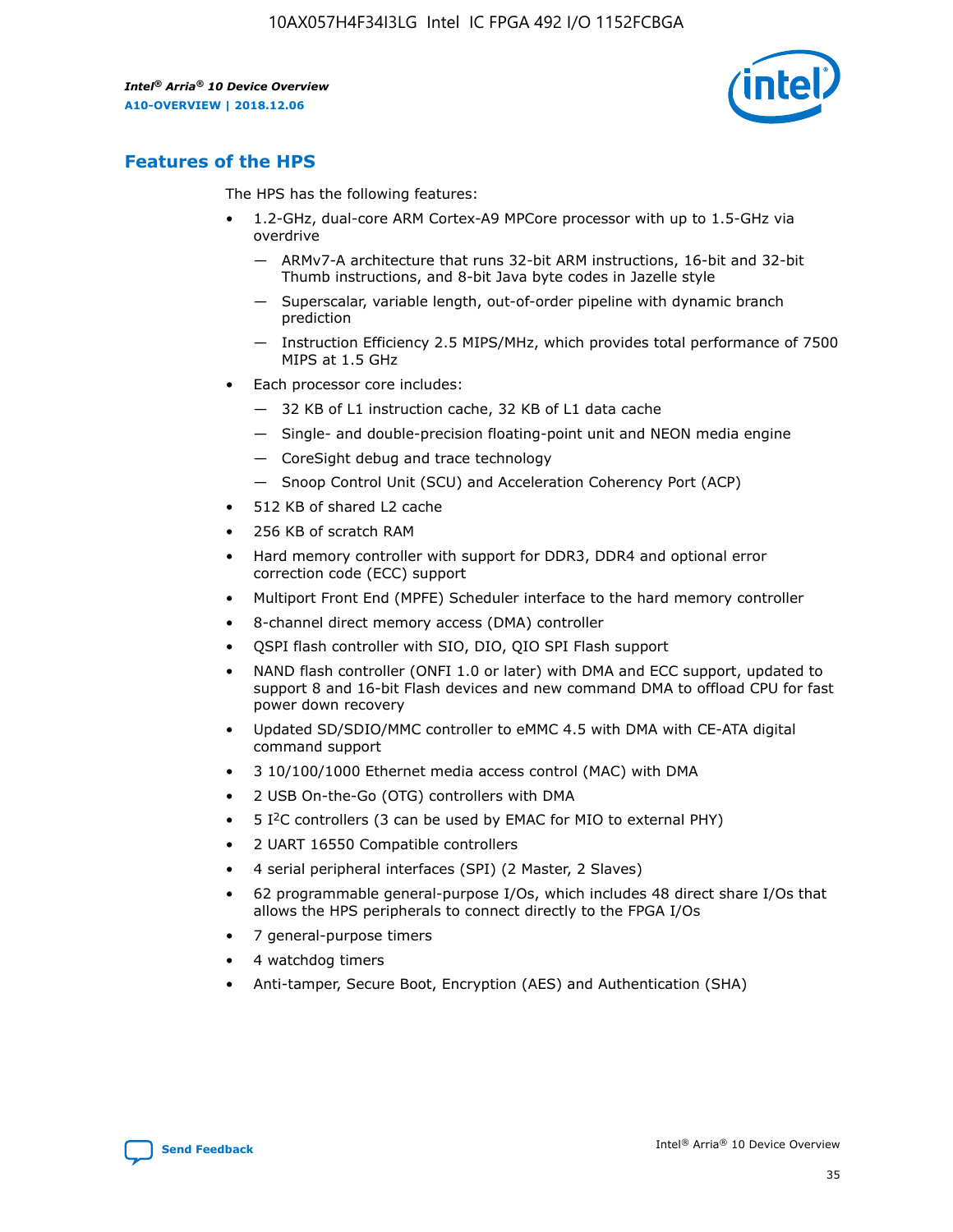![](_page_35_Picture_2.jpeg)

# **Features of the HPS**

The HPS has the following features:

- 1.2-GHz, dual-core ARM Cortex-A9 MPCore processor with up to 1.5-GHz via overdrive
	- ARMv7-A architecture that runs 32-bit ARM instructions, 16-bit and 32-bit Thumb instructions, and 8-bit Java byte codes in Jazelle style
	- Superscalar, variable length, out-of-order pipeline with dynamic branch prediction
	- Instruction Efficiency 2.5 MIPS/MHz, which provides total performance of 7500 MIPS at 1.5 GHz
- Each processor core includes:
	- 32 KB of L1 instruction cache, 32 KB of L1 data cache
	- Single- and double-precision floating-point unit and NEON media engine
	- CoreSight debug and trace technology
	- Snoop Control Unit (SCU) and Acceleration Coherency Port (ACP)
- 512 KB of shared L2 cache
- 256 KB of scratch RAM
- Hard memory controller with support for DDR3, DDR4 and optional error correction code (ECC) support
- Multiport Front End (MPFE) Scheduler interface to the hard memory controller
- 8-channel direct memory access (DMA) controller
- QSPI flash controller with SIO, DIO, QIO SPI Flash support
- NAND flash controller (ONFI 1.0 or later) with DMA and ECC support, updated to support 8 and 16-bit Flash devices and new command DMA to offload CPU for fast power down recovery
- Updated SD/SDIO/MMC controller to eMMC 4.5 with DMA with CE-ATA digital command support
- 3 10/100/1000 Ethernet media access control (MAC) with DMA
- 2 USB On-the-Go (OTG) controllers with DMA
- $\bullet$  5 I<sup>2</sup>C controllers (3 can be used by EMAC for MIO to external PHY)
- 2 UART 16550 Compatible controllers
- 4 serial peripheral interfaces (SPI) (2 Master, 2 Slaves)
- 62 programmable general-purpose I/Os, which includes 48 direct share I/Os that allows the HPS peripherals to connect directly to the FPGA I/Os
- 7 general-purpose timers
- 4 watchdog timers
- Anti-tamper, Secure Boot, Encryption (AES) and Authentication (SHA)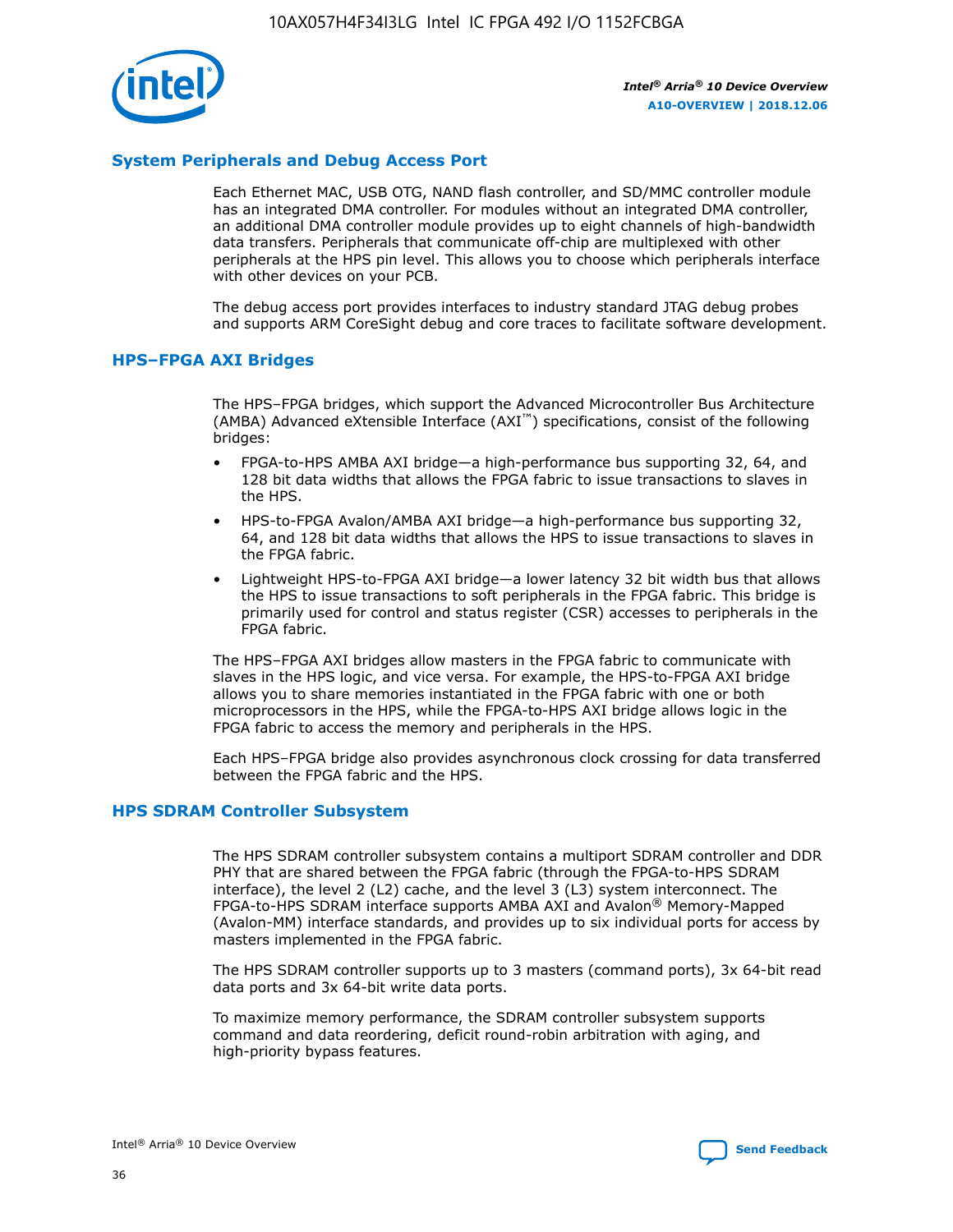![](_page_36_Picture_1.jpeg)

# **System Peripherals and Debug Access Port**

Each Ethernet MAC, USB OTG, NAND flash controller, and SD/MMC controller module has an integrated DMA controller. For modules without an integrated DMA controller, an additional DMA controller module provides up to eight channels of high-bandwidth data transfers. Peripherals that communicate off-chip are multiplexed with other peripherals at the HPS pin level. This allows you to choose which peripherals interface with other devices on your PCB.

The debug access port provides interfaces to industry standard JTAG debug probes and supports ARM CoreSight debug and core traces to facilitate software development.

## **HPS–FPGA AXI Bridges**

The HPS–FPGA bridges, which support the Advanced Microcontroller Bus Architecture (AMBA) Advanced eXtensible Interface (AXI™) specifications, consist of the following bridges:

- FPGA-to-HPS AMBA AXI bridge—a high-performance bus supporting 32, 64, and 128 bit data widths that allows the FPGA fabric to issue transactions to slaves in the HPS.
- HPS-to-FPGA Avalon/AMBA AXI bridge—a high-performance bus supporting 32, 64, and 128 bit data widths that allows the HPS to issue transactions to slaves in the FPGA fabric.
- Lightweight HPS-to-FPGA AXI bridge—a lower latency 32 bit width bus that allows the HPS to issue transactions to soft peripherals in the FPGA fabric. This bridge is primarily used for control and status register (CSR) accesses to peripherals in the FPGA fabric.

The HPS–FPGA AXI bridges allow masters in the FPGA fabric to communicate with slaves in the HPS logic, and vice versa. For example, the HPS-to-FPGA AXI bridge allows you to share memories instantiated in the FPGA fabric with one or both microprocessors in the HPS, while the FPGA-to-HPS AXI bridge allows logic in the FPGA fabric to access the memory and peripherals in the HPS.

Each HPS–FPGA bridge also provides asynchronous clock crossing for data transferred between the FPGA fabric and the HPS.

#### **HPS SDRAM Controller Subsystem**

The HPS SDRAM controller subsystem contains a multiport SDRAM controller and DDR PHY that are shared between the FPGA fabric (through the FPGA-to-HPS SDRAM interface), the level 2 (L2) cache, and the level 3 (L3) system interconnect. The FPGA-to-HPS SDRAM interface supports AMBA AXI and Avalon® Memory-Mapped (Avalon-MM) interface standards, and provides up to six individual ports for access by masters implemented in the FPGA fabric.

The HPS SDRAM controller supports up to 3 masters (command ports), 3x 64-bit read data ports and 3x 64-bit write data ports.

To maximize memory performance, the SDRAM controller subsystem supports command and data reordering, deficit round-robin arbitration with aging, and high-priority bypass features.

![](_page_36_Picture_19.jpeg)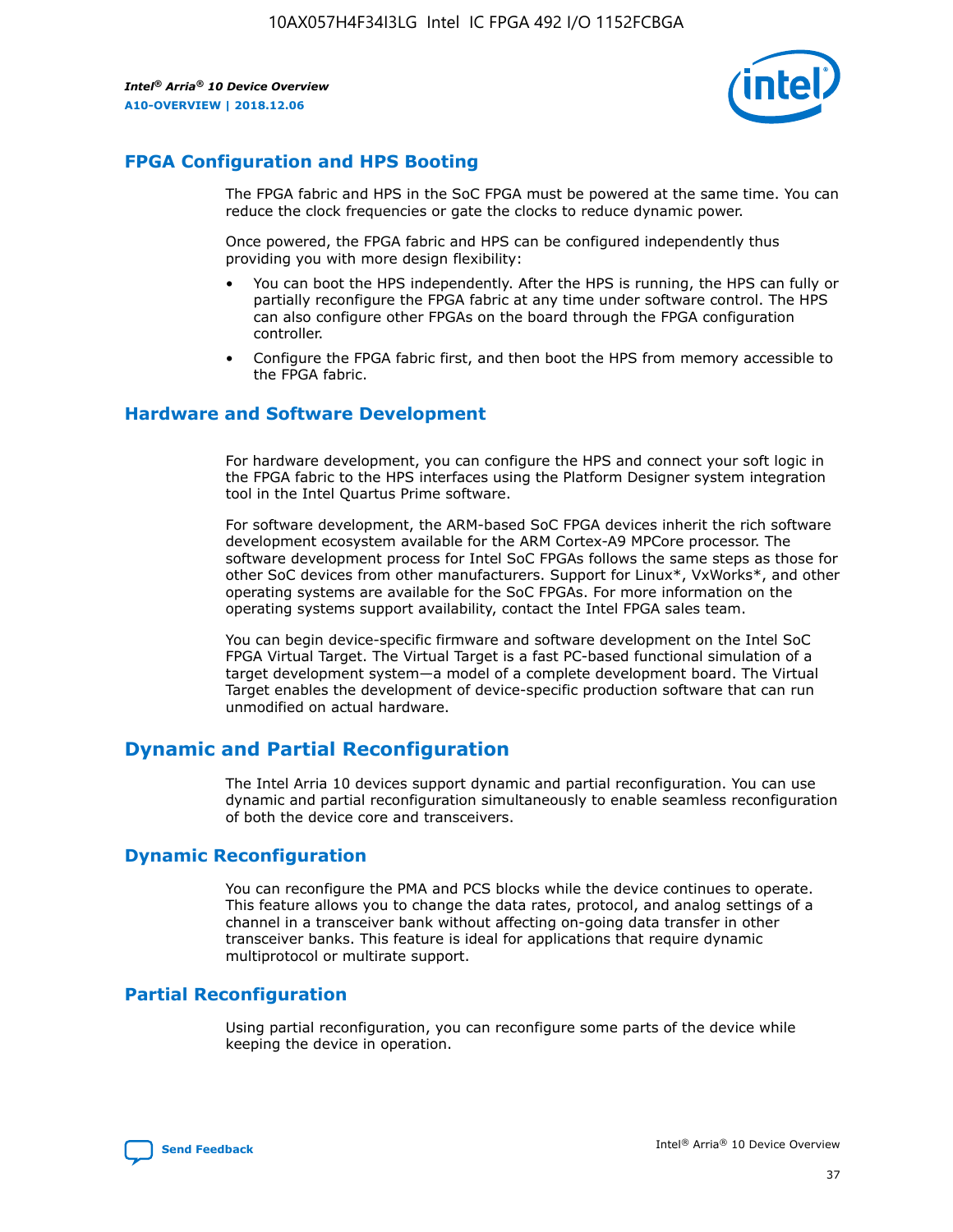![](_page_37_Picture_2.jpeg)

# **FPGA Configuration and HPS Booting**

The FPGA fabric and HPS in the SoC FPGA must be powered at the same time. You can reduce the clock frequencies or gate the clocks to reduce dynamic power.

Once powered, the FPGA fabric and HPS can be configured independently thus providing you with more design flexibility:

- You can boot the HPS independently. After the HPS is running, the HPS can fully or partially reconfigure the FPGA fabric at any time under software control. The HPS can also configure other FPGAs on the board through the FPGA configuration controller.
- Configure the FPGA fabric first, and then boot the HPS from memory accessible to the FPGA fabric.

## **Hardware and Software Development**

For hardware development, you can configure the HPS and connect your soft logic in the FPGA fabric to the HPS interfaces using the Platform Designer system integration tool in the Intel Quartus Prime software.

For software development, the ARM-based SoC FPGA devices inherit the rich software development ecosystem available for the ARM Cortex-A9 MPCore processor. The software development process for Intel SoC FPGAs follows the same steps as those for other SoC devices from other manufacturers. Support for Linux\*, VxWorks\*, and other operating systems are available for the SoC FPGAs. For more information on the operating systems support availability, contact the Intel FPGA sales team.

You can begin device-specific firmware and software development on the Intel SoC FPGA Virtual Target. The Virtual Target is a fast PC-based functional simulation of a target development system—a model of a complete development board. The Virtual Target enables the development of device-specific production software that can run unmodified on actual hardware.

# **Dynamic and Partial Reconfiguration**

The Intel Arria 10 devices support dynamic and partial reconfiguration. You can use dynamic and partial reconfiguration simultaneously to enable seamless reconfiguration of both the device core and transceivers.

# **Dynamic Reconfiguration**

You can reconfigure the PMA and PCS blocks while the device continues to operate. This feature allows you to change the data rates, protocol, and analog settings of a channel in a transceiver bank without affecting on-going data transfer in other transceiver banks. This feature is ideal for applications that require dynamic multiprotocol or multirate support.

# **Partial Reconfiguration**

Using partial reconfiguration, you can reconfigure some parts of the device while keeping the device in operation.

![](_page_37_Picture_18.jpeg)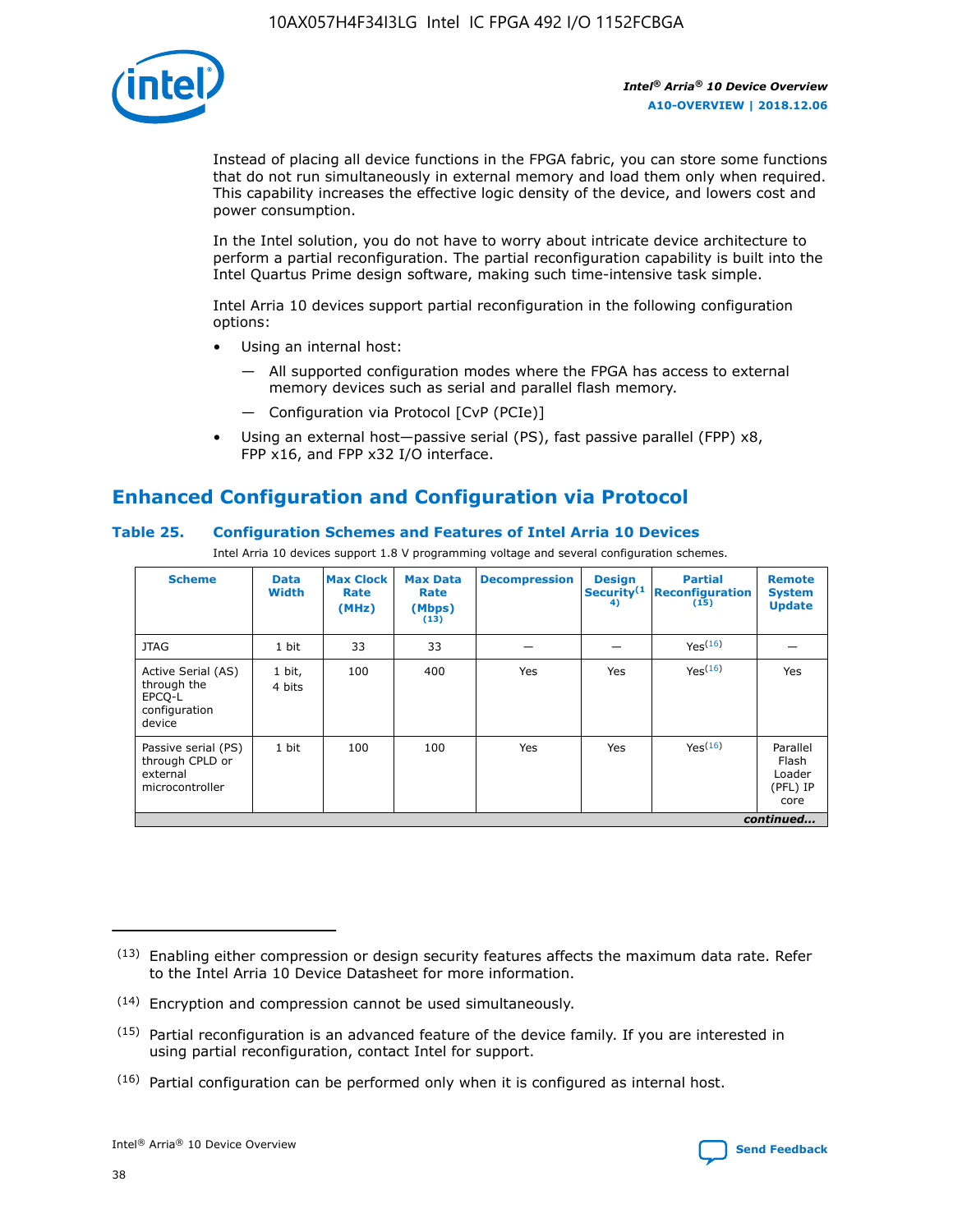![](_page_38_Picture_1.jpeg)

Instead of placing all device functions in the FPGA fabric, you can store some functions that do not run simultaneously in external memory and load them only when required. This capability increases the effective logic density of the device, and lowers cost and power consumption.

In the Intel solution, you do not have to worry about intricate device architecture to perform a partial reconfiguration. The partial reconfiguration capability is built into the Intel Quartus Prime design software, making such time-intensive task simple.

Intel Arria 10 devices support partial reconfiguration in the following configuration options:

- Using an internal host:
	- All supported configuration modes where the FPGA has access to external memory devices such as serial and parallel flash memory.
	- Configuration via Protocol [CvP (PCIe)]
- Using an external host—passive serial (PS), fast passive parallel (FPP) x8, FPP x16, and FPP x32 I/O interface.

# **Enhanced Configuration and Configuration via Protocol**

# **Table 25. Configuration Schemes and Features of Intel Arria 10 Devices**

Intel Arria 10 devices support 1.8 V programming voltage and several configuration schemes.

| <b>Scheme</b>                                                          | <b>Data</b><br><b>Width</b> | <b>Max Clock</b><br>Rate<br>(MHz) | <b>Max Data</b><br>Rate<br>(Mbps)<br>(13) | <b>Decompression</b> | <b>Design</b><br>Security <sup>(1</sup><br>4) | <b>Partial</b><br><b>Reconfiguration</b><br>(15) | <b>Remote</b><br><b>System</b><br><b>Update</b> |
|------------------------------------------------------------------------|-----------------------------|-----------------------------------|-------------------------------------------|----------------------|-----------------------------------------------|--------------------------------------------------|-------------------------------------------------|
| <b>JTAG</b>                                                            | 1 bit                       | 33                                | 33                                        |                      |                                               | Yes(16)                                          |                                                 |
| Active Serial (AS)<br>through the<br>EPCO-L<br>configuration<br>device | 1 bit,<br>4 bits            | 100                               | 400                                       | Yes                  | Yes                                           | $Y_{PS}(16)$                                     | Yes                                             |
| Passive serial (PS)<br>through CPLD or<br>external<br>microcontroller  | 1 bit                       | 100                               | 100                                       | Yes                  | Yes                                           | Yes(16)                                          | Parallel<br>Flash<br>Loader<br>(PFL) IP<br>core |
|                                                                        |                             |                                   |                                           |                      |                                               |                                                  | continued                                       |

<sup>(13)</sup> Enabling either compression or design security features affects the maximum data rate. Refer to the Intel Arria 10 Device Datasheet for more information.

<sup>(14)</sup> Encryption and compression cannot be used simultaneously.

 $(15)$  Partial reconfiguration is an advanced feature of the device family. If you are interested in using partial reconfiguration, contact Intel for support.

 $(16)$  Partial configuration can be performed only when it is configured as internal host.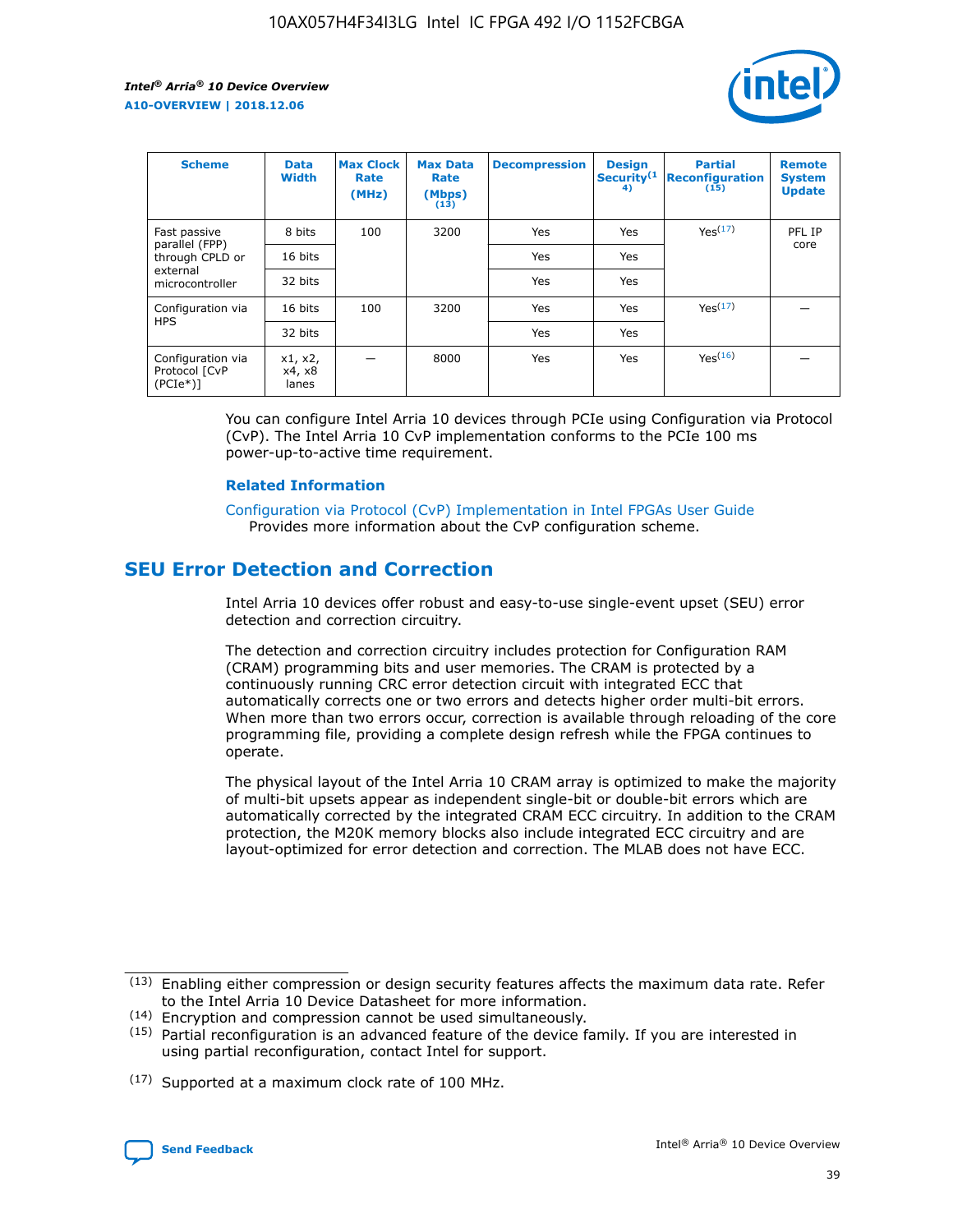![](_page_39_Picture_2.jpeg)

| <b>Scheme</b>                                     | <b>Data</b><br><b>Width</b> | <b>Max Clock</b><br>Rate<br>(MHz) | <b>Max Data</b><br>Rate<br>(Mbps)<br>(13) | <b>Decompression</b> | <b>Design</b><br>Security <sup>(1</sup><br>4) | <b>Partial</b><br><b>Reconfiguration</b><br>(15) | <b>Remote</b><br><b>System</b><br><b>Update</b> |
|---------------------------------------------------|-----------------------------|-----------------------------------|-------------------------------------------|----------------------|-----------------------------------------------|--------------------------------------------------|-------------------------------------------------|
| Fast passive                                      | 8 bits                      | 100                               | 3200                                      | Yes                  | Yes                                           | Yes(17)                                          | PFL IP                                          |
| parallel (FPP)<br>through CPLD or                 | 16 bits                     |                                   |                                           | Yes                  | Yes                                           |                                                  | core                                            |
| external<br>microcontroller                       | 32 bits                     |                                   |                                           | Yes                  | Yes                                           |                                                  |                                                 |
| Configuration via                                 | 16 bits                     | 100                               | 3200                                      | Yes                  | Yes                                           | Yes <sup>(17)</sup>                              |                                                 |
| <b>HPS</b>                                        | 32 bits                     |                                   |                                           | Yes                  | Yes                                           |                                                  |                                                 |
| Configuration via<br>Protocol [CvP<br>$(PCIe*)$ ] | x1, x2,<br>x4, x8<br>lanes  |                                   | 8000                                      | Yes                  | Yes                                           | Yes(16)                                          |                                                 |

You can configure Intel Arria 10 devices through PCIe using Configuration via Protocol (CvP). The Intel Arria 10 CvP implementation conforms to the PCIe 100 ms power-up-to-active time requirement.

#### **Related Information**

[Configuration via Protocol \(CvP\) Implementation in Intel FPGAs User Guide](https://www.intel.com/content/www/us/en/programmable/documentation/dsu1441819344145.html#dsu1442269728522) Provides more information about the CvP configuration scheme.

# **SEU Error Detection and Correction**

Intel Arria 10 devices offer robust and easy-to-use single-event upset (SEU) error detection and correction circuitry.

The detection and correction circuitry includes protection for Configuration RAM (CRAM) programming bits and user memories. The CRAM is protected by a continuously running CRC error detection circuit with integrated ECC that automatically corrects one or two errors and detects higher order multi-bit errors. When more than two errors occur, correction is available through reloading of the core programming file, providing a complete design refresh while the FPGA continues to operate.

The physical layout of the Intel Arria 10 CRAM array is optimized to make the majority of multi-bit upsets appear as independent single-bit or double-bit errors which are automatically corrected by the integrated CRAM ECC circuitry. In addition to the CRAM protection, the M20K memory blocks also include integrated ECC circuitry and are layout-optimized for error detection and correction. The MLAB does not have ECC.

(14) Encryption and compression cannot be used simultaneously.

<sup>(17)</sup> Supported at a maximum clock rate of 100 MHz.

![](_page_39_Picture_15.jpeg)

 $(13)$  Enabling either compression or design security features affects the maximum data rate. Refer to the Intel Arria 10 Device Datasheet for more information.

 $(15)$  Partial reconfiguration is an advanced feature of the device family. If you are interested in using partial reconfiguration, contact Intel for support.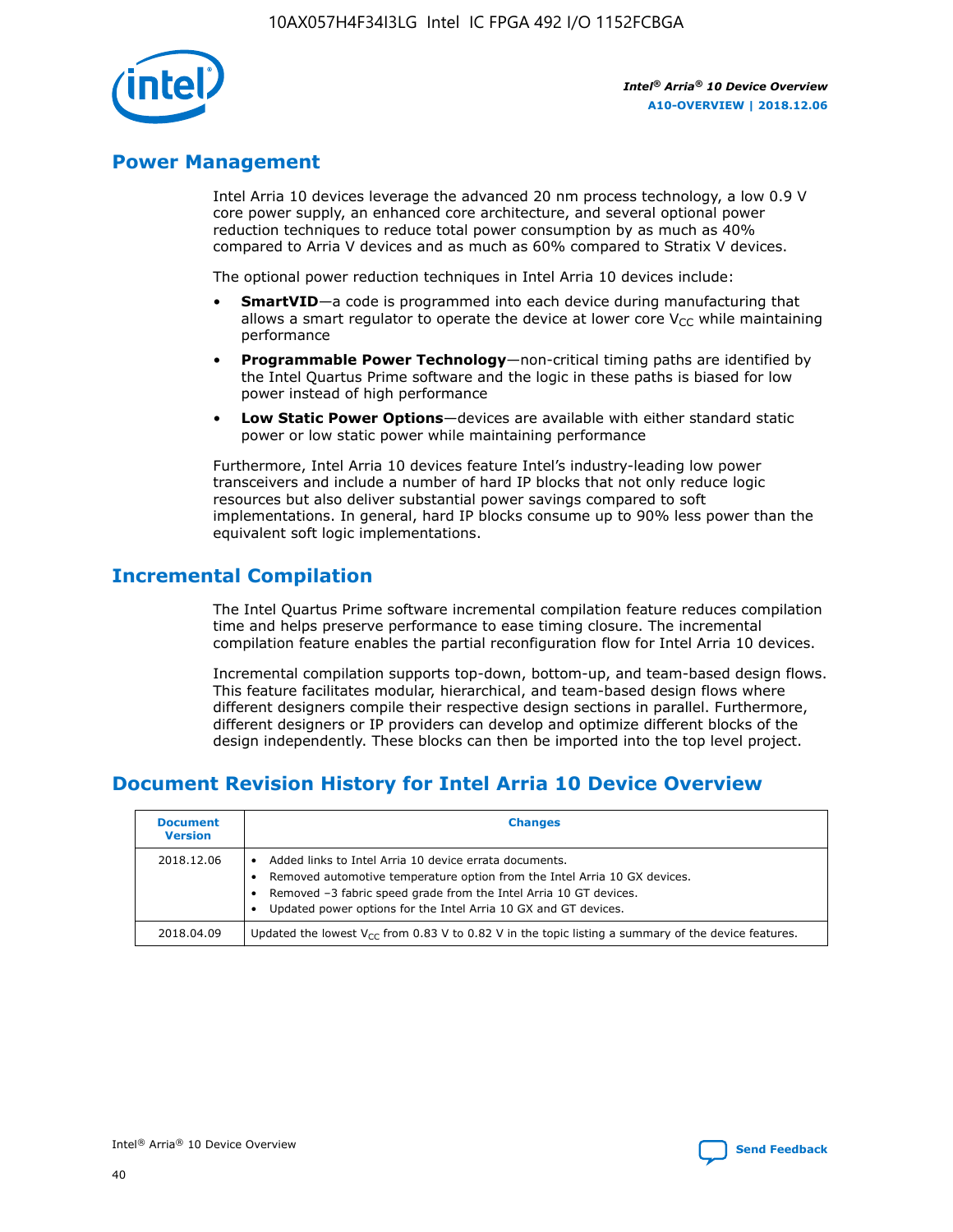![](_page_40_Picture_1.jpeg)

# **Power Management**

Intel Arria 10 devices leverage the advanced 20 nm process technology, a low 0.9 V core power supply, an enhanced core architecture, and several optional power reduction techniques to reduce total power consumption by as much as 40% compared to Arria V devices and as much as 60% compared to Stratix V devices.

The optional power reduction techniques in Intel Arria 10 devices include:

- **SmartVID**—a code is programmed into each device during manufacturing that allows a smart regulator to operate the device at lower core  $V_{CC}$  while maintaining performance
- **Programmable Power Technology**—non-critical timing paths are identified by the Intel Quartus Prime software and the logic in these paths is biased for low power instead of high performance
- **Low Static Power Options**—devices are available with either standard static power or low static power while maintaining performance

Furthermore, Intel Arria 10 devices feature Intel's industry-leading low power transceivers and include a number of hard IP blocks that not only reduce logic resources but also deliver substantial power savings compared to soft implementations. In general, hard IP blocks consume up to 90% less power than the equivalent soft logic implementations.

# **Incremental Compilation**

The Intel Quartus Prime software incremental compilation feature reduces compilation time and helps preserve performance to ease timing closure. The incremental compilation feature enables the partial reconfiguration flow for Intel Arria 10 devices.

Incremental compilation supports top-down, bottom-up, and team-based design flows. This feature facilitates modular, hierarchical, and team-based design flows where different designers compile their respective design sections in parallel. Furthermore, different designers or IP providers can develop and optimize different blocks of the design independently. These blocks can then be imported into the top level project.

# **Document Revision History for Intel Arria 10 Device Overview**

| <b>Document</b><br><b>Version</b> | <b>Changes</b>                                                                                                                                                                                                                                                              |
|-----------------------------------|-----------------------------------------------------------------------------------------------------------------------------------------------------------------------------------------------------------------------------------------------------------------------------|
| 2018.12.06                        | Added links to Intel Arria 10 device errata documents.<br>Removed automotive temperature option from the Intel Arria 10 GX devices.<br>Removed -3 fabric speed grade from the Intel Arria 10 GT devices.<br>Updated power options for the Intel Arria 10 GX and GT devices. |
| 2018.04.09                        | Updated the lowest $V_{CC}$ from 0.83 V to 0.82 V in the topic listing a summary of the device features.                                                                                                                                                                    |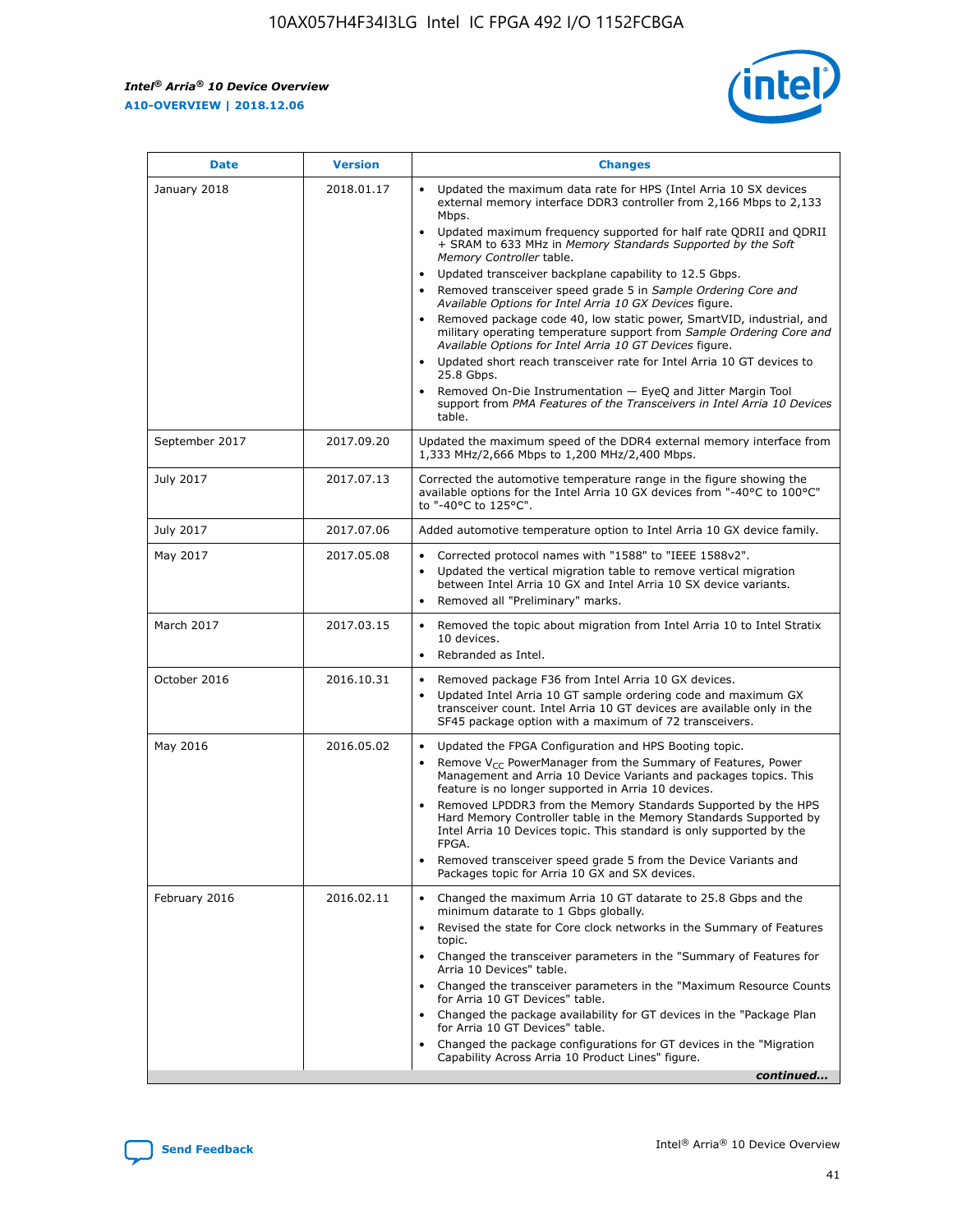*Intel® Arria® 10 Device Overview* **A10-OVERVIEW | 2018.12.06**

![](_page_41_Picture_2.jpeg)

| <b>Date</b>    | <b>Version</b> | <b>Changes</b>                                                                                                                                                                                                                                                                                                                                                                                                                                                                                                                                                                                                                                                                                                                                                                                                                                                                                                                                                            |
|----------------|----------------|---------------------------------------------------------------------------------------------------------------------------------------------------------------------------------------------------------------------------------------------------------------------------------------------------------------------------------------------------------------------------------------------------------------------------------------------------------------------------------------------------------------------------------------------------------------------------------------------------------------------------------------------------------------------------------------------------------------------------------------------------------------------------------------------------------------------------------------------------------------------------------------------------------------------------------------------------------------------------|
| January 2018   | 2018.01.17     | Updated the maximum data rate for HPS (Intel Arria 10 SX devices<br>external memory interface DDR3 controller from 2,166 Mbps to 2,133<br>Mbps.<br>Updated maximum frequency supported for half rate QDRII and QDRII<br>+ SRAM to 633 MHz in Memory Standards Supported by the Soft<br>Memory Controller table.<br>Updated transceiver backplane capability to 12.5 Gbps.<br>$\bullet$<br>Removed transceiver speed grade 5 in Sample Ordering Core and<br>Available Options for Intel Arria 10 GX Devices figure.<br>Removed package code 40, low static power, SmartVID, industrial, and<br>military operating temperature support from Sample Ordering Core and<br>Available Options for Intel Arria 10 GT Devices figure.<br>Updated short reach transceiver rate for Intel Arria 10 GT devices to<br>25.8 Gbps.<br>Removed On-Die Instrumentation - EyeQ and Jitter Margin Tool<br>support from PMA Features of the Transceivers in Intel Arria 10 Devices<br>table. |
| September 2017 | 2017.09.20     | Updated the maximum speed of the DDR4 external memory interface from<br>1,333 MHz/2,666 Mbps to 1,200 MHz/2,400 Mbps.                                                                                                                                                                                                                                                                                                                                                                                                                                                                                                                                                                                                                                                                                                                                                                                                                                                     |
| July 2017      | 2017.07.13     | Corrected the automotive temperature range in the figure showing the<br>available options for the Intel Arria 10 GX devices from "-40°C to 100°C"<br>to "-40°C to 125°C".                                                                                                                                                                                                                                                                                                                                                                                                                                                                                                                                                                                                                                                                                                                                                                                                 |
| July 2017      | 2017.07.06     | Added automotive temperature option to Intel Arria 10 GX device family.                                                                                                                                                                                                                                                                                                                                                                                                                                                                                                                                                                                                                                                                                                                                                                                                                                                                                                   |
| May 2017       | 2017.05.08     | Corrected protocol names with "1588" to "IEEE 1588v2".<br>Updated the vertical migration table to remove vertical migration<br>between Intel Arria 10 GX and Intel Arria 10 SX device variants.<br>Removed all "Preliminary" marks.                                                                                                                                                                                                                                                                                                                                                                                                                                                                                                                                                                                                                                                                                                                                       |
| March 2017     | 2017.03.15     | Removed the topic about migration from Intel Arria 10 to Intel Stratix<br>10 devices.<br>Rebranded as Intel.<br>$\bullet$                                                                                                                                                                                                                                                                                                                                                                                                                                                                                                                                                                                                                                                                                                                                                                                                                                                 |
| October 2016   | 2016.10.31     | Removed package F36 from Intel Arria 10 GX devices.<br>Updated Intel Arria 10 GT sample ordering code and maximum GX<br>$\bullet$<br>transceiver count. Intel Arria 10 GT devices are available only in the<br>SF45 package option with a maximum of 72 transceivers.                                                                                                                                                                                                                                                                                                                                                                                                                                                                                                                                                                                                                                                                                                     |
| May 2016       | 2016.05.02     | Updated the FPGA Configuration and HPS Booting topic.<br>Remove V <sub>CC</sub> PowerManager from the Summary of Features, Power<br>Management and Arria 10 Device Variants and packages topics. This<br>feature is no longer supported in Arria 10 devices.<br>Removed LPDDR3 from the Memory Standards Supported by the HPS<br>Hard Memory Controller table in the Memory Standards Supported by<br>Intel Arria 10 Devices topic. This standard is only supported by the<br>FPGA.<br>Removed transceiver speed grade 5 from the Device Variants and<br>Packages topic for Arria 10 GX and SX devices.                                                                                                                                                                                                                                                                                                                                                                   |
| February 2016  | 2016.02.11     | Changed the maximum Arria 10 GT datarate to 25.8 Gbps and the<br>minimum datarate to 1 Gbps globally.<br>Revised the state for Core clock networks in the Summary of Features<br>$\bullet$<br>topic.<br>Changed the transceiver parameters in the "Summary of Features for<br>Arria 10 Devices" table.<br>• Changed the transceiver parameters in the "Maximum Resource Counts<br>for Arria 10 GT Devices" table.<br>• Changed the package availability for GT devices in the "Package Plan<br>for Arria 10 GT Devices" table.<br>Changed the package configurations for GT devices in the "Migration"<br>Capability Across Arria 10 Product Lines" figure.<br>continued                                                                                                                                                                                                                                                                                                  |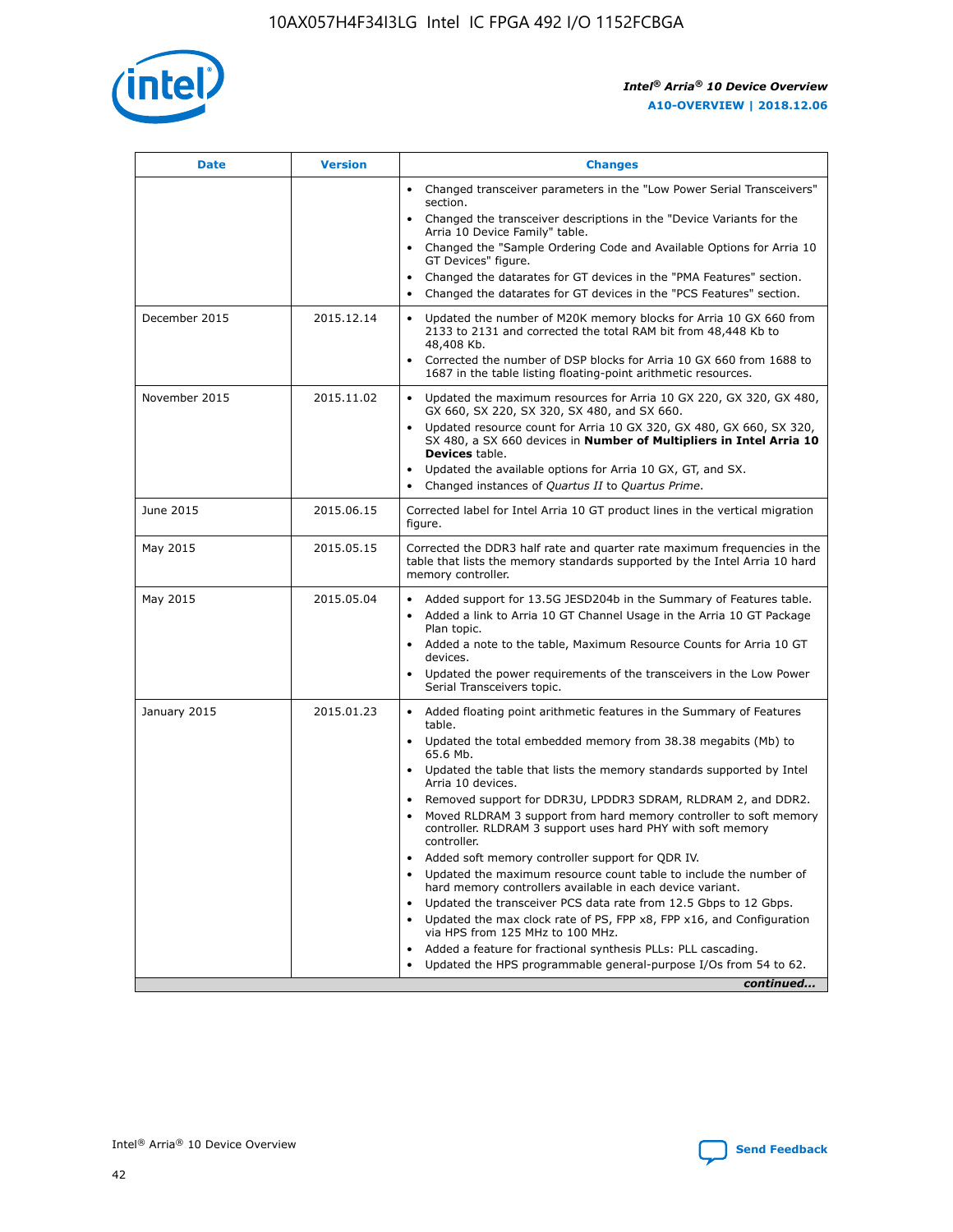![](_page_42_Picture_1.jpeg)

| <b>Date</b>   | <b>Version</b> | <b>Changes</b>                                                                                                                                                               |
|---------------|----------------|------------------------------------------------------------------------------------------------------------------------------------------------------------------------------|
|               |                | • Changed transceiver parameters in the "Low Power Serial Transceivers"<br>section.                                                                                          |
|               |                | • Changed the transceiver descriptions in the "Device Variants for the<br>Arria 10 Device Family" table.                                                                     |
|               |                | Changed the "Sample Ordering Code and Available Options for Arria 10<br>$\bullet$<br>GT Devices" figure.                                                                     |
|               |                | Changed the datarates for GT devices in the "PMA Features" section.                                                                                                          |
|               |                | Changed the datarates for GT devices in the "PCS Features" section.<br>$\bullet$                                                                                             |
| December 2015 | 2015.12.14     | Updated the number of M20K memory blocks for Arria 10 GX 660 from<br>2133 to 2131 and corrected the total RAM bit from 48,448 Kb to<br>48,408 Kb.                            |
|               |                | Corrected the number of DSP blocks for Arria 10 GX 660 from 1688 to<br>1687 in the table listing floating-point arithmetic resources.                                        |
| November 2015 | 2015.11.02     | Updated the maximum resources for Arria 10 GX 220, GX 320, GX 480,<br>$\bullet$<br>GX 660, SX 220, SX 320, SX 480, and SX 660.                                               |
|               |                | • Updated resource count for Arria 10 GX 320, GX 480, GX 660, SX 320,<br>SX 480, a SX 660 devices in Number of Multipliers in Intel Arria 10<br><b>Devices</b> table.        |
|               |                | Updated the available options for Arria 10 GX, GT, and SX.                                                                                                                   |
|               |                | Changed instances of Quartus II to Quartus Prime.<br>$\bullet$                                                                                                               |
| June 2015     | 2015.06.15     | Corrected label for Intel Arria 10 GT product lines in the vertical migration<br>figure.                                                                                     |
| May 2015      | 2015.05.15     | Corrected the DDR3 half rate and quarter rate maximum frequencies in the<br>table that lists the memory standards supported by the Intel Arria 10 hard<br>memory controller. |
| May 2015      | 2015.05.04     | • Added support for 13.5G JESD204b in the Summary of Features table.                                                                                                         |
|               |                | • Added a link to Arria 10 GT Channel Usage in the Arria 10 GT Package<br>Plan topic.                                                                                        |
|               |                | • Added a note to the table, Maximum Resource Counts for Arria 10 GT<br>devices.                                                                                             |
|               |                | • Updated the power requirements of the transceivers in the Low Power<br>Serial Transceivers topic.                                                                          |
| January 2015  | 2015.01.23     | • Added floating point arithmetic features in the Summary of Features<br>table.                                                                                              |
|               |                | • Updated the total embedded memory from 38.38 megabits (Mb) to<br>65.6 Mb.                                                                                                  |
|               |                | • Updated the table that lists the memory standards supported by Intel<br>Arria 10 devices.                                                                                  |
|               |                | Removed support for DDR3U, LPDDR3 SDRAM, RLDRAM 2, and DDR2.                                                                                                                 |
|               |                | Moved RLDRAM 3 support from hard memory controller to soft memory<br>controller. RLDRAM 3 support uses hard PHY with soft memory<br>controller.                              |
|               |                | Added soft memory controller support for QDR IV.<br>٠                                                                                                                        |
|               |                | Updated the maximum resource count table to include the number of<br>hard memory controllers available in each device variant.                                               |
|               |                | Updated the transceiver PCS data rate from 12.5 Gbps to 12 Gbps.<br>$\bullet$                                                                                                |
|               |                | Updated the max clock rate of PS, FPP x8, FPP x16, and Configuration<br>via HPS from 125 MHz to 100 MHz.                                                                     |
|               |                | Added a feature for fractional synthesis PLLs: PLL cascading.                                                                                                                |
|               |                | Updated the HPS programmable general-purpose I/Os from 54 to 62.<br>$\bullet$                                                                                                |
|               |                | continued                                                                                                                                                                    |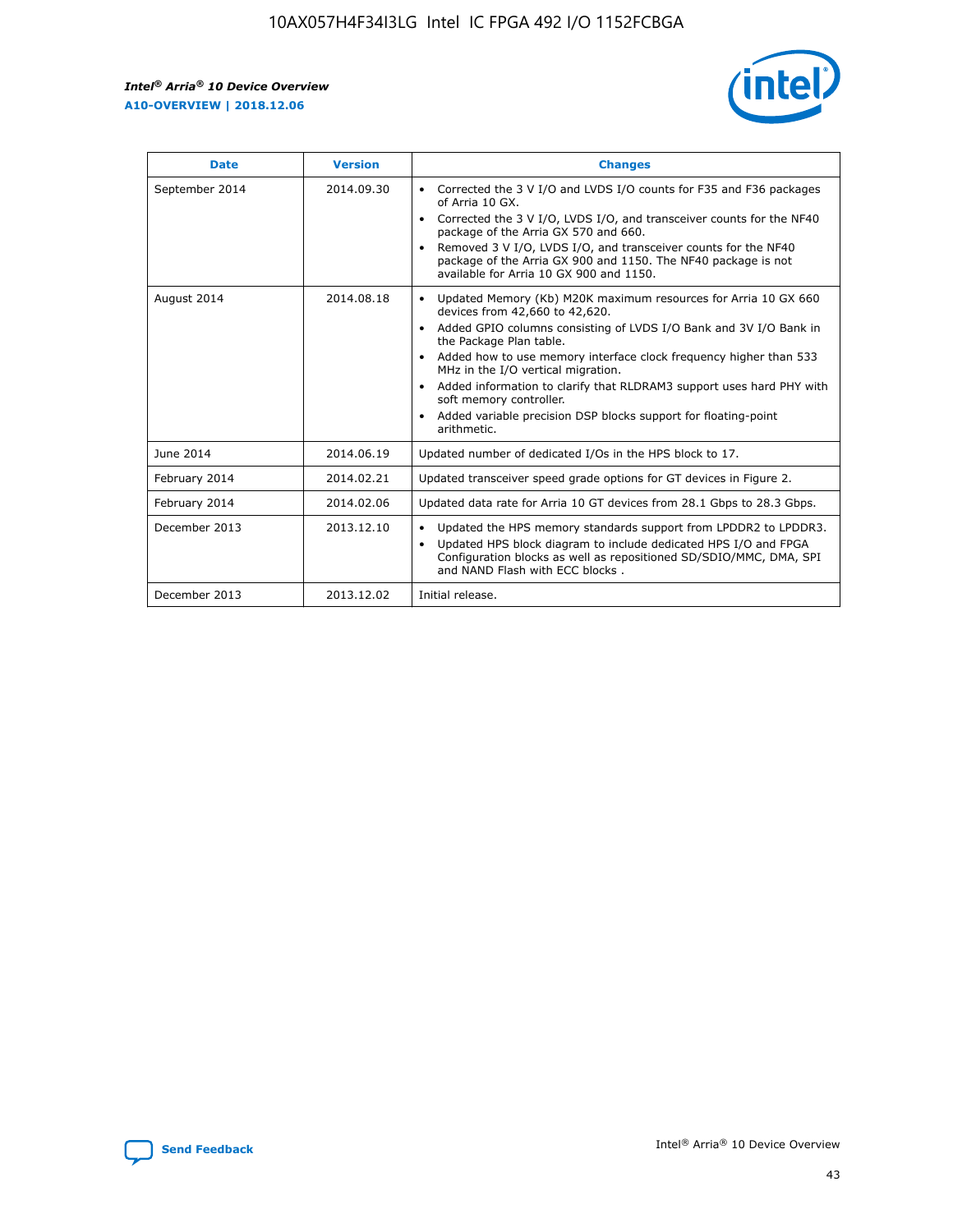r

![](_page_43_Picture_2.jpeg)

| <b>Date</b>    | <b>Version</b> | <b>Changes</b>                                                                                                                                                                                                                                                                                                                                                                                                                                                                                                                                      |
|----------------|----------------|-----------------------------------------------------------------------------------------------------------------------------------------------------------------------------------------------------------------------------------------------------------------------------------------------------------------------------------------------------------------------------------------------------------------------------------------------------------------------------------------------------------------------------------------------------|
| September 2014 | 2014.09.30     | Corrected the 3 V I/O and LVDS I/O counts for F35 and F36 packages<br>$\bullet$<br>of Arria 10 GX.<br>Corrected the 3 V I/O, LVDS I/O, and transceiver counts for the NF40<br>$\bullet$<br>package of the Arria GX 570 and 660.<br>Removed 3 V I/O, LVDS I/O, and transceiver counts for the NF40<br>package of the Arria GX 900 and 1150. The NF40 package is not<br>available for Arria 10 GX 900 and 1150.                                                                                                                                       |
| August 2014    | 2014.08.18     | Updated Memory (Kb) M20K maximum resources for Arria 10 GX 660<br>devices from 42,660 to 42,620.<br>Added GPIO columns consisting of LVDS I/O Bank and 3V I/O Bank in<br>$\bullet$<br>the Package Plan table.<br>Added how to use memory interface clock frequency higher than 533<br>$\bullet$<br>MHz in the I/O vertical migration.<br>Added information to clarify that RLDRAM3 support uses hard PHY with<br>$\bullet$<br>soft memory controller.<br>Added variable precision DSP blocks support for floating-point<br>$\bullet$<br>arithmetic. |
| June 2014      | 2014.06.19     | Updated number of dedicated I/Os in the HPS block to 17.                                                                                                                                                                                                                                                                                                                                                                                                                                                                                            |
| February 2014  | 2014.02.21     | Updated transceiver speed grade options for GT devices in Figure 2.                                                                                                                                                                                                                                                                                                                                                                                                                                                                                 |
| February 2014  | 2014.02.06     | Updated data rate for Arria 10 GT devices from 28.1 Gbps to 28.3 Gbps.                                                                                                                                                                                                                                                                                                                                                                                                                                                                              |
| December 2013  | 2013.12.10     | Updated the HPS memory standards support from LPDDR2 to LPDDR3.<br>Updated HPS block diagram to include dedicated HPS I/O and FPGA<br>$\bullet$<br>Configuration blocks as well as repositioned SD/SDIO/MMC, DMA, SPI<br>and NAND Flash with ECC blocks.                                                                                                                                                                                                                                                                                            |
| December 2013  | 2013.12.02     | Initial release.                                                                                                                                                                                                                                                                                                                                                                                                                                                                                                                                    |

![](_page_43_Picture_4.jpeg)